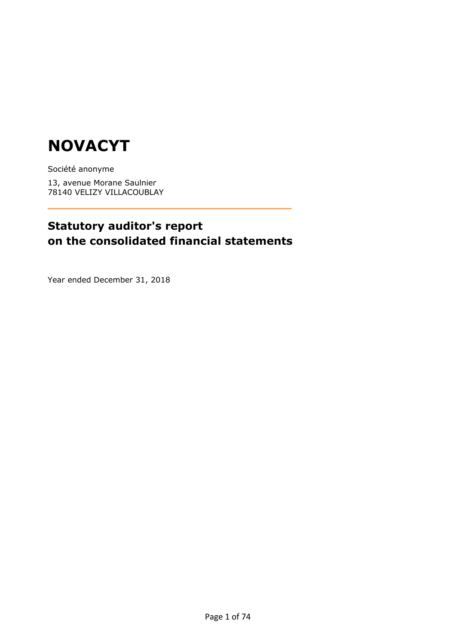# **NOVACYT**

Société anonyme

13, avenue Morane Saulnier 78140 VELIZY VILLACOUBLAY

# **Statutory auditor's report on the consolidated financial statements**

**\_\_\_\_\_\_\_\_\_\_\_\_\_\_\_\_\_\_\_\_\_\_\_\_\_\_\_\_\_\_\_\_**

Year ended December 31, 2018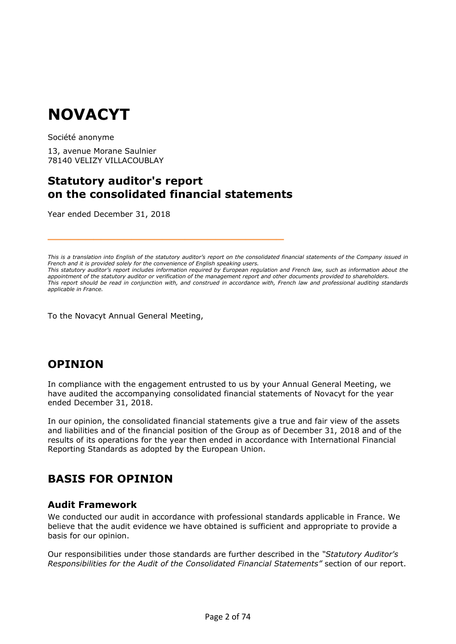# **NOVACYT**

Société anonyme

13, avenue Morane Saulnier 78140 VELIZY VILLACOUBLAY

# **Statutory auditor's report on the consolidated financial statements**

**\_\_\_\_\_\_\_\_\_\_\_\_\_\_\_\_\_\_\_\_\_\_\_\_\_\_\_\_\_\_\_**

Year ended December 31, 2018

This is a translation into English of the statutory auditor's report on the consolidated financial statements of the Company issued in *French and it is provided solely for the convenience of English speaking users. This statutory auditor's report includes information required by European regulation and French law, such as information about the appointment of the statutory auditor or verification of the management report and other documents provided to shareholders. This report should be read in conjunction with, and construed in accordance with, French law and professional auditing standards applicable in France.*

To the Novacyt Annual General Meeting,

# **OPINION**

In compliance with the engagement entrusted to us by your Annual General Meeting, we have audited the accompanying consolidated financial statements of Novacyt for the year ended December 31, 2018.

In our opinion, the consolidated financial statements give a true and fair view of the assets and liabilities and of the financial position of the Group as of December 31, 2018 and of the results of its operations for the year then ended in accordance with International Financial Reporting Standards as adopted by the European Union.

# **BASIS FOR OPINION**

#### **Audit Framework**

We conducted our audit in accordance with professional standards applicable in France. We believe that the audit evidence we have obtained is sufficient and appropriate to provide a basis for our opinion.

Our responsibilities under those standards are further described in the *"Statutory Auditor's Responsibilities for the Audit of the Consolidated Financial Statements"* section of our report.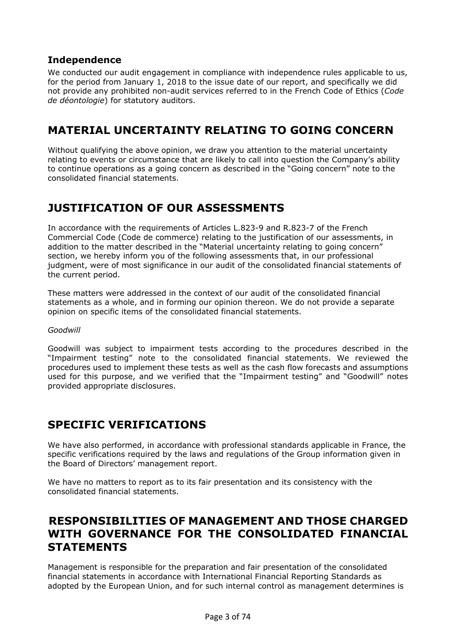### **Independence**

We conducted our audit engagement in compliance with independence rules applicable to us, for the period from January 1, 2018 to the issue date of our report, and specifically we did not provide any prohibited non-audit services referred to in the French Code of Ethics (*Code de déontologie*) for statutory auditors.

# **MATERIAL UNCERTAINTY RELATING TO GOING CONCERN**

Without qualifying the above opinion, we draw you attention to the material uncertainty relating to events or circumstance that are likely to call into question the Company's ability to continue operations as a going concern as described in the "Going concern" note to the consolidated financial statements.

# **JUSTIFICATION OF OUR ASSESSMENTS**

In accordance with the requirements of Articles L.823-9 and R.823-7 of the French Commercial Code (Code de commerce) relating to the justification of our assessments, in addition to the matter described in the "Material uncertainty relating to going concern" section, we hereby inform you of the following assessments that, in our professional judgment, were of most significance in our audit of the consolidated financial statements of the current period.

These matters were addressed in the context of our audit of the consolidated financial statements as a whole, and in forming our opinion thereon. We do not provide a separate opinion on specific items of the consolidated financial statements.

#### *Goodwill*

Goodwill was subject to impairment tests according to the procedures described in the "Impairment testing" note to the consolidated financial statements. We reviewed the procedures used to implement these tests as well as the cash flow forecasts and assumptions used for this purpose, and we verified that the "Impairment testing" and "Goodwill" notes provided appropriate disclosures.

## **SPECIFIC VERIFICATIONS**

We have also performed, in accordance with professional standards applicable in France, the specific verifications required by the laws and regulations of the Group information given in the Board of Directors' management report.

We have no matters to report as to its fair presentation and its consistency with the consolidated financial statements.

# **RESPONSIBILITIES OF MANAGEMENT AND THOSE CHARGED WITH GOVERNANCE FOR THE CONSOLIDATED FINANCIAL STATEMENTS**

Management is responsible for the preparation and fair presentation of the consolidated financial statements in accordance with International Financial Reporting Standards as adopted by the European Union, and for such internal control as management determines is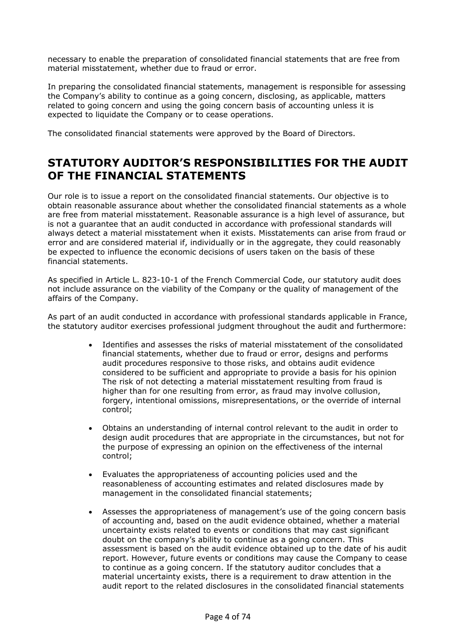necessary to enable the preparation of consolidated financial statements that are free from material misstatement, whether due to fraud or error.

In preparing the consolidated financial statements, management is responsible for assessing the Company's ability to continue as a going concern, disclosing, as applicable, matters related to going concern and using the going concern basis of accounting unless it is expected to liquidate the Company or to cease operations.

The consolidated financial statements were approved by the Board of Directors.

# **STATUTORY AUDITOR'S RESPONSIBILITIES FOR THE AUDIT OF THE FINANCIAL STATEMENTS**

Our role is to issue a report on the consolidated financial statements. Our objective is to obtain reasonable assurance about whether the consolidated financial statements as a whole are free from material misstatement. Reasonable assurance is a high level of assurance, but is not a guarantee that an audit conducted in accordance with professional standards will always detect a material misstatement when it exists. Misstatements can arise from fraud or error and are considered material if, individually or in the aggregate, they could reasonably be expected to influence the economic decisions of users taken on the basis of these financial statements.

As specified in Article L. 823-10-1 of the French Commercial Code, our statutory audit does not include assurance on the viability of the Company or the quality of management of the affairs of the Company.

As part of an audit conducted in accordance with professional standards applicable in France, the statutory auditor exercises professional judgment throughout the audit and furthermore:

- Identifies and assesses the risks of material misstatement of the consolidated financial statements, whether due to fraud or error, designs and performs audit procedures responsive to those risks, and obtains audit evidence considered to be sufficient and appropriate to provide a basis for his opinion The risk of not detecting a material misstatement resulting from fraud is higher than for one resulting from error, as fraud may involve collusion, forgery, intentional omissions, misrepresentations, or the override of internal control;
- Obtains an understanding of internal control relevant to the audit in order to design audit procedures that are appropriate in the circumstances, but not for the purpose of expressing an opinion on the effectiveness of the internal control;
- Evaluates the appropriateness of accounting policies used and the reasonableness of accounting estimates and related disclosures made by management in the consolidated financial statements;
- Assesses the appropriateness of management's use of the going concern basis of accounting and, based on the audit evidence obtained, whether a material uncertainty exists related to events or conditions that may cast significant doubt on the company's ability to continue as a going concern. This assessment is based on the audit evidence obtained up to the date of his audit report. However, future events or conditions may cause the Company to cease to continue as a going concern. If the statutory auditor concludes that a material uncertainty exists, there is a requirement to draw attention in the audit report to the related disclosures in the consolidated financial statements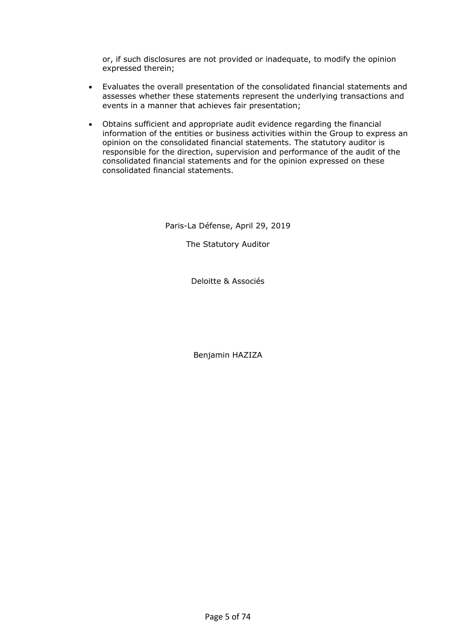or, if such disclosures are not provided or inadequate, to modify the opinion expressed therein;

- Evaluates the overall presentation of the consolidated financial statements and assesses whether these statements represent the underlying transactions and events in a manner that achieves fair presentation;
- Obtains sufficient and appropriate audit evidence regarding the financial information of the entities or business activities within the Group to express an opinion on the consolidated financial statements. The statutory auditor is responsible for the direction, supervision and performance of the audit of the consolidated financial statements and for the opinion expressed on these consolidated financial statements.

Paris-La Défense, April 29, 2019

The Statutory Auditor

Deloitte & Associés

Benjamin HAZIZA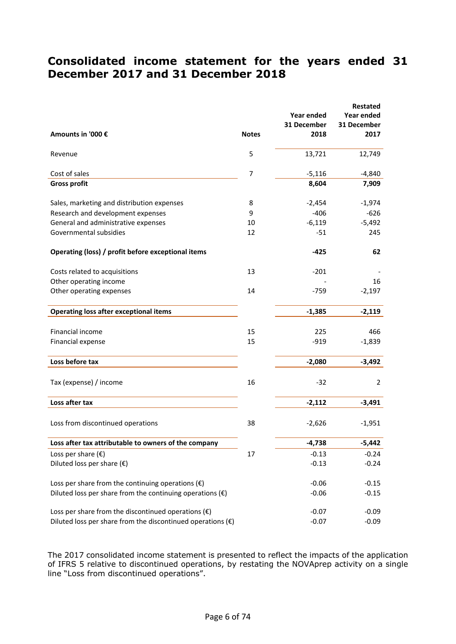# **Consolidated income statement for the years ended 31 December 2017 and 31 December 2018**

|                                                                      |              |             | <b>Restated</b> |
|----------------------------------------------------------------------|--------------|-------------|-----------------|
|                                                                      |              | Year ended  | Year ended      |
|                                                                      |              | 31 December | 31 December     |
| Amounts in '000 €                                                    | <b>Notes</b> | 2018        | 2017            |
| Revenue                                                              | 5            | 13,721      | 12,749          |
| Cost of sales                                                        | 7            | $-5,116$    | $-4,840$        |
| <b>Gross profit</b>                                                  |              | 8,604       | 7,909           |
| Sales, marketing and distribution expenses                           | 8            | $-2,454$    | $-1,974$        |
| Research and development expenses                                    | 9            | $-406$      | $-626$          |
| General and administrative expenses                                  | 10           | $-6,119$    | $-5,492$        |
| Governmental subsidies                                               | 12           | $-51$       | 245             |
| Operating (loss) / profit before exceptional items                   |              | $-425$      | 62              |
| Costs related to acquisitions                                        | 13           | $-201$      |                 |
| Other operating income                                               |              |             | 16              |
| Other operating expenses                                             | 14           | $-759$      | $-2,197$        |
| <b>Operating loss after exceptional items</b>                        |              | $-1,385$    | $-2,119$        |
| Financial income                                                     | 15           | 225         | 466             |
| Financial expense                                                    | 15           | $-919$      | $-1,839$        |
| Loss before tax                                                      |              | $-2,080$    | $-3,492$        |
| Tax (expense) / income                                               | 16           | $-32$       | 2               |
| Loss after tax                                                       |              | $-2,112$    | $-3,491$        |
| Loss from discontinued operations                                    | 38           | $-2,626$    | $-1,951$        |
| Loss after tax attributable to owners of the company                 |              | $-4,738$    | $-5,442$        |
| Loss per share $(\epsilon)$                                          | 17           | $-0.13$     | $-0.24$         |
| Diluted loss per share $(\epsilon)$                                  |              | $-0.13$     | $-0.24$         |
| Loss per share from the continuing operations $(\epsilon)$           |              | $-0.06$     | $-0.15$         |
| Diluted loss per share from the continuing operations $(\epsilon)$   |              | $-0.06$     | $-0.15$         |
| Loss per share from the discontinued operations $(\epsilon)$         |              | $-0.07$     | $-0.09$         |
| Diluted loss per share from the discontinued operations $(\epsilon)$ |              | $-0.07$     | $-0.09$         |

The 2017 consolidated income statement is presented to reflect the impacts of the application of IFRS 5 relative to discontinued operations, by restating the NOVAprep activity on a single line "Loss from discontinued operations".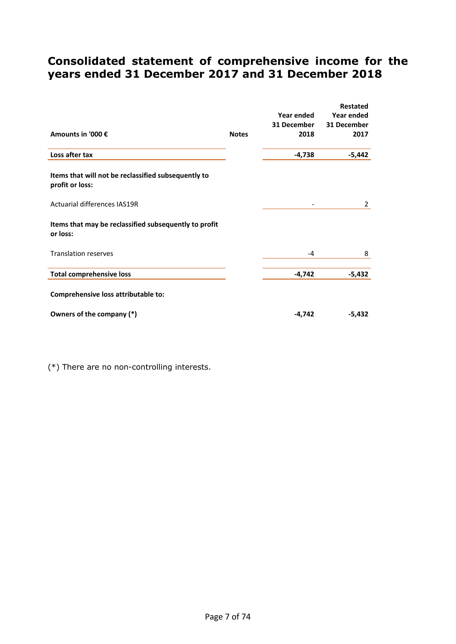# **Consolidated statement of comprehensive income for the years ended 31 December 2017 and 31 December 2018**

|                                                                        |              |             | <b>Restated</b> |
|------------------------------------------------------------------------|--------------|-------------|-----------------|
|                                                                        |              | Year ended  | Year ended      |
|                                                                        |              | 31 December | 31 December     |
| Amounts in '000 €                                                      | <b>Notes</b> | 2018        | 2017            |
| Loss after tax                                                         |              | $-4,738$    | $-5,442$        |
| Items that will not be reclassified subsequently to<br>profit or loss: |              |             |                 |
| Actuarial differences IAS19R                                           |              |             | 2               |
| Items that may be reclassified subsequently to profit<br>or loss:      |              |             |                 |
| <b>Translation reserves</b>                                            |              | -4          | 8               |
| <b>Total comprehensive loss</b>                                        |              | $-4,742$    | $-5,432$        |
| Comprehensive loss attributable to:                                    |              |             |                 |
| Owners of the company (*)                                              |              | -4,742      | -5,432          |

(\*) There are no non-controlling interests.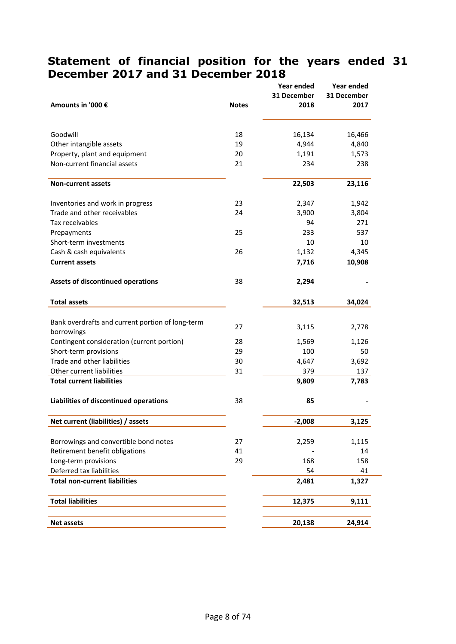# **Statement of financial position for the years ended 31 December 2017 and 31 December 2018**

|                                                                |              | Year ended  | Year ended  |
|----------------------------------------------------------------|--------------|-------------|-------------|
|                                                                |              | 31 December | 31 December |
| Amounts in '000 €                                              | <b>Notes</b> | 2018        | 2017        |
| Goodwill                                                       | 18           | 16,134      | 16,466      |
| Other intangible assets                                        | 19           | 4,944       | 4,840       |
| Property, plant and equipment                                  | 20           | 1,191       | 1,573       |
| Non-current financial assets                                   | 21           | 234         | 238         |
| <b>Non-current assets</b>                                      |              | 22,503      | 23,116      |
| Inventories and work in progress                               | 23           | 2,347       | 1,942       |
| Trade and other receivables                                    | 24           | 3,900       | 3,804       |
| Tax receivables                                                |              | 94          | 271         |
| Prepayments                                                    | 25           | 233         | 537         |
| Short-term investments                                         |              | 10          | 10          |
| Cash & cash equivalents                                        | 26           | 1,132       | 4,345       |
| <b>Current assets</b>                                          |              | 7,716       | 10,908      |
| <b>Assets of discontinued operations</b>                       | 38           | 2,294       |             |
| <b>Total assets</b>                                            |              | 32,513      | 34,024      |
| Bank overdrafts and current portion of long-term<br>borrowings | 27           | 3,115       | 2,778       |
| Contingent consideration (current portion)                     | 28           | 1,569       | 1,126       |
| Short-term provisions                                          | 29           | 100         | 50          |
| Trade and other liabilities                                    | 30           | 4,647       | 3,692       |
| Other current liabilities                                      | 31           | 379         | 137         |
| <b>Total current liabilities</b>                               |              | 9,809       | 7,783       |
| Liabilities of discontinued operations                         | 38           | 85          |             |
| Net current (liabilities) / assets                             |              | $-2,008$    | 3,125       |
| Borrowings and convertible bond notes                          | 27           | 2,259       | 1,115       |
| Retirement benefit obligations                                 | 41           |             | 14          |
| Long-term provisions                                           | 29           | 168         | 158         |
| Deferred tax liabilities                                       |              | 54          | 41          |
| <b>Total non-current liabilities</b>                           |              | 2,481       | 1,327       |
|                                                                |              |             |             |
| <b>Total liabilities</b>                                       |              | 12,375      | 9,111       |
| <b>Net assets</b>                                              |              | 20,138      | 24,914      |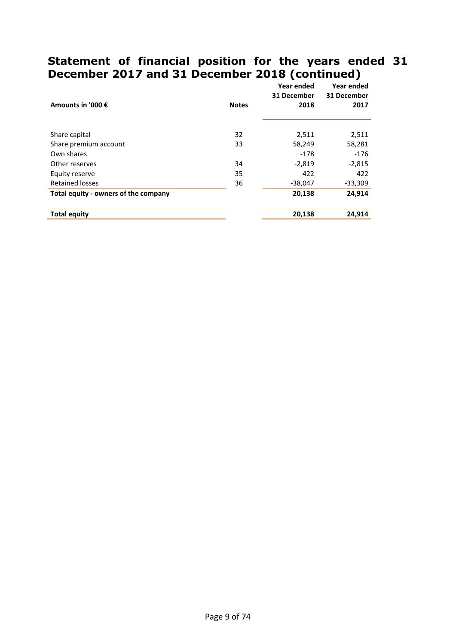# **Statement of financial position for the years ended 31 December 2017 and 31 December 2018 (continued)**

| Amounts in '000 €                    | <b>Notes</b> | Year ended<br>31 December<br>2018 | Year ended<br>31 December<br>2017 |
|--------------------------------------|--------------|-----------------------------------|-----------------------------------|
| Share capital                        | 32           | 2,511                             | 2,511                             |
| Share premium account                | 33           | 58,249                            | 58,281                            |
| Own shares                           |              | $-178$                            | $-176$                            |
| Other reserves                       | 34           | $-2,819$                          | $-2,815$                          |
| Equity reserve                       | 35           | 422                               | 422                               |
| <b>Retained losses</b>               | 36           | $-38,047$                         | $-33,309$                         |
| Total equity - owners of the company |              | 20,138                            | 24,914                            |
| <b>Total equity</b>                  |              | 20,138                            | 24,914                            |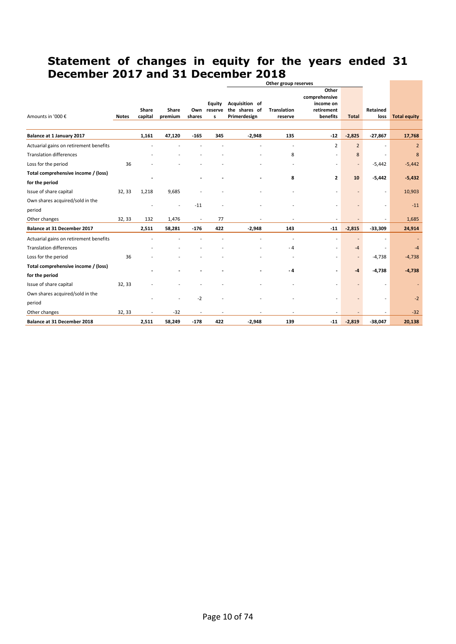# **Statement of changes in equity for the years ended 31 December 2017 and 31 December 2018**

|                                        |              |         |         |                          |         | Other group reserves |                          |                          |                |                |                     |
|----------------------------------------|--------------|---------|---------|--------------------------|---------|----------------------|--------------------------|--------------------------|----------------|----------------|---------------------|
|                                        |              |         |         |                          |         |                      |                          | Other<br>comprehensive   |                |                |                     |
|                                        |              |         |         |                          | Equity  | Acquisition of       |                          | income on                |                |                |                     |
|                                        |              | Share   | Share   | Own                      | reserve | the shares of        | <b>Translation</b>       | retirement               |                | Retained       |                     |
| Amounts in '000 €                      | <b>Notes</b> | capital | premium | shares                   | s       | Primerdesign         | reserve                  | benefits                 | <b>Total</b>   | loss           | <b>Total equity</b> |
|                                        |              |         |         |                          |         |                      |                          |                          |                |                |                     |
| Balance at 1 January 2017              |              | 1,161   | 47,120  | $-165$                   | 345     | $-2,948$             | 135                      | $-12$                    | $-2,825$       | $-27,867$      | 17,768              |
| Actuarial gains on retirement benefits |              |         |         |                          |         |                      |                          | $\overline{2}$           | $\overline{2}$ |                | $\overline{2}$      |
| <b>Translation differences</b>         |              |         |         |                          |         |                      | 8                        | $\overline{\phantom{a}}$ | 8              |                | 8                   |
| Loss for the period                    | 36           |         |         |                          |         |                      |                          |                          |                | $-5,442$       | $-5,442$            |
| Total comprehensive income / (loss)    |              |         |         |                          |         |                      | 8                        | $\mathbf{z}$             | 10             | $-5,442$       | $-5,432$            |
| for the period                         |              |         |         |                          |         |                      |                          |                          |                |                |                     |
| Issue of share capital                 | 32, 33       | 1,218   | 9,685   |                          |         |                      |                          |                          |                | $\overline{a}$ | 10,903              |
| Own shares acquired/sold in the        |              |         |         | $-11$                    |         |                      |                          |                          |                |                | $-11$               |
| period                                 |              |         |         |                          |         |                      |                          |                          |                |                |                     |
| Other changes                          | 32, 33       | 132     | 1,476   | $\overline{\phantom{a}}$ | 77      |                      |                          |                          |                |                | 1,685               |
| <b>Balance at 31 December 2017</b>     |              | 2,511   | 58,281  | $-176$                   | 422     | $-2,948$             | 143                      | $-11$                    | $-2,815$       | $-33,309$      | 24,914              |
| Actuarial gains on retirement benefits |              |         |         |                          |         |                      | $\overline{\phantom{a}}$ | ÷,                       |                | ÷,             |                     |
| <b>Translation differences</b>         |              |         |         |                          |         |                      | - 4                      |                          | $-4$           |                | $-4$                |
| Loss for the period                    | 36           |         |         |                          |         |                      |                          |                          |                | $-4,738$       | $-4,738$            |
| Total comprehensive income / (loss)    |              |         |         |                          |         |                      | - 4                      | $\overline{\phantom{a}}$ | $-4$           | $-4,738$       | $-4,738$            |
| for the period                         |              |         |         |                          |         |                      |                          |                          |                |                |                     |
| Issue of share capital                 | 32, 33       |         |         |                          |         |                      |                          | $\overline{\phantom{a}}$ |                |                |                     |
| Own shares acquired/sold in the        |              |         |         | $-2$                     |         |                      |                          |                          |                | ÷,             | $-2$                |
| period                                 |              |         |         |                          |         |                      |                          |                          |                |                |                     |
| Other changes                          | 32, 33       |         | $-32$   |                          |         |                      |                          |                          |                |                | $-32$               |
| <b>Balance at 31 December 2018</b>     |              | 2,511   | 58,249  | $-178$                   | 422     | $-2,948$             | 139                      | $-11$                    | $-2,819$       | $-38,047$      | 20,138              |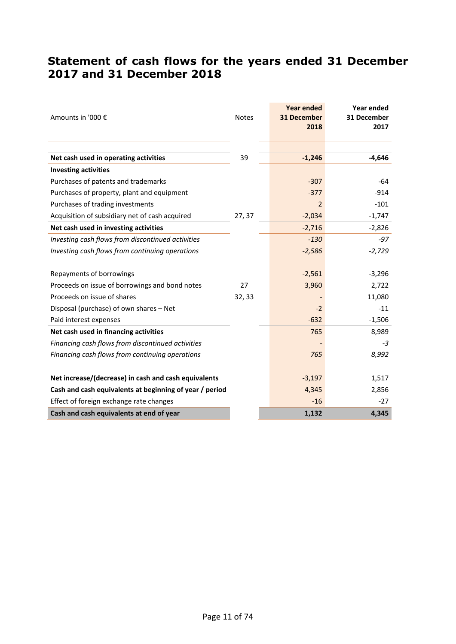# **Statement of cash flows for the years ended 31 December 2017 and 31 December 2018**

| Amounts in '000 €                                       | <b>Notes</b> | <b>Year ended</b><br><b>31 December</b><br>2018 | Year ended<br>31 December<br>2017 |
|---------------------------------------------------------|--------------|-------------------------------------------------|-----------------------------------|
|                                                         |              |                                                 |                                   |
| Net cash used in operating activities                   | 39           | $-1,246$                                        | $-4,646$                          |
| <b>Investing activities</b>                             |              |                                                 |                                   |
| Purchases of patents and trademarks                     |              | $-307$                                          | $-64$                             |
| Purchases of property, plant and equipment              |              | $-377$                                          | $-914$                            |
| Purchases of trading investments                        |              | $\overline{2}$                                  | $-101$                            |
| Acquisition of subsidiary net of cash acquired          | 27, 37       | $-2,034$                                        | $-1,747$                          |
| Net cash used in investing activities                   |              | $-2,716$                                        | $-2,826$                          |
| Investing cash flows from discontinued activities       |              | $-130$                                          | $-97$                             |
| Investing cash flows from continuing operations         |              | $-2,586$                                        | $-2,729$                          |
| Repayments of borrowings                                |              | $-2,561$                                        | $-3,296$                          |
| Proceeds on issue of borrowings and bond notes          | 27           | 3,960                                           | 2,722                             |
| Proceeds on issue of shares                             | 32, 33       |                                                 | 11,080                            |
| Disposal (purchase) of own shares - Net                 |              | $-2$                                            | $-11$                             |
| Paid interest expenses                                  |              | $-632$                                          | $-1,506$                          |
| Net cash used in financing activities                   |              | 765                                             | 8,989                             |
| Financing cash flows from discontinued activities       |              |                                                 | -3                                |
| Financing cash flows from continuing operations         |              | 765                                             | 8,992                             |
| Net increase/(decrease) in cash and cash equivalents    |              | $-3,197$                                        | 1,517                             |
|                                                         |              |                                                 |                                   |
| Cash and cash equivalents at beginning of year / period |              | 4,345                                           | 2,856                             |
| Effect of foreign exchange rate changes                 |              | $-16$                                           | $-27$                             |
| Cash and cash equivalents at end of year                |              | 1,132                                           | 4,345                             |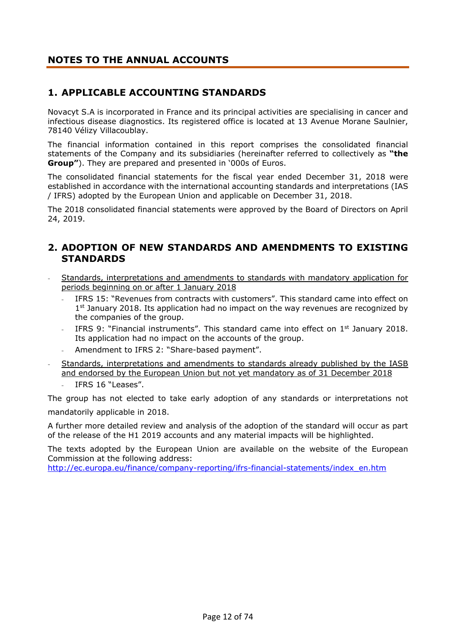### **NOTES TO THE ANNUAL ACCOUNTS**

### **1. APPLICABLE ACCOUNTING STANDARDS**

Novacyt S.A is incorporated in France and its principal activities are specialising in cancer and infectious disease diagnostics. Its registered office is located at 13 Avenue Morane Saulnier, 78140 Vélizy Villacoublay.

The financial information contained in this report comprises the consolidated financial statements of the Company and its subsidiaries (hereinafter referred to collectively as **"the Group"**). They are prepared and presented in '000s of Euros.

The consolidated financial statements for the fiscal year ended December 31, 2018 were established in accordance with the international accounting standards and interpretations (IAS / IFRS) adopted by the European Union and applicable on December 31, 2018.

The 2018 consolidated financial statements were approved by the Board of Directors on April 24, 2019.

### **2. ADOPTION OF NEW STANDARDS AND AMENDMENTS TO EXISTING STANDARDS**

- Standards, interpretations and amendments to standards with mandatory application for periods beginning on or after 1 January 2018
	- IFRS 15: "Revenues from contracts with customers". This standard came into effect on  $1<sup>st</sup>$  January 2018. Its application had no impact on the way revenues are recognized by the companies of the group.
	- IFRS 9: "Financial instruments". This standard came into effect on 1<sup>st</sup> January 2018. Its application had no impact on the accounts of the group.
	- Amendment to IFRS 2: "Share-based payment".
- Standards, interpretations and amendments to standards already published by the IASB and endorsed by the European Union but not yet mandatory as of 31 December 2018
	- IFRS 16 "Leases".

The group has not elected to take early adoption of any standards or interpretations not mandatorily applicable in 2018.

A further more detailed review and analysis of the adoption of the standard will occur as part of the release of the H1 2019 accounts and any material impacts will be highlighted.

The texts adopted by the European Union are available on the website of the European Commission at the following address:

[http://ec.europa.eu/finance/company-reporting/ifrs-financial-statements/index\\_en.htm](http://ec.europa.eu/finance/company-reporting/ifrs-financial-statements/index_en.htm)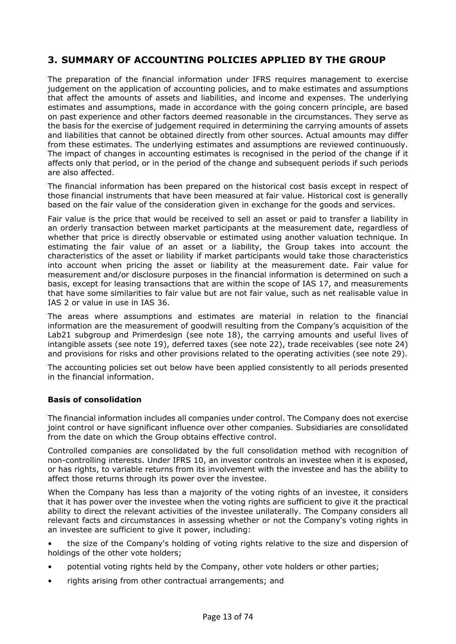### **3. SUMMARY OF ACCOUNTING POLICIES APPLIED BY THE GROUP**

The preparation of the financial information under IFRS requires management to exercise judgement on the application of accounting policies, and to make estimates and assumptions that affect the amounts of assets and liabilities, and income and expenses. The underlying estimates and assumptions, made in accordance with the going concern principle, are based on past experience and other factors deemed reasonable in the circumstances. They serve as the basis for the exercise of judgement required in determining the carrying amounts of assets and liabilities that cannot be obtained directly from other sources. Actual amounts may differ from these estimates. The underlying estimates and assumptions are reviewed continuously. The impact of changes in accounting estimates is recognised in the period of the change if it affects only that period, or in the period of the change and subsequent periods if such periods are also affected.

The financial information has been prepared on the historical cost basis except in respect of those financial instruments that have been measured at fair value. Historical cost is generally based on the fair value of the consideration given in exchange for the goods and services.

Fair value is the price that would be received to sell an asset or paid to transfer a liability in an orderly transaction between market participants at the measurement date, regardless of whether that price is directly observable or estimated using another valuation technique. In estimating the fair value of an asset or a liability, the Group takes into account the characteristics of the asset or liability if market participants would take those characteristics into account when pricing the asset or liability at the measurement date. Fair value for measurement and/or disclosure purposes in the financial information is determined on such a basis, except for leasing transactions that are within the scope of IAS 17, and measurements that have some similarities to fair value but are not fair value, such as net realisable value in IAS 2 or value in use in IAS 36.

The areas where assumptions and estimates are material in relation to the financial information are the measurement of goodwill resulting from the Company's acquisition of the Lab21 subgroup and Primerdesign (see note 18), the carrying amounts and useful lives of intangible assets (see note 19), deferred taxes (see note 22), trade receivables (see note 24) and provisions for risks and other provisions related to the operating activities (see note 29).

The accounting policies set out below have been applied consistently to all periods presented in the financial information.

#### **Basis of consolidation**

The financial information includes all companies under control. The Company does not exercise joint control or have significant influence over other companies. Subsidiaries are consolidated from the date on which the Group obtains effective control.

Controlled companies are consolidated by the full consolidation method with recognition of non-controlling interests. Under IFRS 10, an investor controls an investee when it is exposed, or has rights, to variable returns from its involvement with the investee and has the ability to affect those returns through its power over the investee.

When the Company has less than a majority of the voting rights of an investee, it considers that it has power over the investee when the voting rights are sufficient to give it the practical ability to direct the relevant activities of the investee unilaterally. The Company considers all relevant facts and circumstances in assessing whether or not the Company's voting rights in an investee are sufficient to give it power, including:

the size of the Company's holding of voting rights relative to the size and dispersion of holdings of the other vote holders;

- potential voting rights held by the Company, other vote holders or other parties;
- rights arising from other contractual arrangements; and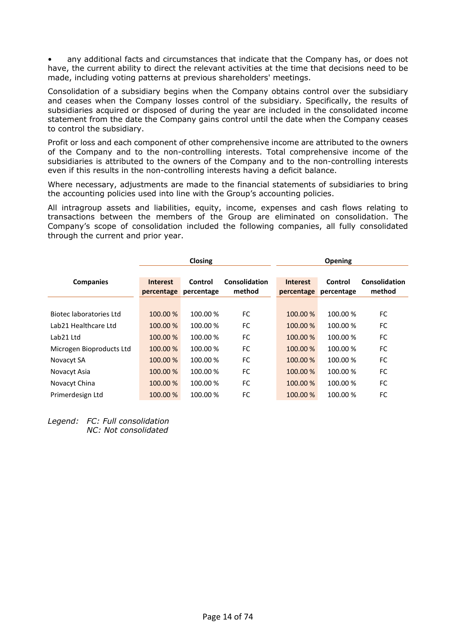• any additional facts and circumstances that indicate that the Company has, or does not have, the current ability to direct the relevant activities at the time that decisions need to be made, including voting patterns at previous shareholders' meetings.

Consolidation of a subsidiary begins when the Company obtains control over the subsidiary and ceases when the Company losses control of the subsidiary. Specifically, the results of subsidiaries acquired or disposed of during the year are included in the consolidated income statement from the date the Company gains control until the date when the Company ceases to control the subsidiary.

Profit or loss and each component of other comprehensive income are attributed to the owners of the Company and to the non-controlling interests. Total comprehensive income of the subsidiaries is attributed to the owners of the Company and to the non-controlling interests even if this results in the non-controlling interests having a deficit balance.

Where necessary, adjustments are made to the financial statements of subsidiaries to bring the accounting policies used into line with the Group's accounting policies.

All intragroup assets and liabilities, equity, income, expenses and cash flows relating to transactions between the members of the Group are eliminated on consolidation. The Company's scope of consolidation included the following companies, all fully consolidated through the current and prior year.

|                          | <b>Closing</b>  |            |               | Opening               |          |                      |  |
|--------------------------|-----------------|------------|---------------|-----------------------|----------|----------------------|--|
|                          |                 |            |               |                       |          |                      |  |
| <b>Companies</b>         | <b>Interest</b> | Control    | Consolidation | <b>Interest</b>       | Control  | <b>Consolidation</b> |  |
|                          | percentage      | percentage | method        | percentage percentage |          | method               |  |
|                          |                 |            |               |                       |          |                      |  |
| Biotec laboratories Ltd  | 100.00 %        | 100.00 %   | FC            | 100.00 %              | 100.00 % | FC.                  |  |
| Lab21 Healthcare Ltd     | 100.00 %        | 100.00 %   | FC            | 100.00 %              | 100.00 % | FC.                  |  |
| Lab <sub>21</sub> Ltd    | 100.00 %        | 100.00 %   | FC            | 100.00 %              | 100.00 % | FC.                  |  |
| Microgen Bioproducts Ltd | 100.00 %        | 100.00 %   | FC            | 100.00 %              | 100.00 % | FC.                  |  |
| Novacyt SA               | 100.00 %        | 100.00 %   | FC            | 100.00 %              | 100.00 % | FC.                  |  |
| Novacyt Asia             | 100.00 %        | 100.00 %   | FC            | 100.00 %              | 100.00 % | FC                   |  |
| Novacyt China            | 100.00 %        | 100.00 %   | FC            | 100.00 %              | 100.00 % | FC                   |  |
| Primerdesign Ltd         | 100.00 %        | 100.00 %   | FC            | 100.00 %              | 100.00 % | FC                   |  |

*Legend: FC: Full consolidation NC: Not consolidated*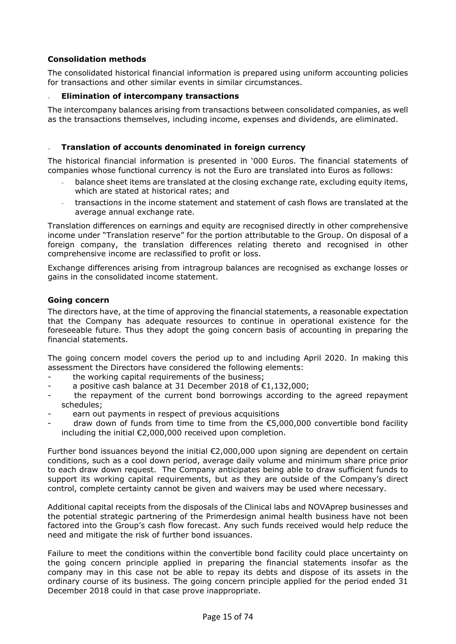#### **Consolidation methods**

The consolidated historical financial information is prepared using uniform accounting policies for transactions and other similar events in similar circumstances.

#### <sup>o</sup> **Elimination of intercompany transactions**

The intercompany balances arising from transactions between consolidated companies, as well as the transactions themselves, including income, expenses and dividends, are eliminated.

#### <sup>o</sup> **Translation of accounts denominated in foreign currency**

The historical financial information is presented in '000 Euros. The financial statements of companies whose functional currency is not the Euro are translated into Euros as follows:

- balance sheet items are translated at the closing exchange rate, excluding equity items, which are stated at historical rates; and
- transactions in the income statement and statement of cash flows are translated at the average annual exchange rate.

Translation differences on earnings and equity are recognised directly in other comprehensive income under "Translation reserve" for the portion attributable to the Group. On disposal of a foreign company, the translation differences relating thereto and recognised in other comprehensive income are reclassified to profit or loss.

Exchange differences arising from intragroup balances are recognised as exchange losses or gains in the consolidated income statement.

#### **Going concern**

The directors have, at the time of approving the financial statements, a reasonable expectation that the Company has adequate resources to continue in operational existence for the foreseeable future. Thus they adopt the going concern basis of accounting in preparing the financial statements.

The going concern model covers the period up to and including April 2020. In making this assessment the Directors have considered the following elements:

- the working capital requirements of the business;
- a positive cash balance at 31 December 2018 of  $£1,132,000;$
- the repayment of the current bond borrowings according to the agreed repayment schedules;
- earn out payments in respect of previous acquisitions
- draw down of funds from time to time from the  $\epsilon$ 5,000,000 convertible bond facility including the initial €2,000,000 received upon completion.

Further bond issuances beyond the initial  $\epsilon$ 2,000,000 upon signing are dependent on certain conditions, such as a cool down period, average daily volume and minimum share price prior to each draw down request. The Company anticipates being able to draw sufficient funds to support its working capital requirements, but as they are outside of the Company's direct control, complete certainty cannot be given and waivers may be used where necessary.

Additional capital receipts from the disposals of the Clinical labs and NOVAprep businesses and the potential strategic partnering of the Primerdesign animal health business have not been factored into the Group's cash flow forecast. Any such funds received would help reduce the need and mitigate the risk of further bond issuances.

Failure to meet the conditions within the convertible bond facility could place uncertainty on the going concern principle applied in preparing the financial statements insofar as the company may in this case not be able to repay its debts and dispose of its assets in the ordinary course of its business. The going concern principle applied for the period ended 31 December 2018 could in that case prove inappropriate.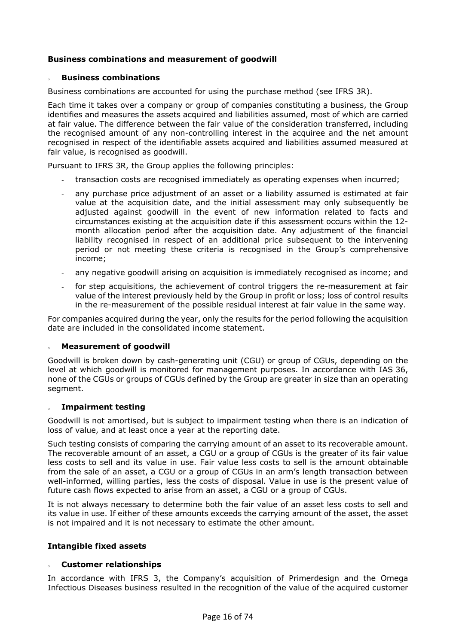#### **Business combinations and measurement of goodwill**

#### <sup>o</sup> **Business combinations**

Business combinations are accounted for using the purchase method (see IFRS 3R).

Each time it takes over a company or group of companies constituting a business, the Group identifies and measures the assets acquired and liabilities assumed, most of which are carried at fair value. The difference between the fair value of the consideration transferred, including the recognised amount of any non-controlling interest in the acquiree and the net amount recognised in respect of the identifiable assets acquired and liabilities assumed measured at fair value, is recognised as goodwill.

Pursuant to IFRS 3R, the Group applies the following principles:

- transaction costs are recognised immediately as operating expenses when incurred;
- any purchase price adjustment of an asset or a liability assumed is estimated at fair value at the acquisition date, and the initial assessment may only subsequently be adjusted against goodwill in the event of new information related to facts and circumstances existing at the acquisition date if this assessment occurs within the 12 month allocation period after the acquisition date. Any adjustment of the financial liability recognised in respect of an additional price subsequent to the intervening period or not meeting these criteria is recognised in the Group's comprehensive income;
- any negative goodwill arising on acquisition is immediately recognised as income; and
- for step acquisitions, the achievement of control triggers the re-measurement at fair value of the interest previously held by the Group in profit or loss; loss of control results in the re-measurement of the possible residual interest at fair value in the same way.

For companies acquired during the year, only the results for the period following the acquisition date are included in the consolidated income statement.

#### **Measurement of goodwill**

Goodwill is broken down by cash-generating unit (CGU) or group of CGUs, depending on the level at which goodwill is monitored for management purposes. In accordance with IAS 36, none of the CGUs or groups of CGUs defined by the Group are greater in size than an operating segment.

#### <sup>o</sup> **Impairment testing**

Goodwill is not amortised, but is subject to impairment testing when there is an indication of loss of value, and at least once a year at the reporting date.

Such testing consists of comparing the carrying amount of an asset to its recoverable amount. The recoverable amount of an asset, a CGU or a group of CGUs is the greater of its fair value less costs to sell and its value in use. Fair value less costs to sell is the amount obtainable from the sale of an asset, a CGU or a group of CGUs in an arm's length transaction between well-informed, willing parties, less the costs of disposal. Value in use is the present value of future cash flows expected to arise from an asset, a CGU or a group of CGUs.

It is not always necessary to determine both the fair value of an asset less costs to sell and its value in use. If either of these amounts exceeds the carrying amount of the asset, the asset is not impaired and it is not necessary to estimate the other amount.

#### **Intangible fixed assets**

#### <sup>o</sup> **Customer relationships**

In accordance with IFRS 3, the Company's acquisition of Primerdesign and the Omega Infectious Diseases business resulted in the recognition of the value of the acquired customer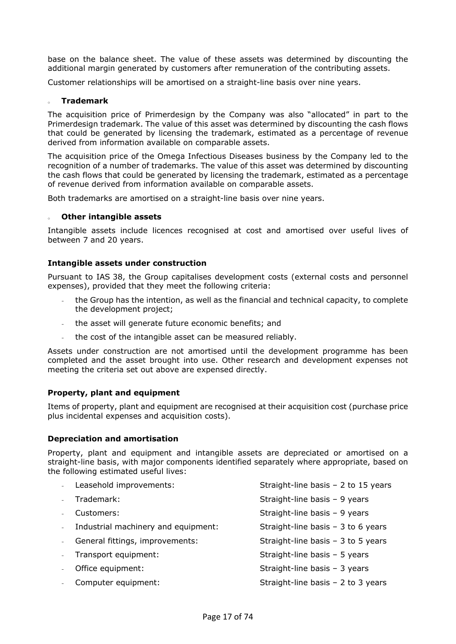base on the balance sheet. The value of these assets was determined by discounting the additional margin generated by customers after remuneration of the contributing assets.

Customer relationships will be amortised on a straight-line basis over nine years.

#### <sup>o</sup> **Trademark**

The acquisition price of Primerdesign by the Company was also "allocated" in part to the Primerdesign trademark. The value of this asset was determined by discounting the cash flows that could be generated by licensing the trademark, estimated as a percentage of revenue derived from information available on comparable assets.

The acquisition price of the Omega Infectious Diseases business by the Company led to the recognition of a number of trademarks. The value of this asset was determined by discounting the cash flows that could be generated by licensing the trademark, estimated as a percentage of revenue derived from information available on comparable assets.

Both trademarks are amortised on a straight-line basis over nine years.

#### **Other intangible assets**

Intangible assets include licences recognised at cost and amortised over useful lives of between 7 and 20 years.

#### **Intangible assets under construction**

Pursuant to IAS 38, the Group capitalises development costs (external costs and personnel expenses), provided that they meet the following criteria:

- the Group has the intention, as well as the financial and technical capacity, to complete the development project;
- the asset will generate future economic benefits; and
- the cost of the intangible asset can be measured reliably.

Assets under construction are not amortised until the development programme has been completed and the asset brought into use. Other research and development expenses not meeting the criteria set out above are expensed directly.

#### **Property, plant and equipment**

Items of property, plant and equipment are recognised at their acquisition cost (purchase price plus incidental expenses and acquisition costs).

#### **Depreciation and amortisation**

Property, plant and equipment and intangible assets are depreciated or amortised on a straight-line basis, with major components identified separately where appropriate, based on the following estimated useful lives:

| Leasehold improvements:             | Straight-line basis $-$ 2 to 15 years |
|-------------------------------------|---------------------------------------|
| Trademark:                          | Straight-line basis - 9 years         |
| Customers:                          | Straight-line basis $-9$ years        |
| Industrial machinery and equipment: | Straight-line basis $-3$ to 6 years   |
| General fittings, improvements:     | Straight-line basis $-3$ to 5 years   |
| Transport equipment:                | Straight-line basis $-5$ years        |
| Office equipment:                   | Straight-line basis $-3$ years        |
| Computer equipment:                 | Straight-line basis $-2$ to 3 years   |
|                                     |                                       |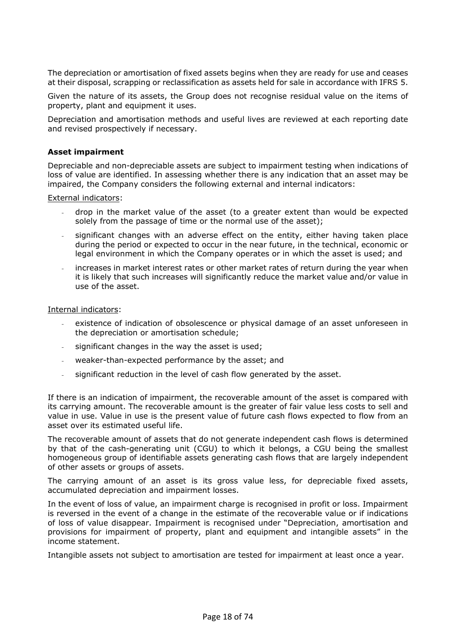The depreciation or amortisation of fixed assets begins when they are ready for use and ceases at their disposal, scrapping or reclassification as assets held for sale in accordance with IFRS 5.

Given the nature of its assets, the Group does not recognise residual value on the items of property, plant and equipment it uses.

Depreciation and amortisation methods and useful lives are reviewed at each reporting date and revised prospectively if necessary.

#### **Asset impairment**

Depreciable and non-depreciable assets are subject to impairment testing when indications of loss of value are identified. In assessing whether there is any indication that an asset may be impaired, the Company considers the following external and internal indicators:

External indicators:

- drop in the market value of the asset (to a greater extent than would be expected solely from the passage of time or the normal use of the asset);
- significant changes with an adverse effect on the entity, either having taken place during the period or expected to occur in the near future, in the technical, economic or legal environment in which the Company operates or in which the asset is used; and
- increases in market interest rates or other market rates of return during the year when it is likely that such increases will significantly reduce the market value and/or value in use of the asset.

#### Internal indicators:

- existence of indication of obsolescence or physical damage of an asset unforeseen in the depreciation or amortisation schedule;
- significant changes in the way the asset is used;
- weaker-than-expected performance by the asset; and
- significant reduction in the level of cash flow generated by the asset.

If there is an indication of impairment, the recoverable amount of the asset is compared with its carrying amount. The recoverable amount is the greater of fair value less costs to sell and value in use. Value in use is the present value of future cash flows expected to flow from an asset over its estimated useful life.

The recoverable amount of assets that do not generate independent cash flows is determined by that of the cash-generating unit (CGU) to which it belongs, a CGU being the smallest homogeneous group of identifiable assets generating cash flows that are largely independent of other assets or groups of assets.

The carrying amount of an asset is its gross value less, for depreciable fixed assets, accumulated depreciation and impairment losses.

In the event of loss of value, an impairment charge is recognised in profit or loss. Impairment is reversed in the event of a change in the estimate of the recoverable value or if indications of loss of value disappear. Impairment is recognised under "Depreciation, amortisation and provisions for impairment of property, plant and equipment and intangible assets" in the income statement.

Intangible assets not subject to amortisation are tested for impairment at least once a year.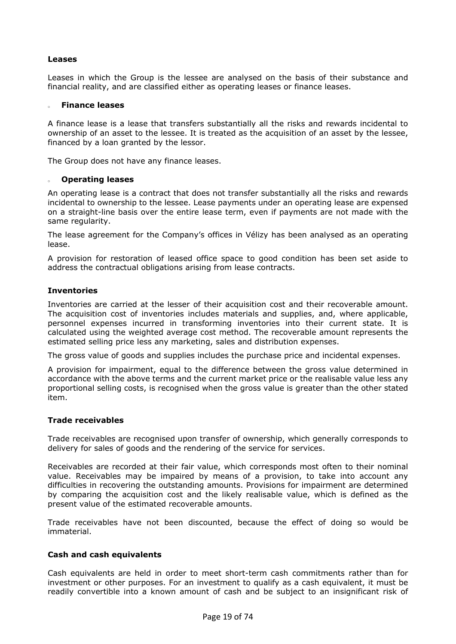#### **Leases**

Leases in which the Group is the lessee are analysed on the basis of their substance and financial reality, and are classified either as operating leases or finance leases.

#### <sup>o</sup> **Finance leases**

A finance lease is a lease that transfers substantially all the risks and rewards incidental to ownership of an asset to the lessee. It is treated as the acquisition of an asset by the lessee, financed by a loan granted by the lessor.

The Group does not have any finance leases.

#### <sup>o</sup> **Operating leases**

An operating lease is a contract that does not transfer substantially all the risks and rewards incidental to ownership to the lessee. Lease payments under an operating lease are expensed on a straight-line basis over the entire lease term, even if payments are not made with the same regularity.

The lease agreement for the Company's offices in Vélizy has been analysed as an operating lease.

A provision for restoration of leased office space to good condition has been set aside to address the contractual obligations arising from lease contracts.

#### **Inventories**

Inventories are carried at the lesser of their acquisition cost and their recoverable amount. The acquisition cost of inventories includes materials and supplies, and, where applicable, personnel expenses incurred in transforming inventories into their current state. It is calculated using the weighted average cost method. The recoverable amount represents the estimated selling price less any marketing, sales and distribution expenses.

The gross value of goods and supplies includes the purchase price and incidental expenses.

A provision for impairment, equal to the difference between the gross value determined in accordance with the above terms and the current market price or the realisable value less any proportional selling costs, is recognised when the gross value is greater than the other stated item.

#### **Trade receivables**

Trade receivables are recognised upon transfer of ownership, which generally corresponds to delivery for sales of goods and the rendering of the service for services.

Receivables are recorded at their fair value, which corresponds most often to their nominal value. Receivables may be impaired by means of a provision, to take into account any difficulties in recovering the outstanding amounts. Provisions for impairment are determined by comparing the acquisition cost and the likely realisable value, which is defined as the present value of the estimated recoverable amounts.

Trade receivables have not been discounted, because the effect of doing so would be immaterial.

#### **Cash and cash equivalents**

Cash equivalents are held in order to meet short-term cash commitments rather than for investment or other purposes. For an investment to qualify as a cash equivalent, it must be readily convertible into a known amount of cash and be subject to an insignificant risk of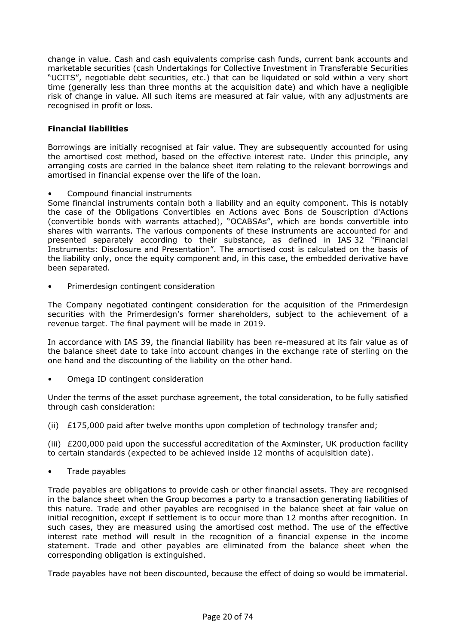change in value. Cash and cash equivalents comprise cash funds, current bank accounts and marketable securities (cash Undertakings for Collective Investment in Transferable Securities "UCITS", negotiable debt securities, etc.) that can be liquidated or sold within a very short time (generally less than three months at the acquisition date) and which have a negligible risk of change in value. All such items are measured at fair value, with any adjustments are recognised in profit or loss.

#### **Financial liabilities**

Borrowings are initially recognised at fair value. They are subsequently accounted for using the amortised cost method, based on the effective interest rate. Under this principle, any arranging costs are carried in the balance sheet item relating to the relevant borrowings and amortised in financial expense over the life of the loan.

• Compound financial instruments

Some financial instruments contain both a liability and an equity component. This is notably the case of the Obligations Convertibles en Actions avec Bons de Souscription d'Actions (convertible bonds with warrants attached), "OCABSAs", which are bonds convertible into shares with warrants. The various components of these instruments are accounted for and presented separately according to their substance, as defined in IAS 32 "Financial Instruments: Disclosure and Presentation". The amortised cost is calculated on the basis of the liability only, once the equity component and, in this case, the embedded derivative have been separated.

• Primerdesign contingent consideration

The Company negotiated contingent consideration for the acquisition of the Primerdesign securities with the Primerdesign's former shareholders, subject to the achievement of a revenue target. The final payment will be made in 2019.

In accordance with IAS 39, the financial liability has been re-measured at its fair value as of the balance sheet date to take into account changes in the exchange rate of sterling on the one hand and the discounting of the liability on the other hand.

• Omega ID contingent consideration

Under the terms of the asset purchase agreement, the total consideration, to be fully satisfied through cash consideration:

(ii)  $£175,000$  paid after twelve months upon completion of technology transfer and;

(iii)  $£200,000$  paid upon the successful accreditation of the Axminster, UK production facility to certain standards (expected to be achieved inside 12 months of acquisition date).

• Trade payables

Trade payables are obligations to provide cash or other financial assets. They are recognised in the balance sheet when the Group becomes a party to a transaction generating liabilities of this nature. Trade and other payables are recognised in the balance sheet at fair value on initial recognition, except if settlement is to occur more than 12 months after recognition. In such cases, they are measured using the amortised cost method. The use of the effective interest rate method will result in the recognition of a financial expense in the income statement. Trade and other payables are eliminated from the balance sheet when the corresponding obligation is extinguished.

Trade payables have not been discounted, because the effect of doing so would be immaterial.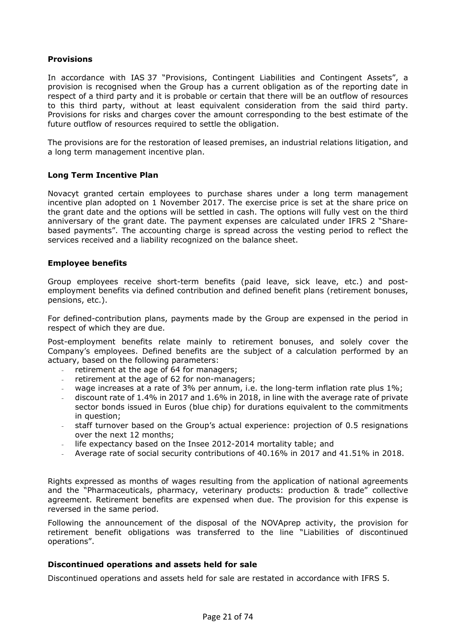#### **Provisions**

In accordance with IAS 37 "Provisions, Contingent Liabilities and Contingent Assets", a provision is recognised when the Group has a current obligation as of the reporting date in respect of a third party and it is probable or certain that there will be an outflow of resources to this third party, without at least equivalent consideration from the said third party. Provisions for risks and charges cover the amount corresponding to the best estimate of the future outflow of resources required to settle the obligation.

The provisions are for the restoration of leased premises, an industrial relations litigation, and a long term management incentive plan.

#### **Long Term Incentive Plan**

Novacyt granted certain employees to purchase shares under a long term management incentive plan adopted on 1 November 2017. The exercise price is set at the share price on the grant date and the options will be settled in cash. The options will fully vest on the third anniversary of the grant date. The payment expenses are calculated under IFRS 2 "Sharebased payments". The accounting charge is spread across the vesting period to reflect the services received and a liability recognized on the balance sheet.

#### **Employee benefits**

Group employees receive short-term benefits (paid leave, sick leave, etc.) and postemployment benefits via defined contribution and defined benefit plans (retirement bonuses, pensions, etc.).

For defined-contribution plans, payments made by the Group are expensed in the period in respect of which they are due.

Post-employment benefits relate mainly to retirement bonuses, and solely cover the Company's employees. Defined benefits are the subject of a calculation performed by an actuary, based on the following parameters:

- retirement at the age of 64 for managers;
- retirement at the age of 62 for non-managers;
- wage increases at a rate of  $3\%$  per annum, i.e. the long-term inflation rate plus  $1\%$ ;
- discount rate of 1.4% in 2017 and 1.6% in 2018, in line with the average rate of private sector bonds issued in Euros (blue chip) for durations equivalent to the commitments in question;
- staff turnover based on the Group's actual experience: projection of 0.5 resignations over the next 12 months;
- life expectancy based on the Insee 2012-2014 mortality table; and
- Average rate of social security contributions of 40.16% in 2017 and 41.51% in 2018.

Rights expressed as months of wages resulting from the application of national agreements and the "Pharmaceuticals, pharmacy, veterinary products: production & trade" collective agreement. Retirement benefits are expensed when due. The provision for this expense is reversed in the same period.

Following the announcement of the disposal of the NOVAprep activity, the provision for retirement benefit obligations was transferred to the line "Liabilities of discontinued operations".

#### **Discontinued operations and assets held for sale**

Discontinued operations and assets held for sale are restated in accordance with IFRS 5.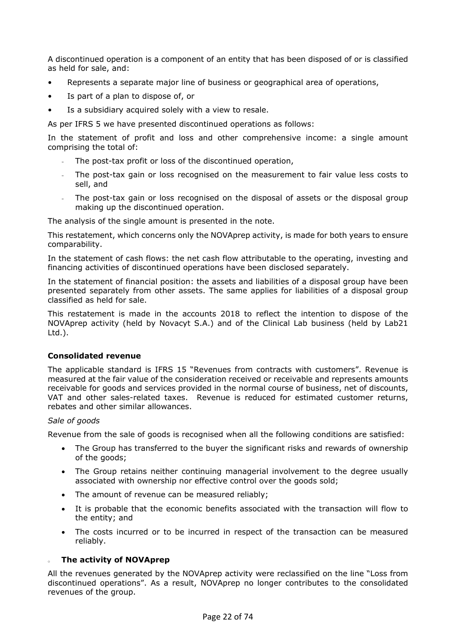A discontinued operation is a component of an entity that has been disposed of or is classified as held for sale, and:

- Represents a separate major line of business or geographical area of operations,
- Is part of a plan to dispose of, or
- Is a subsidiary acquired solely with a view to resale.

As per IFRS 5 we have presented discontinued operations as follows:

In the statement of profit and loss and other comprehensive income: a single amount comprising the total of:

- The post-tax profit or loss of the discontinued operation,
- The post-tax gain or loss recognised on the measurement to fair value less costs to sell, and
- The post-tax gain or loss recognised on the disposal of assets or the disposal group making up the discontinued operation.

The analysis of the single amount is presented in the note.

This restatement, which concerns only the NOVAprep activity, is made for both years to ensure comparability.

In the statement of cash flows: the net cash flow attributable to the operating, investing and financing activities of discontinued operations have been disclosed separately.

In the statement of financial position: the assets and liabilities of a disposal group have been presented separately from other assets. The same applies for liabilities of a disposal group classified as held for sale.

This restatement is made in the accounts 2018 to reflect the intention to dispose of the NOVAprep activity (held by Novacyt S.A.) and of the Clinical Lab business (held by Lab21 Ltd.).

#### **Consolidated revenue**

The applicable standard is IFRS 15 "Revenues from contracts with customers". Revenue is measured at the fair value of the consideration received or receivable and represents amounts receivable for goods and services provided in the normal course of business, net of discounts, VAT and other sales-related taxes. Revenue is reduced for estimated customer returns, rebates and other similar allowances.

#### *Sale of goods*

Revenue from the sale of goods is recognised when all the following conditions are satisfied:

- The Group has transferred to the buyer the significant risks and rewards of ownership of the goods;
- The Group retains neither continuing managerial involvement to the degree usually associated with ownership nor effective control over the goods sold;
- The amount of revenue can be measured reliably;
- It is probable that the economic benefits associated with the transaction will flow to the entity; and
- The costs incurred or to be incurred in respect of the transaction can be measured reliably.

#### **The activity of NOVAprep**

All the revenues generated by the NOVAprep activity were reclassified on the line "Loss from discontinued operations". As a result, NOVAprep no longer contributes to the consolidated revenues of the group.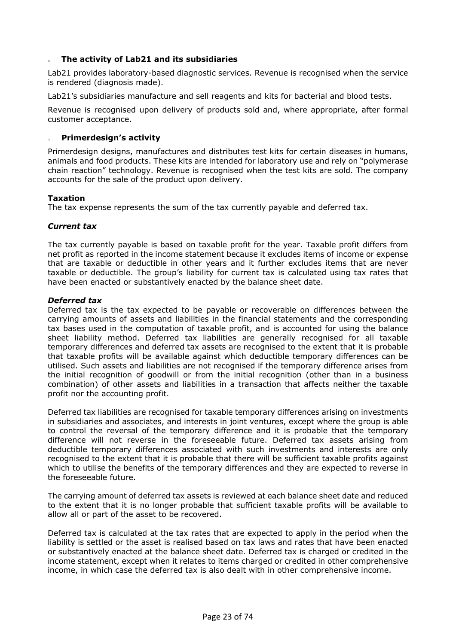#### <sup>o</sup> **The activity of Lab21 and its subsidiaries**

Lab21 provides laboratory-based diagnostic services. Revenue is recognised when the service is rendered (diagnosis made).

Lab21's subsidiaries manufacture and sell reagents and kits for bacterial and blood tests.

Revenue is recognised upon delivery of products sold and, where appropriate, after formal customer acceptance.

#### <sup>o</sup> **Primerdesign's activity**

Primerdesign designs, manufactures and distributes test kits for certain diseases in humans, animals and food products. These kits are intended for laboratory use and rely on "polymerase chain reaction" technology. Revenue is recognised when the test kits are sold. The company accounts for the sale of the product upon delivery.

#### **Taxation**

The tax expense represents the sum of the tax currently payable and deferred tax.

#### *Current tax*

The tax currently payable is based on taxable profit for the year. Taxable profit differs from net profit as reported in the income statement because it excludes items of income or expense that are taxable or deductible in other years and it further excludes items that are never taxable or deductible. The group's liability for current tax is calculated using tax rates that have been enacted or substantively enacted by the balance sheet date.

#### *Deferred tax*

Deferred tax is the tax expected to be payable or recoverable on differences between the carrying amounts of assets and liabilities in the financial statements and the corresponding tax bases used in the computation of taxable profit, and is accounted for using the balance sheet liability method. Deferred tax liabilities are generally recognised for all taxable temporary differences and deferred tax assets are recognised to the extent that it is probable that taxable profits will be available against which deductible temporary differences can be utilised. Such assets and liabilities are not recognised if the temporary difference arises from the initial recognition of goodwill or from the initial recognition (other than in a business combination) of other assets and liabilities in a transaction that affects neither the taxable profit nor the accounting profit.

Deferred tax liabilities are recognised for taxable temporary differences arising on investments in subsidiaries and associates, and interests in joint ventures, except where the group is able to control the reversal of the temporary difference and it is probable that the temporary difference will not reverse in the foreseeable future. Deferred tax assets arising from deductible temporary differences associated with such investments and interests are only recognised to the extent that it is probable that there will be sufficient taxable profits against which to utilise the benefits of the temporary differences and they are expected to reverse in the foreseeable future.

The carrying amount of deferred tax assets is reviewed at each balance sheet date and reduced to the extent that it is no longer probable that sufficient taxable profits will be available to allow all or part of the asset to be recovered.

Deferred tax is calculated at the tax rates that are expected to apply in the period when the liability is settled or the asset is realised based on tax laws and rates that have been enacted or substantively enacted at the balance sheet date. Deferred tax is charged or credited in the income statement, except when it relates to items charged or credited in other comprehensive income, in which case the deferred tax is also dealt with in other comprehensive income.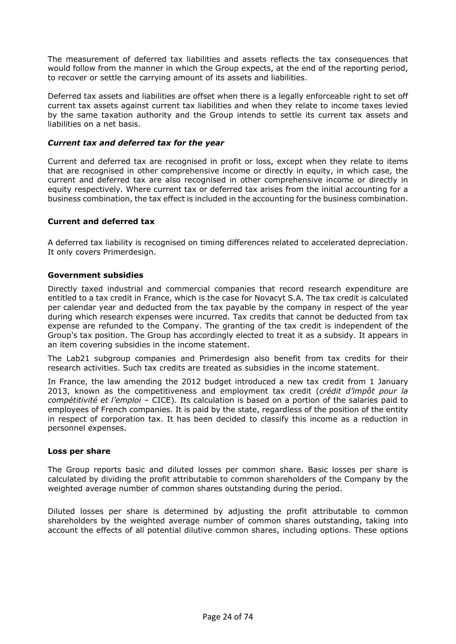The measurement of deferred tax liabilities and assets reflects the tax consequences that would follow from the manner in which the Group expects, at the end of the reporting period, to recover or settle the carrying amount of its assets and liabilities.

Deferred tax assets and liabilities are offset when there is a legally enforceable right to set off current tax assets against current tax liabilities and when they relate to income taxes levied by the same taxation authority and the Group intends to settle its current tax assets and liabilities on a net basis.

#### *Current tax and deferred tax for the year*

Current and deferred tax are recognised in profit or loss, except when they relate to items that are recognised in other comprehensive income or directly in equity, in which case, the current and deferred tax are also recognised in other comprehensive income or directly in equity respectively. Where current tax or deferred tax arises from the initial accounting for a business combination, the tax effect is included in the accounting for the business combination.

#### **Current and deferred tax**

A deferred tax liability is recognised on timing differences related to accelerated depreciation. It only covers Primerdesign.

#### **Government subsidies**

Directly taxed industrial and commercial companies that record research expenditure are entitled to a tax credit in France, which is the case for Novacyt S.A. The tax credit is calculated per calendar year and deducted from the tax payable by the company in respect of the year during which research expenses were incurred. Tax credits that cannot be deducted from tax expense are refunded to the Company. The granting of the tax credit is independent of the Group's tax position. The Group has accordingly elected to treat it as a subsidy. It appears in an item covering subsidies in the income statement.

The Lab21 subgroup companies and Primerdesign also benefit from tax credits for their research activities. Such tax credits are treated as subsidies in the income statement.

In France, the law amending the 2012 budget introduced a new tax credit from 1 January 2013, known as the competitiveness and employment tax credit (*crédit d'impôt pour la compétitivité et l'emploi* – CICE). Its calculation is based on a portion of the salaries paid to employees of French companies. It is paid by the state, regardless of the position of the entity in respect of corporation tax. It has been decided to classify this income as a reduction in personnel expenses.

#### **Loss per share**

The Group reports basic and diluted losses per common share. Basic losses per share is calculated by dividing the profit attributable to common shareholders of the Company by the weighted average number of common shares outstanding during the period.

Diluted losses per share is determined by adjusting the profit attributable to common shareholders by the weighted average number of common shares outstanding, taking into account the effects of all potential dilutive common shares, including options. These options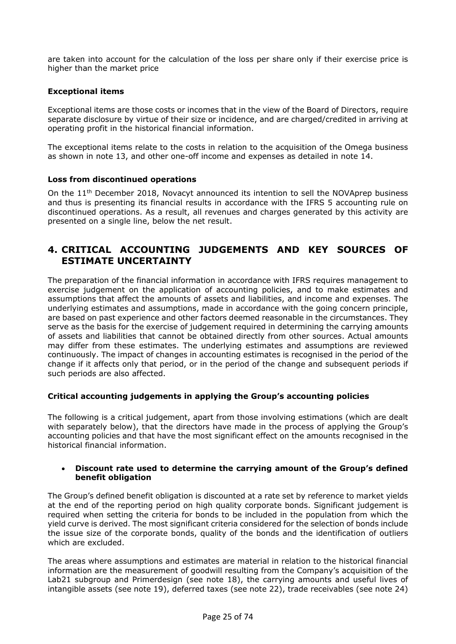are taken into account for the calculation of the loss per share only if their exercise price is higher than the market price

#### **Exceptional items**

Exceptional items are those costs or incomes that in the view of the Board of Directors, require separate disclosure by virtue of their size or incidence, and are charged/credited in arriving at operating profit in the historical financial information.

The exceptional items relate to the costs in relation to the acquisition of the Omega business as shown in note 13, and other one-off income and expenses as detailed in note 14.

#### **Loss from discontinued operations**

On the 11<sup>th</sup> December 2018, Novacyt announced its intention to sell the NOVAprep business and thus is presenting its financial results in accordance with the IFRS 5 accounting rule on discontinued operations. As a result, all revenues and charges generated by this activity are presented on a single line, below the net result.

### **4. CRITICAL ACCOUNTING JUDGEMENTS AND KEY SOURCES OF ESTIMATE UNCERTAINTY**

The preparation of the financial information in accordance with IFRS requires management to exercise judgement on the application of accounting policies, and to make estimates and assumptions that affect the amounts of assets and liabilities, and income and expenses. The underlying estimates and assumptions, made in accordance with the going concern principle, are based on past experience and other factors deemed reasonable in the circumstances. They serve as the basis for the exercise of judgement required in determining the carrying amounts of assets and liabilities that cannot be obtained directly from other sources. Actual amounts may differ from these estimates. The underlying estimates and assumptions are reviewed continuously. The impact of changes in accounting estimates is recognised in the period of the change if it affects only that period, or in the period of the change and subsequent periods if such periods are also affected.

#### **Critical accounting judgements in applying the Group's accounting policies**

The following is a critical judgement, apart from those involving estimations (which are dealt with separately below), that the directors have made in the process of applying the Group's accounting policies and that have the most significant effect on the amounts recognised in the historical financial information.

#### • **Discount rate used to determine the carrying amount of the Group's defined benefit obligation**

The Group's defined benefit obligation is discounted at a rate set by reference to market yields at the end of the reporting period on high quality corporate bonds. Significant judgement is required when setting the criteria for bonds to be included in the population from which the yield curve is derived. The most significant criteria considered for the selection of bonds include the issue size of the corporate bonds, quality of the bonds and the identification of outliers which are excluded.

The areas where assumptions and estimates are material in relation to the historical financial information are the measurement of goodwill resulting from the Company's acquisition of the Lab21 subgroup and Primerdesign (see note 18), the carrying amounts and useful lives of intangible assets (see note 19), deferred taxes (see note 22), trade receivables (see note 24)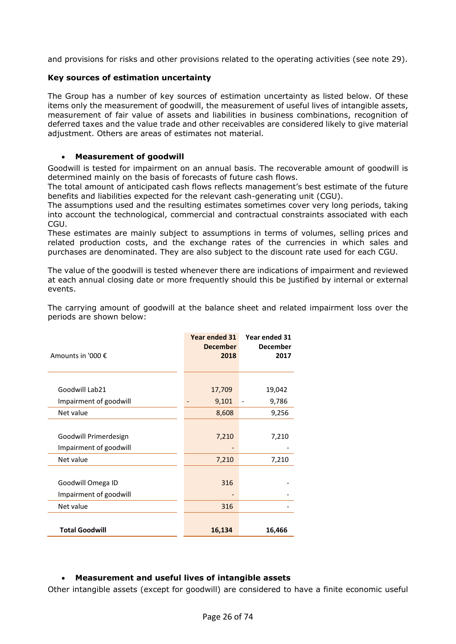and provisions for risks and other provisions related to the operating activities (see note 29).

#### **Key sources of estimation uncertainty**

The Group has a number of key sources of estimation uncertainty as listed below. Of these items only the measurement of goodwill, the measurement of useful lives of intangible assets, measurement of fair value of assets and liabilities in business combinations, recognition of deferred taxes and the value trade and other receivables are considered likely to give material adjustment. Others are areas of estimates not material.

#### • **Measurement of goodwill**

Goodwill is tested for impairment on an annual basis. The recoverable amount of goodwill is determined mainly on the basis of forecasts of future cash flows.

The total amount of anticipated cash flows reflects management's best estimate of the future benefits and liabilities expected for the relevant cash-generating unit (CGU).

The assumptions used and the resulting estimates sometimes cover very long periods, taking into account the technological, commercial and contractual constraints associated with each CGU.

These estimates are mainly subject to assumptions in terms of volumes, selling prices and related production costs, and the exchange rates of the currencies in which sales and purchases are denominated. They are also subject to the discount rate used for each CGU.

The value of the goodwill is tested whenever there are indications of impairment and reviewed at each annual closing date or more frequently should this be justified by internal or external events.

| Amounts in '000 €      | Year ended 31<br><b>December</b><br>2018 | Year ended 31<br><b>December</b><br>2017 |
|------------------------|------------------------------------------|------------------------------------------|
|                        |                                          |                                          |
| Goodwill Lab21         | 17,709                                   | 19,042                                   |
| Impairment of goodwill | 9,101                                    | 9,786                                    |
| Net value              | 8,608                                    | 9,256                                    |
|                        |                                          |                                          |
| Goodwill Primerdesign  | 7,210                                    | 7,210                                    |
| Impairment of goodwill |                                          |                                          |
| Net value              | 7,210                                    | 7,210                                    |
|                        |                                          |                                          |
| Goodwill Omega ID      | 316                                      |                                          |
| Impairment of goodwill |                                          |                                          |
| Net value              | 316                                      |                                          |
|                        |                                          |                                          |
| <b>Total Goodwill</b>  | 16,134                                   | 16,466                                   |

The carrying amount of goodwill at the balance sheet and related impairment loss over the periods are shown below:

#### • **Measurement and useful lives of intangible assets**

Other intangible assets (except for goodwill) are considered to have a finite economic useful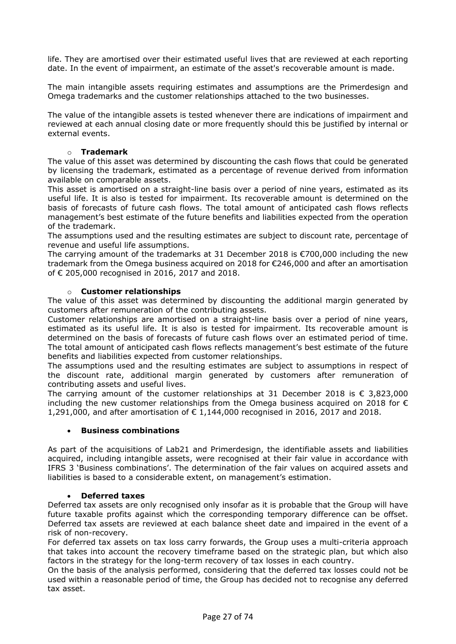life. They are amortised over their estimated useful lives that are reviewed at each reporting date. In the event of impairment, an estimate of the asset's recoverable amount is made.

The main intangible assets requiring estimates and assumptions are the Primerdesign and Omega trademarks and the customer relationships attached to the two businesses.

The value of the intangible assets is tested whenever there are indications of impairment and reviewed at each annual closing date or more frequently should this be justified by internal or external events.

#### o **Trademark**

The value of this asset was determined by discounting the cash flows that could be generated by licensing the trademark, estimated as a percentage of revenue derived from information available on comparable assets.

This asset is amortised on a straight-line basis over a period of nine years, estimated as its useful life. It is also is tested for impairment. Its recoverable amount is determined on the basis of forecasts of future cash flows. The total amount of anticipated cash flows reflects management's best estimate of the future benefits and liabilities expected from the operation of the trademark.

The assumptions used and the resulting estimates are subject to discount rate, percentage of revenue and useful life assumptions.

The carrying amount of the trademarks at 31 December 2018 is €700,000 including the new trademark from the Omega business acquired on 2018 for €246,000 and after an amortisation of € 205,000 recognised in 2016, 2017 and 2018.

#### o **Customer relationships**

The value of this asset was determined by discounting the additional margin generated by customers after remuneration of the contributing assets.

Customer relationships are amortised on a straight-line basis over a period of nine years, estimated as its useful life. It is also is tested for impairment. Its recoverable amount is determined on the basis of forecasts of future cash flows over an estimated period of time. The total amount of anticipated cash flows reflects management's best estimate of the future benefits and liabilities expected from customer relationships.

The assumptions used and the resulting estimates are subject to assumptions in respect of the discount rate, additional margin generated by customers after remuneration of contributing assets and useful lives.

The carrying amount of the customer relationships at 31 December 2018 is  $\epsilon$  3,823,000 including the new customer relationships from the Omega business acquired on 2018 for € 1,291,000, and after amortisation of € 1,144,000 recognised in 2016, 2017 and 2018.

#### • **Business combinations**

As part of the acquisitions of Lab21 and Primerdesign, the identifiable assets and liabilities acquired, including intangible assets, were recognised at their fair value in accordance with IFRS 3 'Business combinations'. The determination of the fair values on acquired assets and liabilities is based to a considerable extent, on management's estimation.

#### • **Deferred taxes**

Deferred tax assets are only recognised only insofar as it is probable that the Group will have future taxable profits against which the corresponding temporary difference can be offset. Deferred tax assets are reviewed at each balance sheet date and impaired in the event of a risk of non-recovery.

For deferred tax assets on tax loss carry forwards, the Group uses a multi-criteria approach that takes into account the recovery timeframe based on the strategic plan, but which also factors in the strategy for the long-term recovery of tax losses in each country.

On the basis of the analysis performed, considering that the deferred tax losses could not be used within a reasonable period of time, the Group has decided not to recognise any deferred tax asset.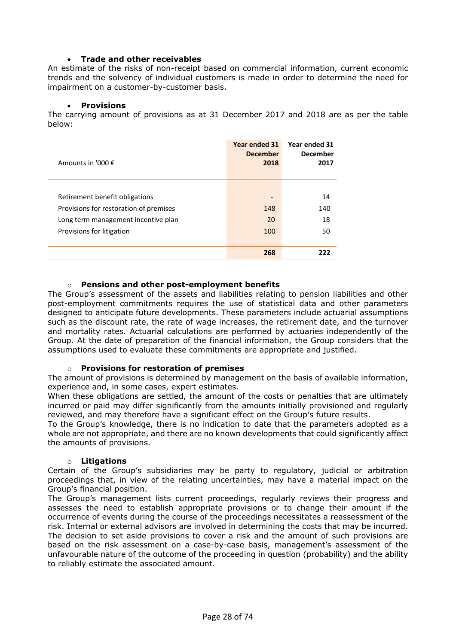#### • **Trade and other receivables**

An estimate of the risks of non-receipt based on commercial information, current economic trends and the solvency of individual customers is made in order to determine the need for impairment on a customer-by-customer basis.

#### • **Provisions**

The carrying amount of provisions as at 31 December 2017 and 2018 are as per the table below:

| Amounts in '000 €                                                                                                                            | Year ended 31<br><b>December</b><br>2018 | Year ended 31<br><b>December</b><br>2017 |
|----------------------------------------------------------------------------------------------------------------------------------------------|------------------------------------------|------------------------------------------|
| Retirement benefit obligations<br>Provisions for restoration of premises<br>Long term management incentive plan<br>Provisions for litigation | -<br>148<br>20<br>100                    | 14<br>140<br>18<br>50                    |
|                                                                                                                                              | 268                                      | 222                                      |

#### o **Pensions and other post-employment benefits**

The Group's assessment of the assets and liabilities relating to pension liabilities and other post-employment commitments requires the use of statistical data and other parameters designed to anticipate future developments. These parameters include actuarial assumptions such as the discount rate, the rate of wage increases, the retirement date, and the turnover and mortality rates. Actuarial calculations are performed by actuaries independently of the Group. At the date of preparation of the financial information, the Group considers that the assumptions used to evaluate these commitments are appropriate and justified.

#### o **Provisions for restoration of premises**

The amount of provisions is determined by management on the basis of available information, experience and, in some cases, expert estimates.

When these obligations are settled, the amount of the costs or penalties that are ultimately incurred or paid may differ significantly from the amounts initially provisioned and regularly reviewed, and may therefore have a significant effect on the Group's future results.

To the Group's knowledge, there is no indication to date that the parameters adopted as a whole are not appropriate, and there are no known developments that could significantly affect the amounts of provisions.

#### o **Litigations**

Certain of the Group's subsidiaries may be party to regulatory, judicial or arbitration proceedings that, in view of the relating uncertainties, may have a material impact on the Group's financial position.

The Group's management lists current proceedings, regularly reviews their progress and assesses the need to establish appropriate provisions or to change their amount if the occurrence of events during the course of the proceedings necessitates a reassessment of the risk. Internal or external advisors are involved in determining the costs that may be incurred. The decision to set aside provisions to cover a risk and the amount of such provisions are based on the risk assessment on a case-by-case basis, management's assessment of the unfavourable nature of the outcome of the proceeding in question (probability) and the ability to reliably estimate the associated amount.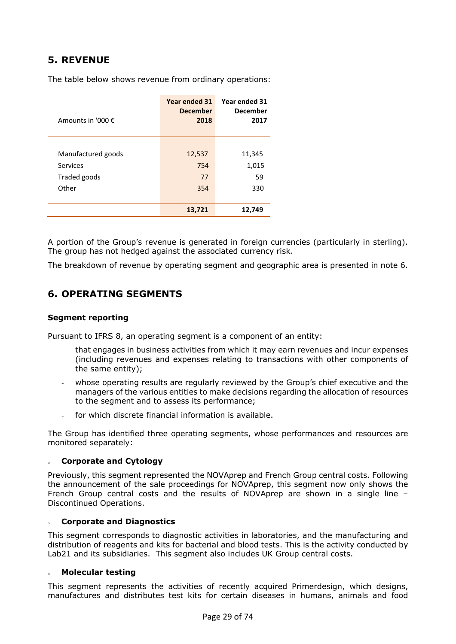### **5. REVENUE**

The table below shows revenue from ordinary operations:

| Amounts in '000 €  | Year ended 31<br><b>December</b><br>2018 | Year ended 31<br><b>December</b><br>2017 |
|--------------------|------------------------------------------|------------------------------------------|
|                    |                                          |                                          |
| Manufactured goods | 12,537                                   | 11,345                                   |
| Services           | 754                                      | 1,015                                    |
| Traded goods       | 77                                       | 59                                       |
| Other              | 354                                      | 330                                      |
|                    |                                          |                                          |
|                    | 13,721                                   | 12,749                                   |

A portion of the Group's revenue is generated in foreign currencies (particularly in sterling). The group has not hedged against the associated currency risk.

The breakdown of revenue by operating segment and geographic area is presented in note 6.

### **6. OPERATING SEGMENTS**

#### **Segment reporting**

Pursuant to IFRS 8, an operating segment is a component of an entity:

- that engages in business activities from which it may earn revenues and incur expenses (including revenues and expenses relating to transactions with other components of the same entity);
- whose operating results are regularly reviewed by the Group's chief executive and the managers of the various entities to make decisions regarding the allocation of resources to the segment and to assess its performance;
- for which discrete financial information is available.

The Group has identified three operating segments, whose performances and resources are monitored separately:

#### **Corporate and Cytology**

Previously, this segment represented the NOVAprep and French Group central costs. Following the announcement of the sale proceedings for NOVAprep, this segment now only shows the French Group central costs and the results of NOVAprep are shown in a single line – Discontinued Operations.

#### <sup>o</sup> **Corporate and Diagnostics**

This segment corresponds to diagnostic activities in laboratories, and the manufacturing and distribution of reagents and kits for bacterial and blood tests. This is the activity conducted by Lab21 and its subsidiaries. This segment also includes UK Group central costs.

#### <sup>o</sup> **Molecular testing**

This segment represents the activities of recently acquired Primerdesign, which designs, manufactures and distributes test kits for certain diseases in humans, animals and food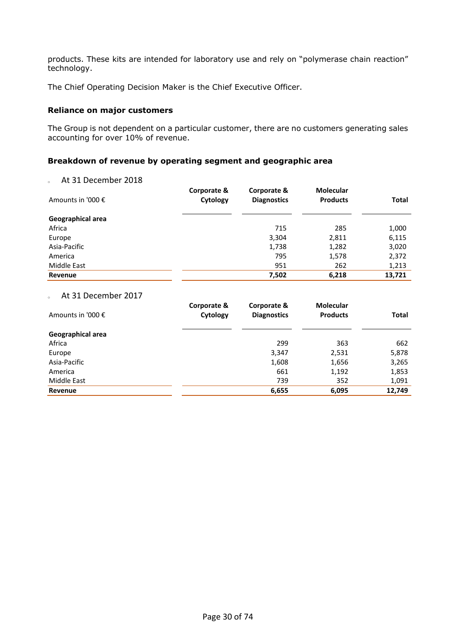products. These kits are intended for laboratory use and rely on "polymerase chain reaction" technology.

The Chief Operating Decision Maker is the Chief Executive Officer.

#### **Reliance on major customers**

The Group is not dependent on a particular customer, there are no customers generating sales accounting for over 10% of revenue.

#### **Breakdown of revenue by operating segment and geographic area**

<sup>o</sup> At 31 December 2018

| Amounts in '000 € | Corporate &<br>Cytology | Corporate &<br><b>Diagnostics</b> | <b>Molecular</b><br><b>Products</b> | <b>Total</b> |
|-------------------|-------------------------|-----------------------------------|-------------------------------------|--------------|
| Geographical area |                         |                                   |                                     |              |
| Africa            |                         | 715                               | 285                                 | 1,000        |
| Europe            |                         | 3,304                             | 2,811                               | 6,115        |
| Asia-Pacific      |                         | 1,738                             | 1,282                               | 3,020        |
| America           |                         | 795                               | 1,578                               | 2,372        |
| Middle East       |                         | 951                               | 262                                 | 1,213        |
| Revenue           |                         | 7,502                             | 6,218                               | 13,721       |

#### <sup>o</sup> At 31 December 2017

| Amounts in '000 € | Corporate &<br>Cytology | Corporate &<br><b>Diagnostics</b> | <b>Molecular</b><br><b>Products</b> | <b>Total</b> |
|-------------------|-------------------------|-----------------------------------|-------------------------------------|--------------|
| Geographical area |                         |                                   |                                     |              |
| Africa            |                         | 299                               | 363                                 | 662          |
| Europe            |                         | 3,347                             | 2,531                               | 5,878        |
| Asia-Pacific      |                         | 1,608                             | 1,656                               | 3,265        |
| America           |                         | 661                               | 1,192                               | 1,853        |
| Middle East       |                         | 739                               | 352                                 | 1,091        |
| Revenue           |                         | 6,655                             | 6,095                               | 12,749       |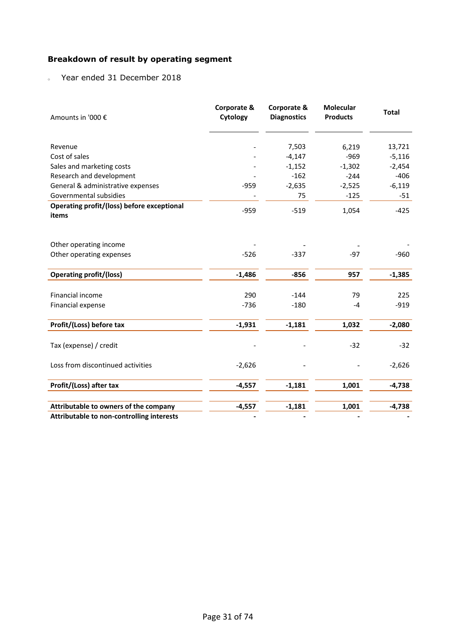## **Breakdown of result by operating segment**

<sup>o</sup> Year ended 31 December 2018

| Amounts in '000 €                                   | Corporate &<br>Cytology | Corporate &<br><b>Diagnostics</b> | <b>Molecular</b><br><b>Products</b> | <b>Total</b> |
|-----------------------------------------------------|-------------------------|-----------------------------------|-------------------------------------|--------------|
| Revenue                                             |                         | 7,503                             | 6,219                               | 13,721       |
| Cost of sales                                       |                         | $-4,147$                          | $-969$                              | $-5,116$     |
| Sales and marketing costs                           |                         | $-1,152$                          | $-1,302$                            | $-2,454$     |
| Research and development                            |                         | $-162$                            | $-244$                              | $-406$       |
| General & administrative expenses                   | $-959$                  | $-2,635$                          | $-2,525$                            | $-6,119$     |
| Governmental subsidies                              |                         | 75                                | $-125$                              | $-51$        |
| Operating profit/(loss) before exceptional<br>items | $-959$                  | $-519$                            | 1,054                               | $-425$       |
| Other operating income                              |                         |                                   |                                     |              |
| Other operating expenses                            | $-526$                  | $-337$                            | $-97$                               | $-960$       |
| <b>Operating profit/(loss)</b>                      | $-1,486$                | $-856$                            | 957                                 | $-1,385$     |
| Financial income                                    | 290                     | $-144$                            | 79                                  | 225          |
| Financial expense                                   | $-736$                  | $-180$                            | $-4$                                | $-919$       |
| Profit/(Loss) before tax                            | $-1,931$                | $-1,181$                          | 1,032                               | $-2,080$     |
| Tax (expense) / credit                              |                         |                                   | $-32$                               | $-32$        |
| Loss from discontinued activities                   | $-2,626$                |                                   |                                     | $-2,626$     |
| Profit/(Loss) after tax                             | $-4,557$                | $-1,181$                          | 1,001                               | $-4,738$     |
| Attributable to owners of the company               | $-4,557$                | $-1,181$                          | 1,001                               | $-4,738$     |
| Attributable to non-controlling interests           |                         |                                   |                                     |              |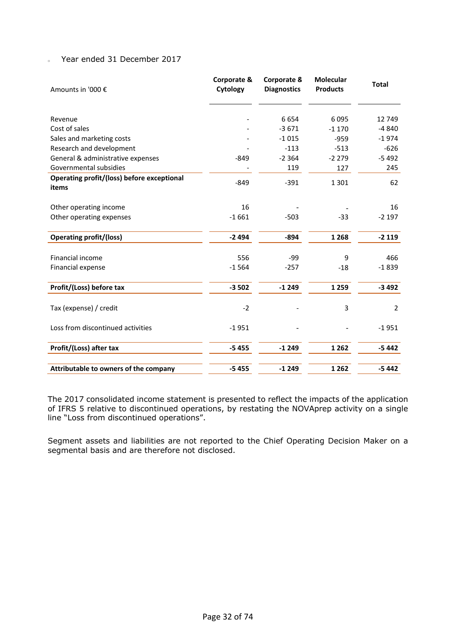#### o Year ended 31 December 2017

| Amounts in '000 €                                   | Corporate &<br>Cytology | Corporate 8<br><b>Diagnostics</b> | <b>Molecular</b><br><b>Products</b> | <b>Total</b>   |
|-----------------------------------------------------|-------------------------|-----------------------------------|-------------------------------------|----------------|
|                                                     |                         |                                   |                                     |                |
| Revenue                                             |                         | 6654                              | 6095                                | 12749          |
| Cost of sales                                       |                         | $-3671$                           | $-1170$                             | $-4840$        |
| Sales and marketing costs                           |                         | $-1015$                           | $-959$                              | $-1974$        |
| Research and development                            |                         | $-113$                            | $-513$                              | $-626$         |
| General & administrative expenses                   | $-849$                  | $-2364$                           | $-2279$                             | $-5492$        |
| Governmental subsidies                              |                         | 119                               | 127                                 | 245            |
| Operating profit/(loss) before exceptional<br>items | $-849$                  | $-391$                            | 1 3 0 1                             | 62             |
| Other operating income                              | 16                      |                                   |                                     | 16             |
| Other operating expenses                            | $-1661$                 | $-503$                            | $-33$                               | $-2197$        |
| <b>Operating profit/(loss)</b>                      | $-2494$                 | $-894$                            | 1 2 6 8                             | $-2119$        |
| <b>Financial income</b>                             | 556                     | -99                               | 9                                   | 466            |
| Financial expense                                   | $-1564$                 | $-257$                            | $-18$                               | $-1839$        |
| Profit/(Loss) before tax                            | $-3502$                 | $-1249$                           | 1 2 5 9                             | $-3492$        |
| Tax (expense) / credit                              | $-2$                    |                                   | 3                                   | $\overline{2}$ |
| Loss from discontinued activities                   | $-1951$                 |                                   |                                     | $-1951$        |
| Profit/(Loss) after tax                             | $-5455$                 | $-1249$                           | 1 2 6 2                             | $-5442$        |
| Attributable to owners of the company               | $-5455$                 | $-1249$                           | 1 2 6 2                             | $-5442$        |

The 2017 consolidated income statement is presented to reflect the impacts of the application of IFRS 5 relative to discontinued operations, by restating the NOVAprep activity on a single line "Loss from discontinued operations".

Segment assets and liabilities are not reported to the Chief Operating Decision Maker on a segmental basis and are therefore not disclosed.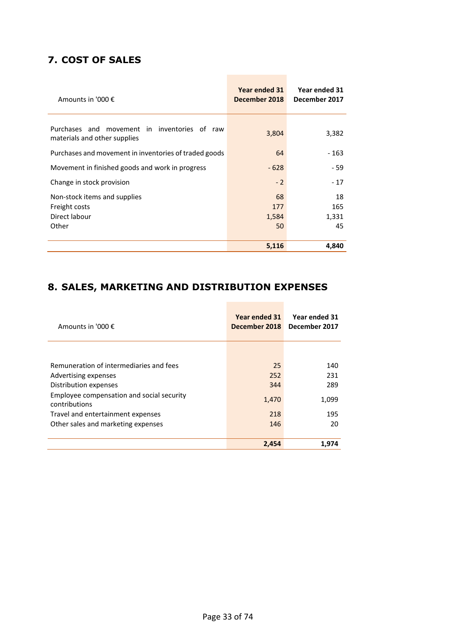# **7. COST OF SALES**

| Amounts in '000 €                                                            | Year ended 31<br>December 2018 | Year ended 31<br>December 2017 |
|------------------------------------------------------------------------------|--------------------------------|--------------------------------|
| Purchases and movement in inventories of raw<br>materials and other supplies | 3,804                          | 3,382                          |
| Purchases and movement in inventories of traded goods                        | 64                             | - 163                          |
| Movement in finished goods and work in progress                              | $-628$                         | $-59$                          |
| Change in stock provision                                                    | $-2$                           | $-17$                          |
| Non-stock items and supplies<br>Freight costs                                | 68<br>177                      | 18<br>165                      |
| Direct labour<br>Other                                                       | 1,584<br>50                    | 1,331<br>45                    |
|                                                                              | 5,116                          | 4,840                          |

# **8. SALES, MARKETING AND DISTRIBUTION EXPENSES**

| Amounts in '000 $\epsilon$                                 | Year ended 31<br>December 2018 | Year ended 31<br>December 2017 |
|------------------------------------------------------------|--------------------------------|--------------------------------|
|                                                            |                                |                                |
| Remuneration of intermediaries and fees                    | 25                             | 140                            |
| Advertising expenses                                       | 252                            | 231                            |
| Distribution expenses                                      | 344                            | 289                            |
| Employee compensation and social security<br>contributions | 1,470                          | 1,099                          |
| Travel and entertainment expenses                          | 218                            | 195                            |
| Other sales and marketing expenses                         | 146                            | 20                             |
|                                                            | 2,454                          | 1.974                          |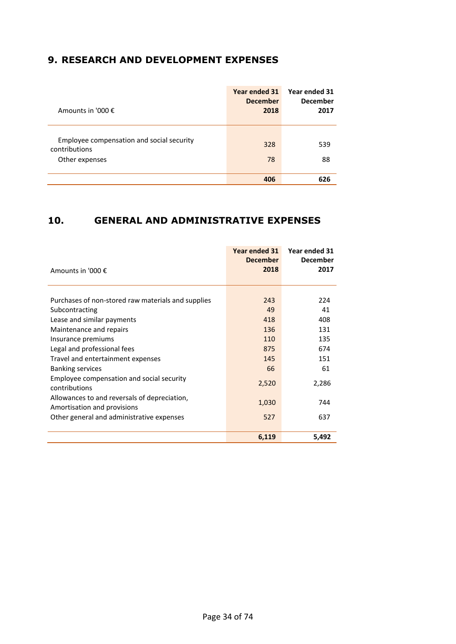## **9. RESEARCH AND DEVELOPMENT EXPENSES**

| Amounts in '000 €                                                            | Year ended 31<br><b>December</b><br>2018 | Year ended 31<br><b>December</b><br>2017 |
|------------------------------------------------------------------------------|------------------------------------------|------------------------------------------|
| Employee compensation and social security<br>contributions<br>Other expenses | 328<br>78                                | 539<br>88                                |
|                                                                              | 406                                      | 626                                      |

### **10. GENERAL AND ADMINISTRATIVE EXPENSES**

| Amounts in '000 €                                                           | Year ended 31<br><b>December</b><br>2018 | Year ended 31<br><b>December</b><br>2017 |
|-----------------------------------------------------------------------------|------------------------------------------|------------------------------------------|
| Purchases of non-stored raw materials and supplies                          | 243                                      | 224                                      |
|                                                                             | 49                                       | 41                                       |
| Subcontracting                                                              |                                          |                                          |
| Lease and similar payments                                                  | 418                                      | 408                                      |
| Maintenance and repairs                                                     | 136                                      | 131                                      |
| Insurance premiums                                                          | 110                                      | 135                                      |
| Legal and professional fees                                                 | 875                                      | 674                                      |
| Travel and entertainment expenses                                           | 145                                      | 151                                      |
| <b>Banking services</b>                                                     | 66                                       | 61                                       |
| Employee compensation and social security<br>contributions                  | 2,520                                    | 2,286                                    |
| Allowances to and reversals of depreciation,<br>Amortisation and provisions | 1,030                                    | 744                                      |
| Other general and administrative expenses                                   | 527                                      | 637                                      |
|                                                                             | 6,119                                    | 5,492                                    |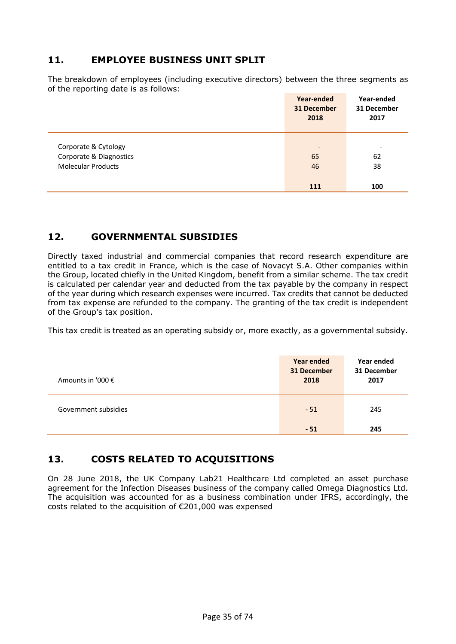### **11. EMPLOYEE BUSINESS UNIT SPLIT**

The breakdown of employees (including executive directors) between the three segments as of the reporting date is as follows:

|                           | Year-ended<br>31 December<br>2018 | Year-ended<br>31 December<br>2017 |
|---------------------------|-----------------------------------|-----------------------------------|
| Corporate & Cytology      | $\qquad \qquad \blacksquare$      |                                   |
| Corporate & Diagnostics   | 65                                | 62                                |
| <b>Molecular Products</b> | 46                                | 38                                |
|                           |                                   |                                   |
|                           | <b>111</b>                        | 100                               |

### **12. GOVERNMENTAL SUBSIDIES**

Directly taxed industrial and commercial companies that record research expenditure are entitled to a tax credit in France, which is the case of Novacyt S.A. Other companies within the Group, located chiefly in the United Kingdom, benefit from a similar scheme. The tax credit is calculated per calendar year and deducted from the tax payable by the company in respect of the year during which research expenses were incurred. Tax credits that cannot be deducted from tax expense are refunded to the company. The granting of the tax credit is independent of the Group's tax position.

This tax credit is treated as an operating subsidy or, more exactly, as a governmental subsidy.

| Amounts in '000 €    | Year ended<br>31 December<br>2018 | Year ended<br>31 December<br>2017 |
|----------------------|-----------------------------------|-----------------------------------|
| Government subsidies | $-51$                             | 245                               |
|                      | $-51$                             | 245                               |

### **13. COSTS RELATED TO ACQUISITIONS**

On 28 June 2018, the UK Company Lab21 Healthcare Ltd completed an asset purchase agreement for the Infection Diseases business of the company called Omega Diagnostics Ltd. The acquisition was accounted for as a business combination under IFRS, accordingly, the costs related to the acquisition of €201,000 was expensed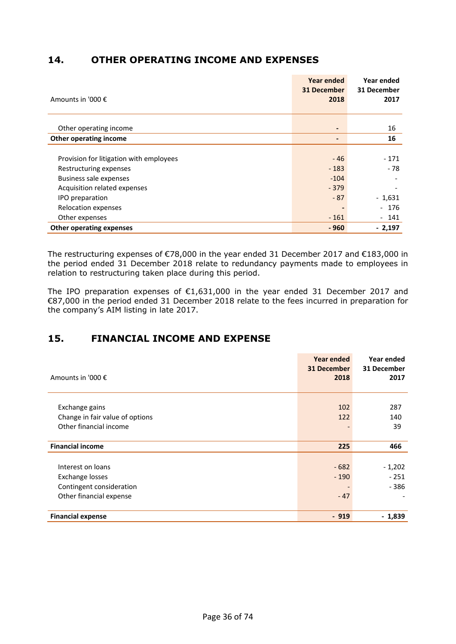### **14. OTHER OPERATING INCOME AND EXPENSES**

| Amounts in '000 €                       | Year ended<br>31 December<br>2018 | Year ended<br>31 December<br>2017 |
|-----------------------------------------|-----------------------------------|-----------------------------------|
| Other operating income                  |                                   | 16                                |
| Other operating income                  |                                   | 16                                |
|                                         |                                   |                                   |
| Provision for litigation with employees | - 46                              | $-171$                            |
| Restructuring expenses                  | $-183$                            | - 78                              |
| <b>Business sale expenses</b>           | $-104$                            | $\overline{\phantom{0}}$          |
| Acquisition related expenses            | $-379$                            |                                   |
| IPO preparation                         | $-87$                             | $-1,631$                          |
| Relocation expenses                     |                                   | $-176$                            |
| Other expenses                          | $-161$                            | $-141$                            |
| <b>Other operating expenses</b>         | - 960                             | $-2,197$                          |

The restructuring expenses of €78,000 in the year ended 31 December 2017 and €183,000 in the period ended 31 December 2018 relate to redundancy payments made to employees in relation to restructuring taken place during this period.

The IPO preparation expenses of  $E1,631,000$  in the year ended 31 December 2017 and €87,000 in the period ended 31 December 2018 relate to the fees incurred in preparation for the company's AIM listing in late 2017.

### **15. FINANCIAL INCOME AND EXPENSE**

|                                 | <b>Year ended</b><br>31 December | Year ended<br>31 December |
|---------------------------------|----------------------------------|---------------------------|
| Amounts in '000 €               | 2018                             | 2017                      |
|                                 |                                  |                           |
| Exchange gains                  | 102                              | 287                       |
| Change in fair value of options | 122                              | 140                       |
| Other financial income          |                                  | 39                        |
|                                 |                                  |                           |
| <b>Financial income</b>         | 225                              | 466                       |
|                                 |                                  |                           |
| Interest on loans               | $-682$                           | $-1,202$                  |
| <b>Exchange losses</b>          | $-190$                           | $-251$                    |
| Contingent consideration        |                                  | - 386                     |
| Other financial expense         | $-47$                            |                           |
|                                 |                                  |                           |
| <b>Financial expense</b>        | $-919$                           | $-1,839$                  |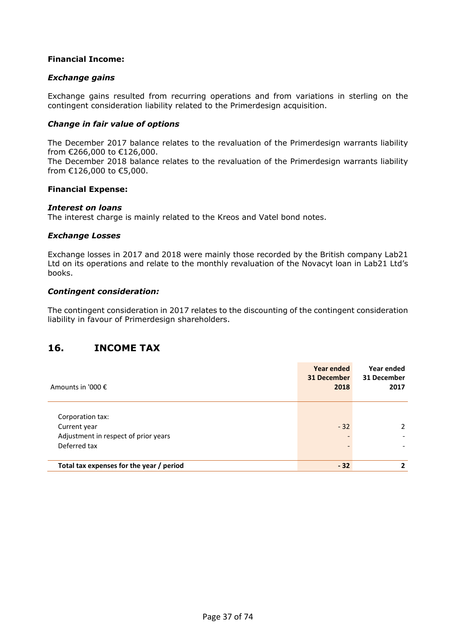## **Financial Income:**

### *Exchange gains*

Exchange gains resulted from recurring operations and from variations in sterling on the contingent consideration liability related to the Primerdesign acquisition.

### *Change in fair value of options*

The December 2017 balance relates to the revaluation of the Primerdesign warrants liability from €266,000 to €126,000.

The December 2018 balance relates to the revaluation of the Primerdesign warrants liability from €126,000 to €5,000.

### **Financial Expense:**

### *Interest on loans*

The interest charge is mainly related to the Kreos and Vatel bond notes.

### *Exchange Losses*

Exchange losses in 2017 and 2018 were mainly those recorded by the British company Lab21 Ltd on its operations and relate to the monthly revaluation of the Novacyt loan in Lab21 Ltd's books.

### *Contingent consideration:*

The contingent consideration in 2017 relates to the discounting of the contingent consideration liability in favour of Primerdesign shareholders.

## **16. INCOME TAX**

| Amounts in '000 €                        | <b>Year ended</b><br>31 December<br>2018 | Year ended<br>31 December<br>2017 |
|------------------------------------------|------------------------------------------|-----------------------------------|
| Corporation tax:                         |                                          |                                   |
| Current year                             | $-32$                                    | $\mathcal{L}$                     |
| Adjustment in respect of prior years     |                                          |                                   |
| Deferred tax                             |                                          |                                   |
| Total tax expenses for the year / period | $-32$                                    |                                   |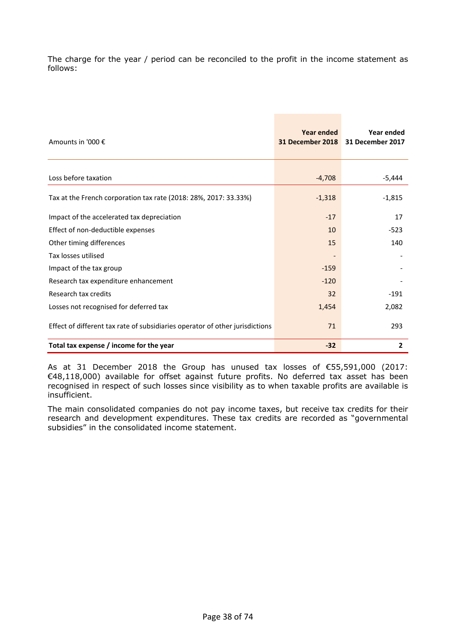The charge for the year / period can be reconciled to the profit in the income statement as follows:

| Amounts in '000 €                                                            | Year ended<br>31 December 2018 | Year ended<br>31 December 2017 |
|------------------------------------------------------------------------------|--------------------------------|--------------------------------|
| Loss before taxation                                                         | $-4,708$                       | -5,444                         |
| Tax at the French corporation tax rate (2018: 28%, 2017: 33.33%)             | $-1,318$                       | $-1,815$                       |
| Impact of the accelerated tax depreciation                                   | $-17$                          | 17                             |
| Effect of non-deductible expenses                                            | 10                             | $-523$                         |
| Other timing differences                                                     | 15                             | 140                            |
| Tax losses utilised                                                          |                                |                                |
| Impact of the tax group                                                      | $-159$                         |                                |
| Research tax expenditure enhancement                                         | $-120$                         |                                |
| Research tax credits                                                         | 32                             | $-191$                         |
| Losses not recognised for deferred tax                                       | 1,454                          | 2,082                          |
| Effect of different tax rate of subsidiaries operator of other jurisdictions | 71                             | 293                            |
| Total tax expense / income for the year                                      | $-32$                          | $\overline{2}$                 |

As at 31 December 2018 the Group has unused tax losses of €55,591,000 (2017: €48,118,000) available for offset against future profits. No deferred tax asset has been recognised in respect of such losses since visibility as to when taxable profits are available is insufficient.

The main consolidated companies do not pay income taxes, but receive tax credits for their research and development expenditures. These tax credits are recorded as "governmental subsidies" in the consolidated income statement.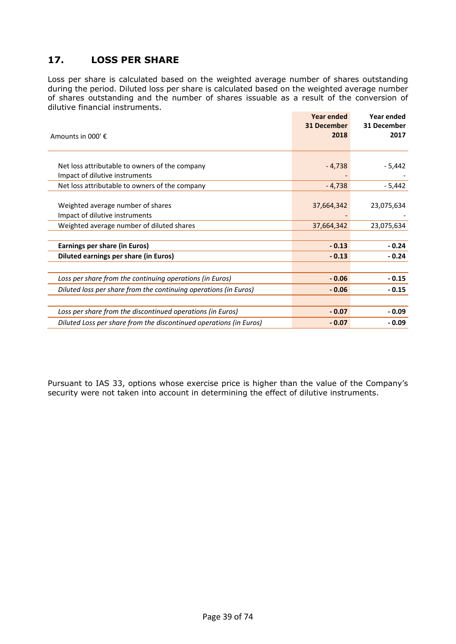## **17. LOSS PER SHARE**

Loss per share is calculated based on the weighted average number of shares outstanding during the period. Diluted loss per share is calculated based on the weighted average number of shares outstanding and the number of shares issuable as a result of the conversion of dilutive financial instruments. **Year ended**

| Amounts in 000' €                                                                | <b>Year ended</b><br>31 December<br>2018 | Year ended<br>31 December<br>2017 |
|----------------------------------------------------------------------------------|------------------------------------------|-----------------------------------|
| Net loss attributable to owners of the company<br>Impact of dilutive instruments | $-4,738$                                 | $-5,442$                          |
| Net loss attributable to owners of the company                                   | $-4,738$                                 | $-5,442$                          |
| Weighted average number of shares<br>Impact of dilutive instruments              | 37,664,342                               | 23,075,634                        |
| Weighted average number of diluted shares                                        | 37,664,342                               | 23,075,634                        |
|                                                                                  |                                          |                                   |
| Earnings per share (in Euros)                                                    | $-0.13$                                  | $-0.24$                           |
| Diluted earnings per share (in Euros)                                            | $-0.13$                                  | $-0.24$                           |
|                                                                                  |                                          |                                   |
| Loss per share from the continuing operations (in Euros)                         | $-0.06$                                  | $-0.15$                           |
| Diluted loss per share from the continuing operations (in Euros)                 | $-0.06$                                  | $-0.15$                           |
|                                                                                  |                                          |                                   |
| Loss per share from the discontinued operations (in Euros)                       | $-0.07$                                  | $-0.09$                           |
| Diluted Loss per share from the discontinued operations (in Euros)               | $-0.07$                                  | $-0.09$                           |

Pursuant to IAS 33, options whose exercise price is higher than the value of the Company's security were not taken into account in determining the effect of dilutive instruments.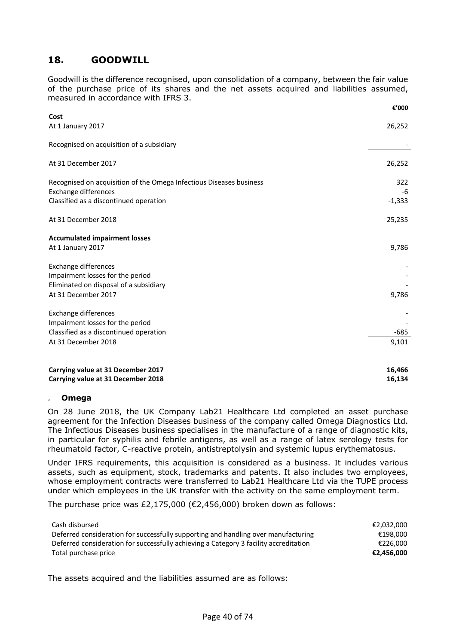## **18. GOODWILL**

Goodwill is the difference recognised, upon consolidation of a company, between the fair value of the purchase price of its shares and the net assets acquired and liabilities assumed, measured in accordance with IFRS 3.

**€'000**

| Cost                                                                                                                                         |                       |
|----------------------------------------------------------------------------------------------------------------------------------------------|-----------------------|
| At 1 January 2017                                                                                                                            | 26,252                |
| Recognised on acquisition of a subsidiary                                                                                                    |                       |
| At 31 December 2017                                                                                                                          | 26,252                |
| Recognised on acquisition of the Omega Infectious Diseases business<br><b>Exchange differences</b><br>Classified as a discontinued operation | 322<br>-6<br>$-1,333$ |
| At 31 December 2018                                                                                                                          | 25,235                |
| <b>Accumulated impairment losses</b><br>At 1 January 2017                                                                                    | 9,786                 |
| Exchange differences<br>Impairment losses for the period<br>Eliminated on disposal of a subsidiary<br>At 31 December 2017                    | 9,786                 |
| <b>Exchange differences</b><br>Impairment losses for the period<br>Classified as a discontinued operation<br>At 31 December 2018             | $-685$<br>9,101       |
| Carrying value at 31 December 2017<br>Carrying value at 31 December 2018                                                                     | 16,466<br>16,134      |

### <sup>o</sup> **Omega**

On 28 June 2018, the UK Company Lab21 Healthcare Ltd completed an asset purchase agreement for the Infection Diseases business of the company called Omega Diagnostics Ltd. The Infectious Diseases business specialises in the manufacture of a range of diagnostic kits, in particular for syphilis and febrile antigens, as well as a range of latex serology tests for rheumatoid factor, C-reactive protein, antistreptolysin and systemic lupus erythematosus.

Under IFRS requirements, this acquisition is considered as a business. It includes various assets, such as equipment, stock, trademarks and patents. It also includes two employees, whose employment contracts were transferred to Lab21 Healthcare Ltd via the TUPE process under which employees in the UK transfer with the activity on the same employment term.

The purchase price was £2,175,000 ( $\epsilon$ 2,456,000) broken down as follows:

| Cash disbursed                                                                        | €2.032.000 |
|---------------------------------------------------------------------------------------|------------|
| Deferred consideration for successfully supporting and handling over manufacturing    | €198.000   |
| Deferred consideration for successfully achieving a Category 3 facility accreditation | €226.000   |
| Total purchase price                                                                  | €2.456.000 |

The assets acquired and the liabilities assumed are as follows: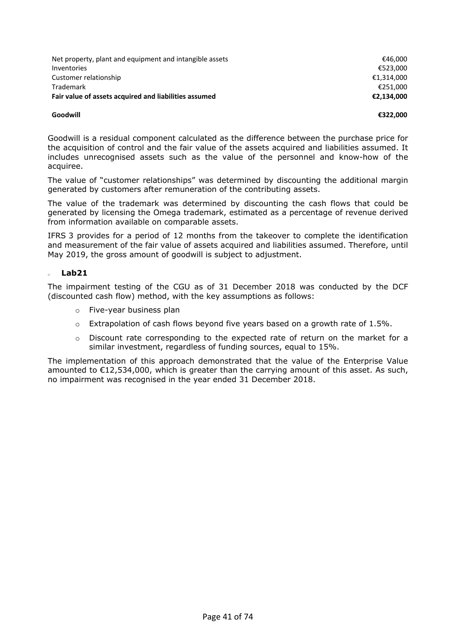| Net property, plant and equipment and intangible assets | €46.000    |
|---------------------------------------------------------|------------|
| Inventories                                             | €523.000   |
| Customer relationship                                   | €1.314.000 |
| Trademark                                               | €251.000   |
| Fair value of assets acquired and liabilities assumed   | €2.134.000 |
|                                                         |            |

**Goodwill €322,000**

Goodwill is a residual component calculated as the difference between the purchase price for the acquisition of control and the fair value of the assets acquired and liabilities assumed. It includes unrecognised assets such as the value of the personnel and know-how of the acquiree.

The value of "customer relationships" was determined by discounting the additional margin generated by customers after remuneration of the contributing assets.

The value of the trademark was determined by discounting the cash flows that could be generated by licensing the Omega trademark, estimated as a percentage of revenue derived from information available on comparable assets.

IFRS 3 provides for a period of 12 months from the takeover to complete the identification and measurement of the fair value of assets acquired and liabilities assumed. Therefore, until May 2019, the gross amount of goodwill is subject to adjustment.

## <sup>o</sup> **Lab21**

The impairment testing of the CGU as of 31 December 2018 was conducted by the DCF (discounted cash flow) method, with the key assumptions as follows:

- o Five-year business plan
- $\circ$  Extrapolation of cash flows beyond five years based on a growth rate of 1.5%.
- $\circ$  Discount rate corresponding to the expected rate of return on the market for a similar investment, regardless of funding sources, equal to 15%.

The implementation of this approach demonstrated that the value of the Enterprise Value amounted to  $\epsilon$ 12,534,000, which is greater than the carrying amount of this asset. As such, no impairment was recognised in the year ended 31 December 2018.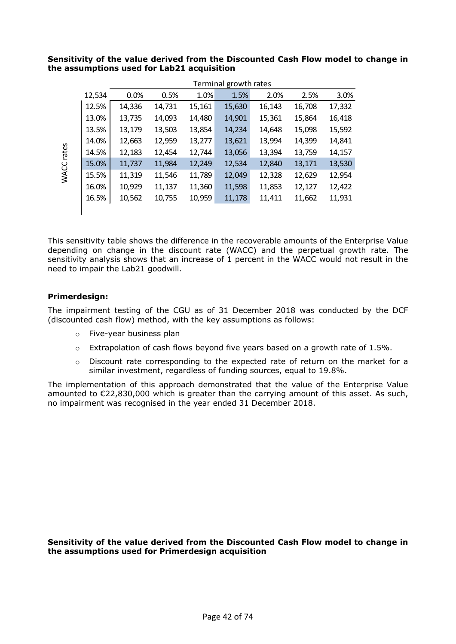|             |        | Terminal growth rates |        |        |        |        |        |        |  |  |  |
|-------------|--------|-----------------------|--------|--------|--------|--------|--------|--------|--|--|--|
|             | 12,534 | 0.0%                  | 0.5%   | 1.0%   | 1.5%   | 2.0%   | 2.5%   | 3.0%   |  |  |  |
|             | 12.5%  | 14,336                | 14,731 | 15,161 | 15,630 | 16,143 | 16,708 | 17,332 |  |  |  |
|             | 13.0%  | 13,735                | 14,093 | 14,480 | 14,901 | 15,361 | 15,864 | 16,418 |  |  |  |
|             | 13.5%  | 13,179                | 13,503 | 13,854 | 14,234 | 14,648 | 15,098 | 15,592 |  |  |  |
| rates       | 14.0%  | 12,663                | 12,959 | 13,277 | 13,621 | 13,994 | 14,399 | 14,841 |  |  |  |
|             | 14.5%  | 12,183                | 12,454 | 12,744 | 13,056 | 13,394 | 13,759 | 14,157 |  |  |  |
|             | 15.0%  | 11,737                | 11,984 | 12,249 | 12,534 | 12,840 | 13,171 | 13,530 |  |  |  |
| <b>WACC</b> | 15.5%  | 11,319                | 11,546 | 11,789 | 12,049 | 12,328 | 12,629 | 12,954 |  |  |  |
|             | 16.0%  | 10,929                | 11,137 | 11,360 | 11,598 | 11,853 | 12,127 | 12,422 |  |  |  |
|             | 16.5%  | 10,562                | 10,755 | 10,959 | 11,178 | 11,411 | 11,662 | 11,931 |  |  |  |
|             |        |                       |        |        |        |        |        |        |  |  |  |

**Sensitivity of the value derived from the Discounted Cash Flow model to change in the assumptions used for Lab21 acquisition**

This sensitivity table shows the difference in the recoverable amounts of the Enterprise Value depending on change in the discount rate (WACC) and the perpetual growth rate. The sensitivity analysis shows that an increase of 1 percent in the WACC would not result in the need to impair the Lab21 goodwill.

## **Primerdesign:**

The impairment testing of the CGU as of 31 December 2018 was conducted by the DCF (discounted cash flow) method, with the key assumptions as follows:

- o Five-year business plan
- $\circ$  Extrapolation of cash flows beyond five years based on a growth rate of 1.5%.
- $\circ$  Discount rate corresponding to the expected rate of return on the market for a similar investment, regardless of funding sources, equal to 19.8%.

The implementation of this approach demonstrated that the value of the Enterprise Value amounted to €22,830,000 which is greater than the carrying amount of this asset. As such, no impairment was recognised in the year ended 31 December 2018.

**Sensitivity of the value derived from the Discounted Cash Flow model to change in the assumptions used for Primerdesign acquisition**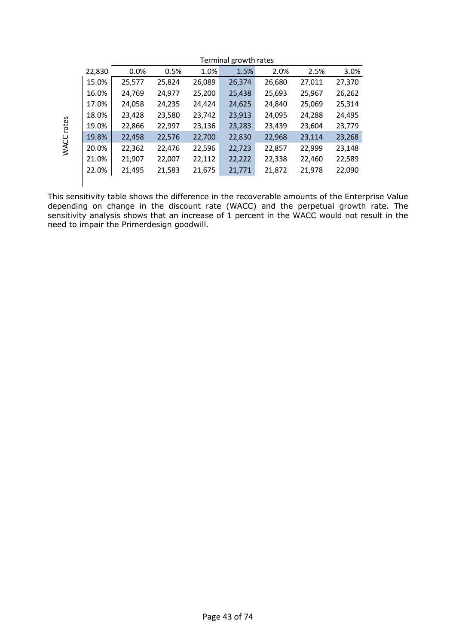|             |        | Terminal growth rates |        |        |        |        |        |        |  |  |  |
|-------------|--------|-----------------------|--------|--------|--------|--------|--------|--------|--|--|--|
|             | 22,830 | 0.0%                  | 0.5%   | 1.0%   | 1.5%   | 2.0%   | 2.5%   | 3.0%   |  |  |  |
|             | 15.0%  | 25,577                | 25,824 | 26,089 | 26,374 | 26,680 | 27,011 | 27,370 |  |  |  |
|             | 16.0%  | 24,769                | 24,977 | 25,200 | 25,438 | 25,693 | 25,967 | 26,262 |  |  |  |
|             | 17.0%  | 24,058                | 24,235 | 24,424 | 24,625 | 24,840 | 25,069 | 25,314 |  |  |  |
| rates       | 18.0%  | 23,428                | 23,580 | 23,742 | 23,913 | 24,095 | 24,288 | 24,495 |  |  |  |
|             | 19.0%  | 22,866                | 22,997 | 23,136 | 23,283 | 23,439 | 23,604 | 23,779 |  |  |  |
|             | 19.8%  | 22,458                | 22,576 | 22,700 | 22,830 | 22,968 | 23,114 | 23,268 |  |  |  |
| <b>WACC</b> | 20.0%  | 22,362                | 22,476 | 22,596 | 22,723 | 22,857 | 22,999 | 23,148 |  |  |  |
|             | 21.0%  | 21,907                | 22,007 | 22,112 | 22,222 | 22,338 | 22,460 | 22,589 |  |  |  |
|             | 22.0%  | 21,495                | 21,583 | 21,675 | 21,771 | 21,872 | 21,978 | 22,090 |  |  |  |
|             |        |                       |        |        |        |        |        |        |  |  |  |

This sensitivity table shows the difference in the recoverable amounts of the Enterprise Value depending on change in the discount rate (WACC) and the perpetual growth rate. The sensitivity analysis shows that an increase of 1 percent in the WACC would not result in the need to impair the Primerdesign goodwill.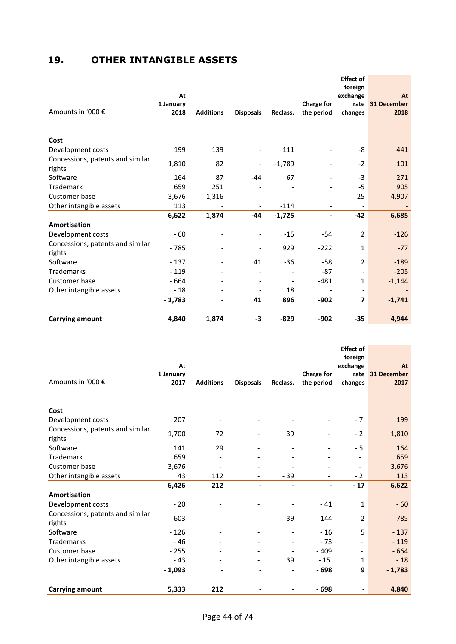## **19. OTHER INTANGIBLE ASSETS**

|                                            |           |                              |                          |                          |                              | <b>Effect of</b><br>foreign |             |
|--------------------------------------------|-----------|------------------------------|--------------------------|--------------------------|------------------------------|-----------------------------|-------------|
|                                            | At        |                              |                          |                          |                              | exchange                    | At          |
|                                            | 1 January |                              |                          |                          | <b>Charge for</b>            | rate                        | 31 December |
| Amounts in '000 €                          | 2018      | <b>Additions</b>             | <b>Disposals</b>         | Reclass.                 | the period                   | changes                     | 2018        |
|                                            |           |                              |                          |                          |                              |                             |             |
| Cost                                       |           |                              |                          |                          |                              |                             |             |
| Development costs                          | 199       | 139                          |                          | 111                      |                              | -8                          | 441         |
| Concessions, patents and similar<br>rights | 1,810     | 82                           | $\overline{\phantom{a}}$ | $-1,789$                 | $\qquad \qquad \blacksquare$ | $-2$                        | 101         |
| Software                                   | 164       | 87                           | -44                      | 67                       | $\qquad \qquad \blacksquare$ | $-3$                        | 271         |
| Trademark                                  | 659       | 251                          |                          |                          |                              | $-5$                        | 905         |
| Customer base                              | 3,676     | 1,316                        |                          |                          |                              | $-25$                       | 4,907       |
| Other intangible assets                    | 113       |                              |                          | $-114$                   |                              |                             |             |
|                                            | 6,622     | 1,874                        | $-44$                    | $-1,725$                 | -                            | $-42$                       | 6,685       |
| <b>Amortisation</b>                        |           |                              |                          |                          |                              |                             |             |
| Development costs                          | $-60$     |                              |                          | $-15$                    | $-54$                        | 2                           | $-126$      |
| Concessions, patents and similar<br>rights | $-785$    | $\qquad \qquad \blacksquare$ |                          | 929                      | $-222$                       | 1                           | $-77$       |
| Software                                   | $-137$    |                              | 41                       | $-36$                    | $-58$                        | $\overline{2}$              | $-189$      |
| <b>Trademarks</b>                          | $-119$    |                              |                          |                          | $-87$                        | $\overline{\phantom{0}}$    | $-205$      |
| Customer base                              | $-664$    |                              |                          | $\overline{\phantom{a}}$ | $-481$                       | 1                           | $-1,144$    |
| Other intangible assets                    | $-18$     |                              |                          | 18                       | $\overline{\phantom{a}}$     | $\overline{\phantom{0}}$    |             |
|                                            | $-1,783$  | -                            | 41                       | 896                      | $-902$                       | $\overline{\mathbf{z}}$     | $-1,741$    |
| <b>Carrying amount</b>                     | 4,840     | 1,874                        | -3                       | $-829$                   | $-902$                       | $-35$                       | 4,944       |

|                                            |           |                          |                              |                          |                   | <b>Effect of</b><br>foreign |             |
|--------------------------------------------|-----------|--------------------------|------------------------------|--------------------------|-------------------|-----------------------------|-------------|
|                                            | At        |                          |                              |                          |                   | exchange                    | At          |
|                                            | 1 January |                          |                              |                          | <b>Charge for</b> | rate                        | 31 December |
| Amounts in '000 €                          | 2017      | <b>Additions</b>         | <b>Disposals</b>             | Reclass.                 | the period        | changes                     | 2017        |
| Cost                                       |           |                          |                              |                          |                   |                             |             |
| Development costs                          | 207       |                          | $\overline{\phantom{a}}$     |                          |                   | $-7$                        | 199         |
| Concessions, patents and similar<br>rights | 1,700     | 72                       | $\overline{\phantom{a}}$     | 39                       |                   | $-2$                        | 1,810       |
| Software                                   | 141       | 29                       | $\overline{\phantom{a}}$     | $\overline{\phantom{a}}$ |                   | - 5                         | 164         |
| Trademark                                  | 659       |                          |                              |                          |                   | $\overline{\phantom{0}}$    | 659         |
| Customer base                              | 3,676     | $\overline{\phantom{a}}$ | $\overline{\phantom{a}}$     |                          |                   | $\overline{\phantom{a}}$    | 3,676       |
| Other intangible assets                    | 43        | 112                      | $\overline{\phantom{a}}$     | $-39$                    | -                 | $-2$                        | 113         |
|                                            | 6,426     | 212                      | $\blacksquare$               | $\blacksquare$           | $\blacksquare$    | $-17$                       | 6,622       |
| Amortisation                               |           |                          |                              |                          |                   |                             |             |
| Development costs                          | $-20$     |                          |                              |                          | $-41$             | $\mathbf{1}$                | $-60$       |
| Concessions, patents and similar<br>rights | $-603$    |                          | $\overline{\phantom{a}}$     | $-39$                    | $-144$            | 2                           | $-785$      |
| Software                                   | $-126$    |                          | $\overline{\phantom{a}}$     | $\overline{\phantom{a}}$ | $-16$             | 5                           | $-137$      |
| <b>Trademarks</b>                          | $-46$     |                          |                              |                          | $-73$             |                             | $-119$      |
| Customer base                              | $-255$    |                          |                              |                          | $-409$            |                             | $-664$      |
| Other intangible assets                    | $-43$     |                          | $\blacksquare$               | 39                       | $-15$             | $\mathbf{1}$                | $-18$       |
|                                            | $-1,093$  | $\overline{a}$           |                              | $\blacksquare$           | $-698$            | 9                           | $-1,783$    |
| <b>Carrying amount</b>                     | 5,333     | 212                      | $\qquad \qquad \blacksquare$ | $\overline{\phantom{a}}$ | $-698$            | $\overline{\phantom{0}}$    | 4,840       |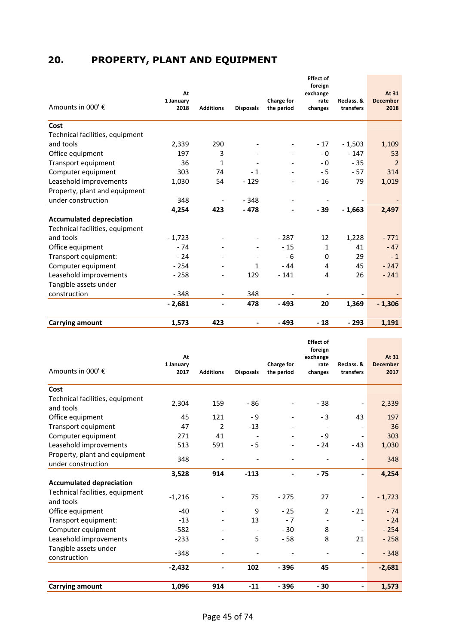# **20. PROPERTY, PLANT AND EQUIPMENT**

|                                 | At                |                  |                  |                                 | <b>Effect of</b><br>foreign<br>exchange |                         | At 31                   |
|---------------------------------|-------------------|------------------|------------------|---------------------------------|-----------------------------------------|-------------------------|-------------------------|
| Amounts in 000' €               | 1 January<br>2018 | <b>Additions</b> | <b>Disposals</b> | <b>Charge for</b><br>the period | rate<br>changes                         | Reclass. &<br>transfers | <b>December</b><br>2018 |
| Cost                            |                   |                  |                  |                                 |                                         |                         |                         |
| Technical facilities, equipment |                   |                  |                  |                                 |                                         |                         |                         |
| and tools                       | 2,339             | 290              |                  |                                 | $-17$                                   | $-1,503$                | 1,109                   |
| Office equipment                | 197               | 3                |                  |                                 | - 0                                     | $-147$                  | 53                      |
| Transport equipment             | 36                | 1                |                  |                                 | - 0                                     | $-35$                   | 2                       |
| Computer equipment              | 303               | 74               | $-1$             |                                 | - 5                                     | $-57$                   | 314                     |
| Leasehold improvements          | 1,030             | 54               | $-129$           |                                 | $-16$                                   | 79                      | 1,019                   |
| Property, plant and equipment   |                   |                  |                  |                                 |                                         |                         |                         |
| under construction              | 348               |                  | $-348$           |                                 |                                         |                         |                         |
|                                 | 4,254             | 423              | - 478            |                                 | - 39                                    | $-1,663$                | 2,497                   |
| <b>Accumulated depreciation</b> |                   |                  |                  |                                 |                                         |                         |                         |
| Technical facilities, equipment |                   |                  |                  |                                 |                                         |                         |                         |
| and tools                       | $-1,723$          |                  |                  | $-287$                          | 12                                      | 1,228                   | $-771$                  |
| Office equipment                | $-74$             |                  |                  | $-15$                           | 1                                       | 41                      | $-47$                   |
| Transport equipment:            | $-24$             |                  |                  | - 6                             | $\Omega$                                | 29                      | $-1$                    |
| Computer equipment              | $-254$            |                  | 1                | $-44$                           | 4                                       | 45                      | $-247$                  |
| Leasehold improvements          | $-258$            |                  | 129              | $-141$                          | 4                                       | 26                      | $-241$                  |
| Tangible assets under           |                   |                  |                  |                                 |                                         |                         |                         |
| construction                    | $-348$            | Ξ.               | 348              |                                 |                                         |                         |                         |
|                                 | $-2,681$          | -                | 478              | $-493$                          | 20                                      | 1,369                   | $-1,306$                |
| <b>Carrying amount</b>          | 1,573             | 423              | ٠                | $-493$                          | $-18$                                   | $-293$                  | 1,191                   |

| Amounts in 000' €                                   | At<br>1 January<br>2017 | <b>Additions</b>         | <b>Disposals</b> | <b>Charge for</b><br>the period | <b>Effect of</b><br>foreign<br>exchange<br>rate<br>changes | Reclass. &<br>transfers      | At 31<br><b>December</b><br>2017 |
|-----------------------------------------------------|-------------------------|--------------------------|------------------|---------------------------------|------------------------------------------------------------|------------------------------|----------------------------------|
| Cost                                                |                         |                          |                  |                                 |                                                            |                              |                                  |
| Technical facilities, equipment<br>and tools        | 2,304                   | 159                      | - 86             |                                 | $-38$                                                      | $\overline{\phantom{a}}$     | 2,339                            |
| Office equipment                                    | 45                      | 121                      | - 9              |                                 | - 3                                                        | 43                           | 197                              |
| Transport equipment                                 | 47                      | $\overline{2}$           | $-13$            |                                 |                                                            |                              | 36                               |
| Computer equipment                                  | 271                     | 41                       |                  |                                 | - 9                                                        | $\overline{\phantom{a}}$     | 303                              |
| Leasehold improvements                              | 513                     | 591                      | $-5$             |                                 | $-24$                                                      | $-43$                        | 1,030                            |
| Property, plant and equipment<br>under construction | 348                     |                          |                  |                                 |                                                            | $\overline{\phantom{a}}$     | 348                              |
|                                                     | 3,528                   | 914                      | $-113$           |                                 | $-75$                                                      | $\overline{\phantom{a}}$     | 4,254                            |
| <b>Accumulated depreciation</b>                     |                         |                          |                  |                                 |                                                            |                              |                                  |
| Technical facilities, equipment<br>and tools        | $-1,216$                |                          | 75               | $-275$                          | 27                                                         | $\overline{\phantom{a}}$     | $-1,723$                         |
| Office equipment                                    | $-40$                   |                          | 9                | $-25$                           | 2                                                          | $-21$                        | $-74$                            |
| Transport equipment:                                | $-13$                   |                          | 13               | $-7$                            | $\overline{\phantom{0}}$                                   | $\blacksquare$               | $-24$                            |
| Computer equipment                                  | $-582$                  |                          |                  | $-30$                           | 8                                                          | $\overline{\phantom{a}}$     | $-254$                           |
| Leasehold improvements                              | $-233$                  |                          | 5                | $-58$                           | 8                                                          | 21                           | $-258$                           |
| Tangible assets under<br>construction               | $-348$                  |                          |                  |                                 |                                                            | $\qquad \qquad \blacksquare$ | $-348$                           |
|                                                     | $-2,432$                | $\overline{\phantom{0}}$ | 102              | $-396$                          | 45                                                         | $\blacksquare$               | $-2,681$                         |
| <b>Carrying amount</b>                              | 1,096                   | 914                      | $-11$            | $-396$                          | - 30                                                       | $\blacksquare$               | 1,573                            |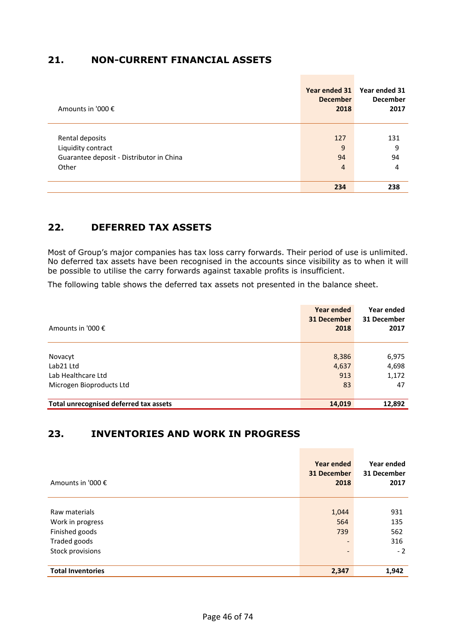## **21. NON-CURRENT FINANCIAL ASSETS**

| Amounts in '000 €                        | Year ended 31<br><b>December</b><br>2018 | Year ended 31<br><b>December</b><br>2017 |
|------------------------------------------|------------------------------------------|------------------------------------------|
|                                          |                                          |                                          |
| Rental deposits                          | 127                                      | 131                                      |
| Liquidity contract                       | 9                                        | 9                                        |
| Guarantee deposit - Distributor in China | 94                                       | 94                                       |
| Other                                    | 4                                        | 4                                        |
|                                          |                                          |                                          |
|                                          | 234                                      | 238                                      |

## **22. DEFERRED TAX ASSETS**

Most of Group's major companies has tax loss carry forwards. Their period of use is unlimited. No deferred tax assets have been recognised in the accounts since visibility as to when it will be possible to utilise the carry forwards against taxable profits is insufficient.

The following table shows the deferred tax assets not presented in the balance sheet.

| Amounts in '000 $\epsilon$                                                         | Year ended<br>31 December<br>2018 | Year ended<br>31 December<br>2017 |
|------------------------------------------------------------------------------------|-----------------------------------|-----------------------------------|
| Novacyt<br>Lab <sub>21</sub> Ltd<br>Lab Healthcare Ltd<br>Microgen Bioproducts Ltd | 8,386<br>4,637<br>913<br>83       | 6,975<br>4,698<br>1,172<br>47     |
| Total unrecognised deferred tax assets                                             | 14,019                            | 12,892                            |

## **23. INVENTORIES AND WORK IN PROGRESS**

| Amounts in '000 $\epsilon$ | <b>Year ended</b><br>31 December<br>2018 | Year ended<br>31 December<br>2017 |
|----------------------------|------------------------------------------|-----------------------------------|
|                            |                                          |                                   |
| Raw materials              | 1,044                                    | 931                               |
| Work in progress           | 564                                      | 135                               |
| Finished goods             | 739                                      | 562                               |
| Traded goods               | $\qquad \qquad \blacksquare$             | 316                               |
| Stock provisions           | $\qquad \qquad \blacksquare$             | $-2$                              |
|                            |                                          |                                   |
| <b>Total Inventories</b>   | 2,347                                    | 1,942                             |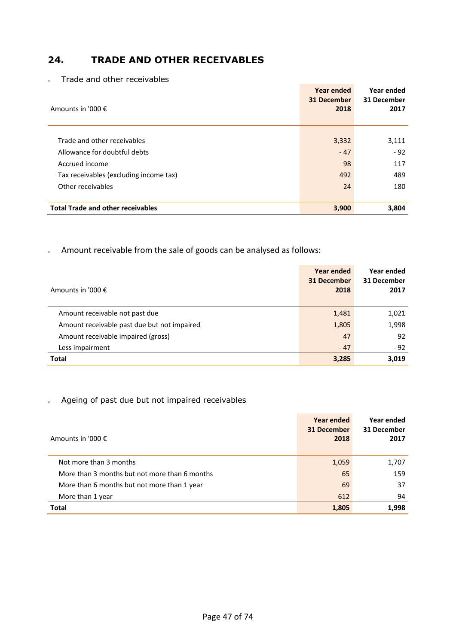## **24. TRADE AND OTHER RECEIVABLES**

## o Trade and other receivables

| Amounts in '000 $\epsilon$               | Year ended<br>31 December<br>2018 | Year ended<br>31 December<br>2017 |
|------------------------------------------|-----------------------------------|-----------------------------------|
|                                          |                                   |                                   |
| Trade and other receivables              | 3,332                             | 3,111                             |
| Allowance for doubtful debts             | $-47$                             | $-92$                             |
| Accrued income                           | 98                                | 117                               |
| Tax receivables (excluding income tax)   | 492                               | 489                               |
| Other receivables                        | 24                                | 180                               |
|                                          |                                   |                                   |
| <b>Total Trade and other receivables</b> | 3,900                             | 3,804                             |

. Amount receivable from the sale of goods can be analysed as follows:

| Amounts in '000 $\epsilon$                  | Year ended<br>31 December<br>2018 | Year ended<br>31 December<br>2017 |
|---------------------------------------------|-----------------------------------|-----------------------------------|
| Amount receivable not past due              | 1,481                             | 1,021                             |
| Amount receivable past due but not impaired | 1,805                             | 1,998                             |
| Amount receivable impaired (gross)          | 47                                | 92                                |
| Less impairment                             | $-47$                             | $-92$                             |
| <b>Total</b>                                | 3,285                             | 3,019                             |

## <sup>o</sup> Ageing of past due but not impaired receivables

| Amounts in '000 $\epsilon$                    | Year ended<br>31 December<br>2018 | Year ended<br>31 December<br>2017 |
|-----------------------------------------------|-----------------------------------|-----------------------------------|
| Not more than 3 months                        | 1,059                             | 1,707                             |
| More than 3 months but not more than 6 months | 65                                | 159                               |
| More than 6 months but not more than 1 year   | 69                                | 37                                |
| More than 1 year                              | 612                               | 94                                |
| <b>Total</b>                                  | 1,805                             | 1,998                             |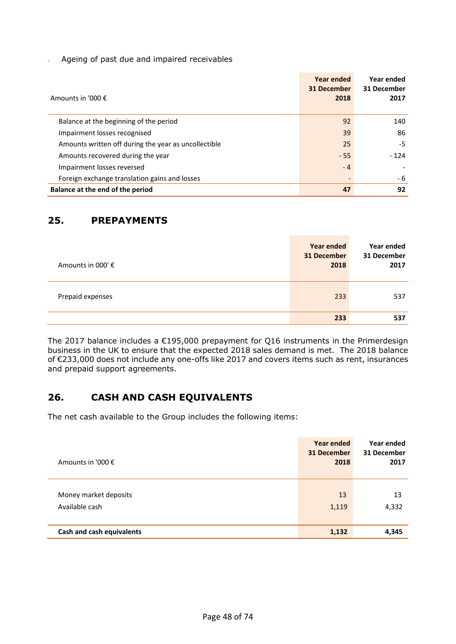. Ageing of past due and impaired receivables

| Amounts in '000 $\epsilon$                           | Year ended<br>31 December<br>2018 | Year ended<br>31 December<br>2017 |
|------------------------------------------------------|-----------------------------------|-----------------------------------|
| Balance at the beginning of the period               | 92                                | 140                               |
| Impairment losses recognised                         | 39                                | 86                                |
| Amounts written off during the year as uncollectible | 25                                | -5                                |
| Amounts recovered during the year                    | $-55$                             | $-124$                            |
| Impairment losses reversed                           | $-4$                              |                                   |
| Foreign exchange translation gains and losses        | $\overline{\phantom{a}}$          | - 6                               |
| Balance at the end of the period                     | 47                                | 92                                |

## **25. PREPAYMENTS**

| Amounts in 000' € | <b>Year ended</b><br>31 December<br>2018 | <b>Year ended</b><br>31 December<br>2017 |
|-------------------|------------------------------------------|------------------------------------------|
| Prepaid expenses  | 233                                      | 537                                      |
|                   | 233                                      | 537                                      |

The 2017 balance includes a €195,000 prepayment for Q16 instruments in the Primerdesign business in the UK to ensure that the expected 2018 sales demand is met. The 2018 balance of €233,000 does not include any one-offs like 2017 and covers items such as rent, insurances and prepaid support agreements.

## **26. CASH AND CASH EQUIVALENTS**

The net cash available to the Group includes the following items:

| Amounts in '000 $\epsilon$              | <b>Year ended</b><br>31 December<br>2018 | Year ended<br>31 December<br>2017 |
|-----------------------------------------|------------------------------------------|-----------------------------------|
| Money market deposits<br>Available cash | 13<br>1,119                              | 13<br>4,332                       |
| Cash and cash equivalents               | 1,132                                    | 4,345                             |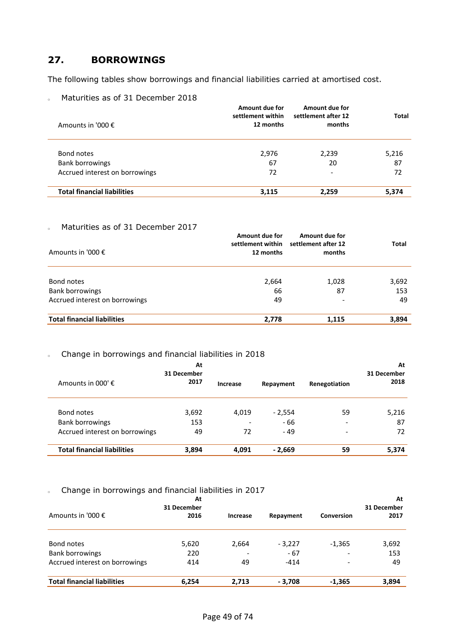## **27. BORROWINGS**

The following tables show borrowings and financial liabilities carried at amortised cost.

## Maturities as of 31 December 2018

| Amounts in '000 $\epsilon$         | Amount due for<br>settlement within<br>12 months |                          | Total |  |
|------------------------------------|--------------------------------------------------|--------------------------|-------|--|
| Bond notes                         | 2,976                                            | 2,239                    | 5,216 |  |
| <b>Bank borrowings</b>             | 67                                               | 20                       | 87    |  |
| Accrued interest on borrowings     | 72                                               | $\overline{\phantom{0}}$ | 72    |  |
| <b>Total financial liabilities</b> | 3,115                                            | 2,259                    | 5,374 |  |

## o Maturities as of 31 December 2017

| Amounts in '000 $\epsilon$         | <b>Amount due for</b><br>settlement within<br>12 months | Amount due for<br>settlement after 12<br>months | Total |  |
|------------------------------------|---------------------------------------------------------|-------------------------------------------------|-------|--|
| Bond notes                         | 2,664                                                   | 1,028                                           | 3,692 |  |
| <b>Bank borrowings</b>             | 66                                                      | 87                                              | 153   |  |
| Accrued interest on borrowings     | 49                                                      |                                                 | 49    |  |
| <b>Total financial liabilities</b> | 2,778                                                   | 1,115                                           | 3,894 |  |

## o Change in borrowings and financial liabilities in 2018

| Amounts in 000' $\epsilon$         | At<br>31 December<br>2017 | Increase | Repayment | Renegotiation            | At<br>31 December<br>2018 |
|------------------------------------|---------------------------|----------|-----------|--------------------------|---------------------------|
| Bond notes                         | 3,692                     | 4,019    | - 2,554   | 59                       | 5,216                     |
| <b>Bank borrowings</b>             | 153                       | -        | - 66      | $\overline{\phantom{0}}$ | 87                        |
| Accrued interest on borrowings     | 49                        | 72       | $-49$     | -                        | 72                        |
| <b>Total financial liabilities</b> | 3,894                     | 4,091    | $-2,669$  | 59                       | 5,374                     |

## o Change in borrowings and financial liabilities in 2017

|                                    | At<br>31 December |                 |           |            | At<br>31 December |
|------------------------------------|-------------------|-----------------|-----------|------------|-------------------|
| Amounts in '000 $\epsilon$         | 2016              | <b>Increase</b> | Repayment | Conversion | 2017              |
| Bond notes                         | 5,620             | 2,664           | $-3,227$  | $-1,365$   | 3,692             |
| <b>Bank borrowings</b>             | 220               |                 | $-67$     |            | 153               |
| Accrued interest on borrowings     | 414               | 49              | $-414$    |            | 49                |
| <b>Total financial liabilities</b> | 6,254             | 2,713           | $-3,708$  | $-1,365$   | 3,894             |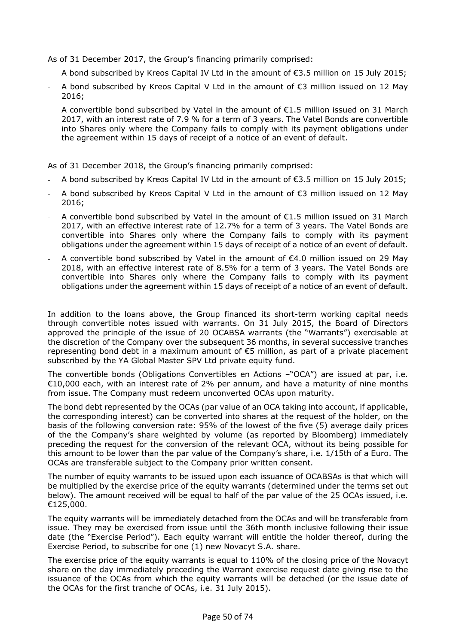As of 31 December 2017, the Group's financing primarily comprised:

- A bond subscribed by Kreos Capital IV Ltd in the amount of  $\epsilon$ 3.5 million on 15 July 2015;
- A bond subscribed by Kreos Capital V Ltd in the amount of  $\epsilon$ 3 million issued on 12 May 2016;
- A convertible bond subscribed by Vatel in the amount of €1.5 million issued on 31 March 2017, with an interest rate of 7.9 % for a term of 3 years. The Vatel Bonds are convertible into Shares only where the Company fails to comply with its payment obligations under the agreement within 15 days of receipt of a notice of an event of default.

As of 31 December 2018, the Group's financing primarily comprised:

- A bond subscribed by Kreos Capital IV Ltd in the amount of €3.5 million on 15 July 2015;
- A bond subscribed by Kreos Capital V Ltd in the amount of  $\epsilon$ 3 million issued on 12 May 2016;
- A convertible bond subscribed by Vatel in the amount of  $E1.5$  million issued on 31 March 2017, with an effective interest rate of 12.7% for a term of 3 years. The Vatel Bonds are convertible into Shares only where the Company fails to comply with its payment obligations under the agreement within 15 days of receipt of a notice of an event of default.
- A convertible bond subscribed by Vatel in the amount of  $\epsilon$ 4.0 million issued on 29 May 2018, with an effective interest rate of 8.5% for a term of 3 years. The Vatel Bonds are convertible into Shares only where the Company fails to comply with its payment obligations under the agreement within 15 days of receipt of a notice of an event of default.

In addition to the loans above, the Group financed its short-term working capital needs through convertible notes issued with warrants. On 31 July 2015, the Board of Directors approved the principle of the issue of 20 OCABSA warrants (the "Warrants") exercisable at the discretion of the Company over the subsequent 36 months, in several successive tranches representing bond debt in a maximum amount of €5 million, as part of a private placement subscribed by the YA Global Master SPV Ltd private equity fund.

The convertible bonds (Obligations Convertibles en Actions –"OCA") are issued at par, i.e. €10,000 each, with an interest rate of 2% per annum, and have a maturity of nine months from issue. The Company must redeem unconverted OCAs upon maturity.

The bond debt represented by the OCAs (par value of an OCA taking into account, if applicable, the corresponding interest) can be converted into shares at the request of the holder, on the basis of the following conversion rate: 95% of the lowest of the five (5) average daily prices of the the Company's share weighted by volume (as reported by Bloomberg) immediately preceding the request for the conversion of the relevant OCA, without its being possible for this amount to be lower than the par value of the Company's share, i.e. 1/15th of a Euro. The OCAs are transferable subject to the Company prior written consent.

The number of equity warrants to be issued upon each issuance of OCABSAs is that which will be multiplied by the exercise price of the equity warrants (determined under the terms set out below). The amount received will be equal to half of the par value of the 25 OCAs issued, i.e. €125,000.

The equity warrants will be immediately detached from the OCAs and will be transferable from issue. They may be exercised from issue until the 36th month inclusive following their issue date (the "Exercise Period"). Each equity warrant will entitle the holder thereof, during the Exercise Period, to subscribe for one (1) new Novacyt S.A. share.

The exercise price of the equity warrants is equal to 110% of the closing price of the Novacyt share on the day immediately preceding the Warrant exercise request date giving rise to the issuance of the OCAs from which the equity warrants will be detached (or the issue date of the OCAs for the first tranche of OCAs, i.e. 31 July 2015).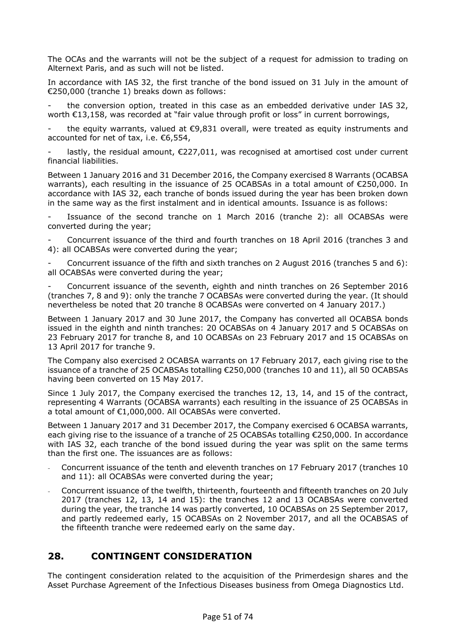The OCAs and the warrants will not be the subject of a request for admission to trading on Alternext Paris, and as such will not be listed.

In accordance with IAS 32, the first tranche of the bond issued on 31 July in the amount of €250,000 (tranche 1) breaks down as follows:

the conversion option, treated in this case as an embedded derivative under IAS 32, worth €13,158, was recorded at "fair value through profit or loss" in current borrowings,

the equity warrants, valued at  $\epsilon$ 9,831 overall, were treated as equity instruments and accounted for net of tax, i.e. €6,554,

lastly, the residual amount,  $\epsilon$ 227,011, was recognised at amortised cost under current financial liabilities.

Between 1 January 2016 and 31 December 2016, the Company exercised 8 Warrants (OCABSA warrants), each resulting in the issuance of 25 OCABSAs in a total amount of €250,000. In accordance with IAS 32, each tranche of bonds issued during the year has been broken down in the same way as the first instalment and in identical amounts. Issuance is as follows:

Issuance of the second tranche on 1 March 2016 (tranche 2): all OCABSAs were converted during the year;

Concurrent issuance of the third and fourth tranches on 18 April 2016 (tranches 3 and 4): all OCABSAs were converted during the year;

Concurrent issuance of the fifth and sixth tranches on 2 August 2016 (tranches 5 and 6): all OCABSAs were converted during the year;

- Concurrent issuance of the seventh, eighth and ninth tranches on 26 September 2016 (tranches 7, 8 and 9): only the tranche 7 OCABSAs were converted during the year. (It should nevertheless be noted that 20 tranche 8 OCABSAs were converted on 4 January 2017.)

Between 1 January 2017 and 30 June 2017, the Company has converted all OCABSA bonds issued in the eighth and ninth tranches: 20 OCABSAs on 4 January 2017 and 5 OCABSAs on 23 February 2017 for tranche 8, and 10 OCABSAs on 23 February 2017 and 15 OCABSAs on 13 April 2017 for tranche 9.

The Company also exercised 2 OCABSA warrants on 17 February 2017, each giving rise to the issuance of a tranche of 25 OCABSAs totalling €250,000 (tranches 10 and 11), all 50 OCABSAs having been converted on 15 May 2017.

Since 1 July 2017, the Company exercised the tranches 12, 13, 14, and 15 of the contract, representing 4 Warrants (OCABSA warrants) each resulting in the issuance of 25 OCABSAs in a total amount of €1,000,000. All OCABSAs were converted.

Between 1 January 2017 and 31 December 2017, the Company exercised 6 OCABSA warrants, each giving rise to the issuance of a tranche of 25 OCABSAs totalling €250,000. In accordance with IAS 32, each tranche of the bond issued during the year was split on the same terms than the first one. The issuances are as follows:

- Concurrent issuance of the tenth and eleventh tranches on 17 February 2017 (tranches 10 and 11): all OCABSAs were converted during the year;
- Concurrent issuance of the twelfth, thirteenth, fourteenth and fifteenth tranches on 20 July 2017 (tranches 12, 13, 14 and 15): the tranches 12 and 13 OCABSAs were converted during the year, the tranche 14 was partly converted, 10 OCABSAs on 25 September 2017, and partly redeemed early, 15 OCABSAs on 2 November 2017, and all the OCABSAS of the fifteenth tranche were redeemed early on the same day.

## **28. CONTINGENT CONSIDERATION**

The contingent consideration related to the acquisition of the Primerdesign shares and the Asset Purchase Agreement of the Infectious Diseases business from Omega Diagnostics Ltd.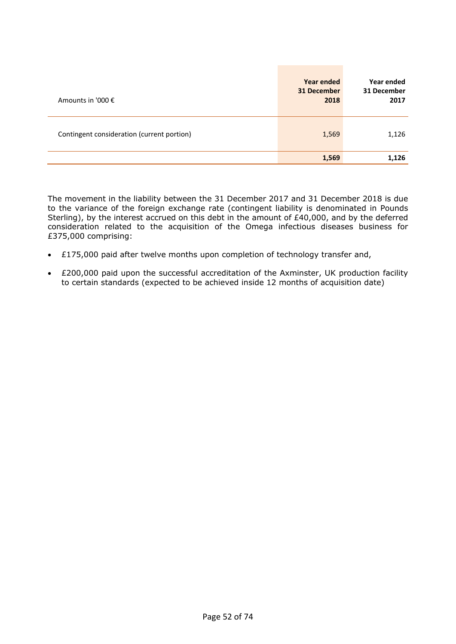| Amounts in '000 €                          | <b>Year ended</b><br>31 December<br>2018 | Year ended<br>31 December<br>2017 |
|--------------------------------------------|------------------------------------------|-----------------------------------|
| Contingent consideration (current portion) | 1,569                                    | 1,126                             |
|                                            | 1,569                                    | 1,126                             |

The movement in the liability between the 31 December 2017 and 31 December 2018 is due to the variance of the foreign exchange rate (contingent liability is denominated in Pounds Sterling), by the interest accrued on this debt in the amount of  $E40,000$ , and by the deferred consideration related to the acquisition of the Omega infectious diseases business for £375,000 comprising:

- £175,000 paid after twelve months upon completion of technology transfer and,
- £200,000 paid upon the successful accreditation of the Axminster, UK production facility to certain standards (expected to be achieved inside 12 months of acquisition date)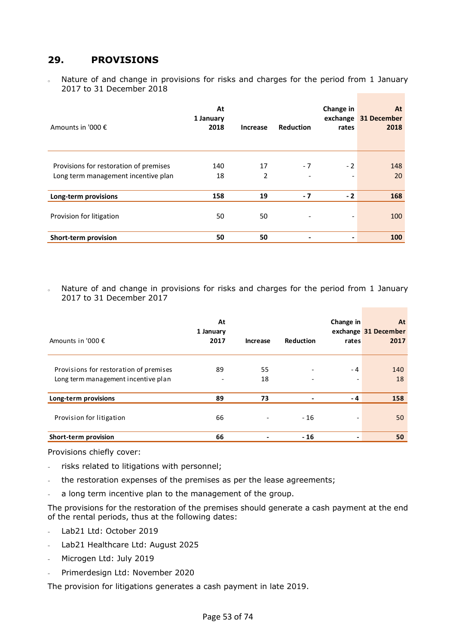## **29. PROVISIONS**

Nature of and change in provisions for risks and charges for the period from 1 January 2017 to 31 December 2018

| Amounts in '000 €                                                             | At<br>1 January<br>2018 | <b>Increase</b> | <b>Reduction</b> | Change in<br>rates | At<br>exchange 31 December<br>2018 |
|-------------------------------------------------------------------------------|-------------------------|-----------------|------------------|--------------------|------------------------------------|
| Provisions for restoration of premises<br>Long term management incentive plan | 140<br>18               | 17<br>2         | $-7$             | $-2$               | 148<br>20                          |
| Long-term provisions                                                          | 158                     | 19              | $-7$             | $-2$               | 168                                |
| Provision for litigation                                                      | 50                      | 50              |                  |                    | 100                                |
| Short-term provision                                                          | 50                      | 50              |                  |                    | 100                                |

Nature of and change in provisions for risks and charges for the period from 1 January 2017 to 31 December 2017

| Amounts in '000 €                                                             | At<br>1 January<br>2017        | Increase | <b>Reduction</b> | Change in<br>rates              | At<br>exchange 31 December<br>2017 |
|-------------------------------------------------------------------------------|--------------------------------|----------|------------------|---------------------------------|------------------------------------|
| Provisions for restoration of premises<br>Long term management incentive plan | 89<br>$\overline{\phantom{0}}$ | 55<br>18 |                  | - 4<br>$\overline{\phantom{0}}$ | 140<br>18                          |
| Long-term provisions                                                          | 89                             | 73       |                  | - 4                             | 158                                |
| Provision for litigation                                                      | 66                             |          | $-16$            | $\overline{\phantom{0}}$        | 50                                 |
| Short-term provision                                                          | 66                             |          | $-16$            | $\blacksquare$                  | 50                                 |

Provisions chiefly cover:

- risks related to litigations with personnel;
- the restoration expenses of the premises as per the lease agreements;
- a long term incentive plan to the management of the group.

The provisions for the restoration of the premises should generate a cash payment at the end of the rental periods, thus at the following dates:

- Lab21 Ltd: October 2019
- Lab21 Healthcare Ltd: August 2025
- Microgen Ltd: July 2019
- Primerdesign Ltd: November 2020

The provision for litigations generates a cash payment in late 2019.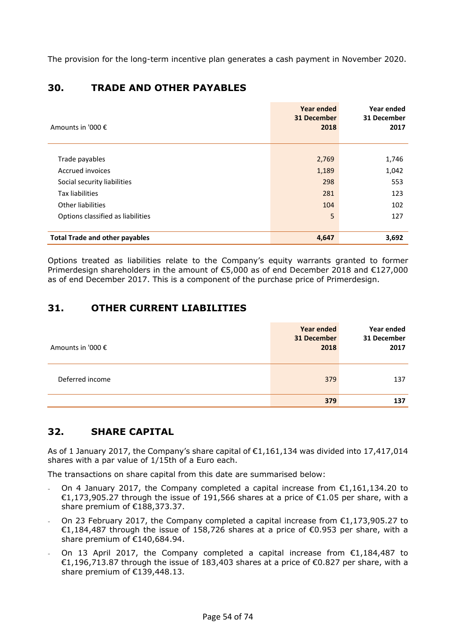The provision for the long-term incentive plan generates a cash payment in November 2020.

## **30. TRADE AND OTHER PAYABLES**

| Amounts in '000 €                     | <b>Year ended</b><br>31 December<br>2018 | Year ended<br>31 December<br>2017 |
|---------------------------------------|------------------------------------------|-----------------------------------|
|                                       |                                          |                                   |
| Trade payables                        | 2,769                                    | 1,746                             |
| Accrued invoices                      | 1,189                                    | 1,042                             |
| Social security liabilities           | 298                                      | 553                               |
| <b>Tax liabilities</b>                | 281                                      | 123                               |
| Other liabilities                     | 104                                      | 102                               |
| Options classified as liabilities     | 5                                        | 127                               |
| <b>Total Trade and other payables</b> | 4,647                                    | 3,692                             |

Options treated as liabilities relate to the Company's equity warrants granted to former Primerdesign shareholders in the amount of €5,000 as of end December 2018 and €127,000 as of end December 2017. This is a component of the purchase price of Primerdesign.

## **31. OTHER CURRENT LIABILITIES**

| Amounts in '000 € | <b>Year ended</b><br>31 December<br>2018 | Year ended<br>31 December<br>2017 |
|-------------------|------------------------------------------|-----------------------------------|
| Deferred income   | 379                                      | 137                               |
|                   | 379                                      | 137                               |

## **32. SHARE CAPITAL**

As of 1 January 2017, the Company's share capital of €1,161,134 was divided into 17,417,014 shares with a par value of 1/15th of a Euro each.

The transactions on share capital from this date are summarised below:

- On 4 January 2017, the Company completed a capital increase from  $\epsilon$ 1,161,134.20 to €1,173,905.27 through the issue of 191,566 shares at a price of  $€1.05$  per share, with a share premium of €188,373.37.
- On 23 February 2017, the Company completed a capital increase from  $£1,173,905.27$  to €1,184,487 through the issue of 158,726 shares at a price of €0.953 per share, with a share premium of €140,684.94.
- On 13 April 2017, the Company completed a capital increase from  $\epsilon$ 1,184,487 to €1,196,713.87 through the issue of 183,403 shares at a price of €0.827 per share, with a share premium of €139,448.13.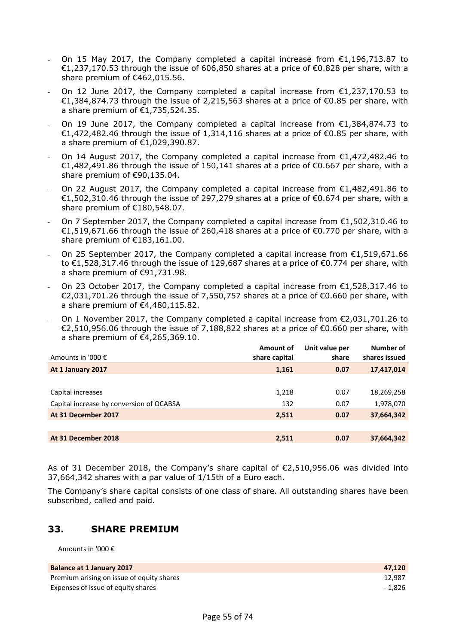- On 15 May 2017, the Company completed a capital increase from €1,196,713.87 to €1,237,170.53 through the issue of 606,850 shares at a price of €0.828 per share, with a share premium of €462,015.56.
- On 12 June 2017, the Company completed a capital increase from  $\epsilon$ 1,237,170.53 to €1,384,874.73 through the issue of 2,215,563 shares at a price of  $€0.85$  per share, with a share premium of €1,735,524.35.
- On 19 June 2017, the Company completed a capital increase from  $\epsilon$ 1,384,874.73 to €1,472,482.46 through the issue of 1,314,116 shares at a price of €0.85 per share, with a share premium of €1,029,390.87.
- On 14 August 2017, the Company completed a capital increase from  $£1.472.482.46$  to €1,482,491.86 through the issue of 150,141 shares at a price of €0.667 per share, with a share premium of €90,135.04.
- On 22 August 2017, the Company completed a capital increase from €1,482,491.86 to €1,502,310.46 through the issue of 297,279 shares at a price of €0.674 per share, with a share premium of €180,548.07.
- On 7 September 2017, the Company completed a capital increase from  $£1,502,310.46$  to €1,519,671.66 through the issue of 260,418 shares at a price of €0.770 per share, with a share premium of €183,161.00.
- On 25 September 2017, the Company completed a capital increase from  $\epsilon$ 1,519,671.66 to €1,528,317.46 through the issue of 129,687 shares at a price of €0.774 per share, with a share premium of €91,731.98.
- On 23 October 2017, the Company completed a capital increase from  $£1,528,317.46$  to €2,031,701.26 through the issue of 7,550,757 shares at a price of  $€0.660$  per share, with a share premium of €4,480,115.82.
- On 1 November 2017, the Company completed a capital increase from  $\epsilon$ 2,031,701.26 to €2,510,956.06 through the issue of 7,188,822 shares at a price of €0.660 per share, with a share premium of €4,265,369.10.

|                                          | Amount of     | Unit value per | Number of     |
|------------------------------------------|---------------|----------------|---------------|
| Amounts in '000 €                        | share capital | share          | shares issued |
| At 1 January 2017                        | 1,161         | 0.07           | 17,417,014    |
|                                          |               |                |               |
| Capital increases                        | 1,218         | 0.07           | 18,269,258    |
| Capital increase by conversion of OCABSA | 132           | 0.07           | 1,978,070     |
| At 31 December 2017                      | 2,511         | 0.07           | 37,664,342    |
|                                          |               |                |               |
| At 31 December 2018                      | 2,511         | 0.07           | 37,664,342    |

As of 31 December 2018, the Company's share capital of  $\epsilon$ 2,510,956.06 was divided into 37,664,342 shares with a par value of 1/15th of a Euro each.

The Company's share capital consists of one class of share. All outstanding shares have been subscribed, called and paid.

## **33. SHARE PREMIUM**

Amounts in '000 €

| <b>Balance at 1 January 2017</b>          | 47.120  |
|-------------------------------------------|---------|
| Premium arising on issue of equity shares | 12.987  |
| Expenses of issue of equity shares        | - 1.826 |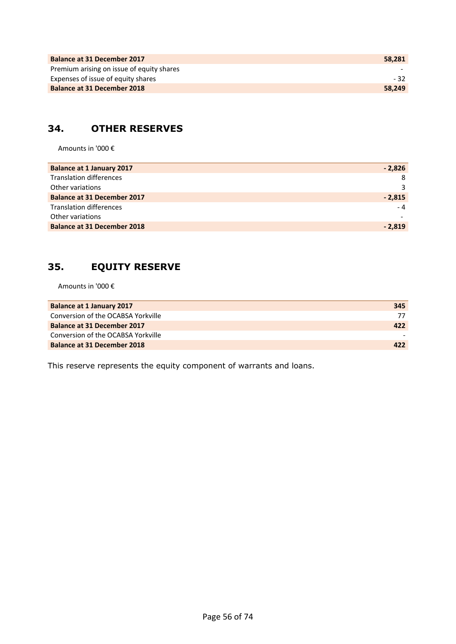| <b>Balance at 31 December 2017</b>        | 58.281 |
|-------------------------------------------|--------|
| Premium arising on issue of equity shares |        |
| Expenses of issue of equity shares        | - 32   |
| <b>Balance at 31 December 2018</b>        | 58.249 |

## **34. OTHER RESERVES**

Amounts in '000 €

| <b>Balance at 1 January 2017</b>   | $-2,826$     |
|------------------------------------|--------------|
| <b>Translation differences</b>     | 8            |
| Other variations                   | $\mathbf{3}$ |
| <b>Balance at 31 December 2017</b> | $-2,815$     |
| <b>Translation differences</b>     | $-4$         |
| Other variations                   |              |
| <b>Balance at 31 December 2018</b> | $-2.819$     |
|                                    |              |

# **35. EQUITY RESERVE**

Amounts in '000 €

| 345 |
|-----|
| 77  |
| 422 |
|     |
| 422 |
|     |

This reserve represents the equity component of warrants and loans.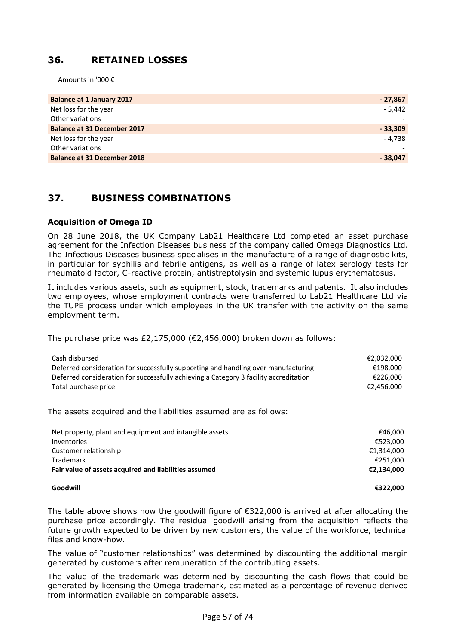## **36. RETAINED LOSSES**

Amounts in '000 €

| <b>Balance at 1 January 2017</b>   | $-27,867$ |
|------------------------------------|-----------|
| Net loss for the year              | $-5,442$  |
| Other variations                   |           |
| <b>Balance at 31 December 2017</b> | $-33,309$ |
| Net loss for the year              | $-4.738$  |
| Other variations                   |           |
| <b>Balance at 31 December 2018</b> | $-38.047$ |
|                                    |           |

## **37. BUSINESS COMBINATIONS**

### **Acquisition of Omega ID**

On 28 June 2018, the UK Company Lab21 Healthcare Ltd completed an asset purchase agreement for the Infection Diseases business of the company called Omega Diagnostics Ltd. The Infectious Diseases business specialises in the manufacture of a range of diagnostic kits, in particular for syphilis and febrile antigens, as well as a range of latex serology tests for rheumatoid factor, C-reactive protein, antistreptolysin and systemic lupus erythematosus.

It includes various assets, such as equipment, stock, trademarks and patents. It also includes two employees, whose employment contracts were transferred to Lab21 Healthcare Ltd via the TUPE process under which employees in the UK transfer with the activity on the same employment term.

The purchase price was £2,175,000 ( $\epsilon$ 2,456,000) broken down as follows:

| Cash disbursed                                                                        | €2.032.000 |
|---------------------------------------------------------------------------------------|------------|
| Deferred consideration for successfully supporting and handling over manufacturing    | €198.000   |
| Deferred consideration for successfully achieving a Category 3 facility accreditation | €226.000   |
| Total purchase price                                                                  | €2.456.000 |

The assets acquired and the liabilities assumed are as follows:

| Goodwill                                                | €322.000   |
|---------------------------------------------------------|------------|
| Fair value of assets acquired and liabilities assumed   | €2.134.000 |
| Trademark                                               | €251.000   |
| Customer relationship                                   | €1.314.000 |
| Inventories                                             | €523,000   |
| Net property, plant and equipment and intangible assets | €46.000    |

The table above shows how the goodwill figure of €322,000 is arrived at after allocating the purchase price accordingly. The residual goodwill arising from the acquisition reflects the future growth expected to be driven by new customers, the value of the workforce, technical files and know-how.

The value of "customer relationships" was determined by discounting the additional margin generated by customers after remuneration of the contributing assets.

The value of the trademark was determined by discounting the cash flows that could be generated by licensing the Omega trademark, estimated as a percentage of revenue derived from information available on comparable assets.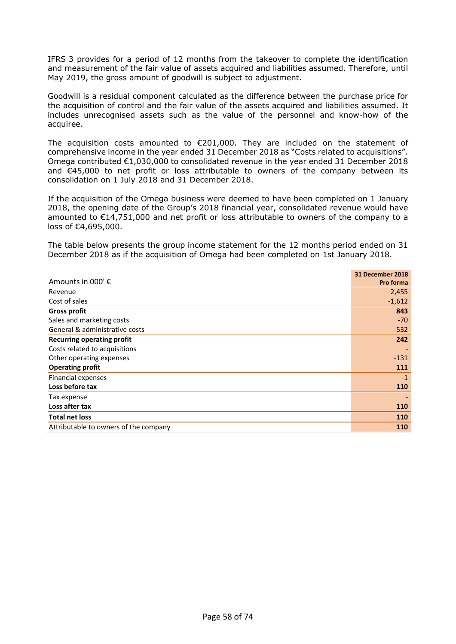IFRS 3 provides for a period of 12 months from the takeover to complete the identification and measurement of the fair value of assets acquired and liabilities assumed. Therefore, until May 2019, the gross amount of goodwill is subject to adjustment.

Goodwill is a residual component calculated as the difference between the purchase price for the acquisition of control and the fair value of the assets acquired and liabilities assumed. It includes unrecognised assets such as the value of the personnel and know-how of the acquiree.

The acquisition costs amounted to  $\epsilon$ 201,000. They are included on the statement of comprehensive income in the year ended 31 December 2018 as "Costs related to acquisitions". Omega contributed €1,030,000 to consolidated revenue in the year ended 31 December 2018 and €45,000 to net profit or loss attributable to owners of the company between its consolidation on 1 July 2018 and 31 December 2018.

If the acquisition of the Omega business were deemed to have been completed on 1 January 2018, the opening date of the Group's 2018 financial year, consolidated revenue would have amounted to  $\epsilon$ 14,751,000 and net profit or loss attributable to owners of the company to a loss of €4,695,000.

The table below presents the group income statement for the 12 months period ended on 31 December 2018 as if the acquisition of Omega had been completed on 1st January 2018.

|                                       | 31 December 2018 |
|---------------------------------------|------------------|
| Amounts in 000' €                     | Pro forma        |
| Revenue                               | 2,455            |
| Cost of sales                         | $-1,612$         |
| <b>Gross profit</b>                   | 843              |
| Sales and marketing costs             | $-70$            |
| General & administrative costs        | $-532$           |
| <b>Recurring operating profit</b>     | 242              |
| Costs related to acquisitions         |                  |
| Other operating expenses              | $-131$           |
| <b>Operating profit</b>               | 111              |
| Financial expenses                    | $-1$             |
| Loss before tax                       | 110              |
| Tax expense                           |                  |
| Loss after tax                        | 110              |
| <b>Total net loss</b>                 | 110              |
| Attributable to owners of the company | 110              |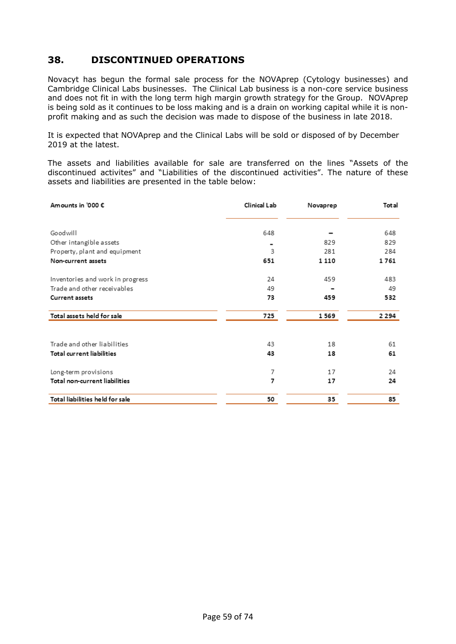## **38. DISCONTINUED OPERATIONS**

Novacyt has begun the formal sale process for the NOVAprep (Cytology businesses) and Cambridge Clinical Labs businesses. The Clinical Lab business is a non-core service business and does not fit in with the long term high margin growth strategy for the Group. NOVAprep is being sold as it continues to be loss making and is a drain on working capital while it is nonprofit making and as such the decision was made to dispose of the business in late 2018.

It is expected that NOVAprep and the Clinical Labs will be sold or disposed of by December 2019 at the latest.

The assets and liabilities available for sale are transferred on the lines "Assets of the discontinued activites" and "Liabilities of the discontinued activities". The nature of these assets and liabilities are presented in the table below:

| Amounts in '000 €                | Clinical Lab   | Novaprep | Total   |
|----------------------------------|----------------|----------|---------|
|                                  |                |          |         |
| Goodwill                         | 648            |          | 648     |
| Other intangible assets          | $\blacksquare$ | 829      | 829     |
| Property, plant and equipment    | 3              | 281      | 284     |
| Non-current assets               | 651            | 1 1 1 0  | 1761    |
| Inventories and work in progress | 24             | 459      | 483     |
| Trade and other receivables      | 49             |          | 49      |
| Current assets                   | 73             | 459      | 532     |
| Total assets held for sale       | 725            | 1569     | 2 2 9 4 |
| Trade and other liabilities      | 43             | 18       | 61      |
| <b>Total current liabilities</b> | 43             | 18       | 61      |
| Long-term provisions             | 7              | 17       | 24      |
| Total non-current liabilities    | 7              | 17       | 24      |
| Total liabilities held for sale  | 50             | 35       | 85      |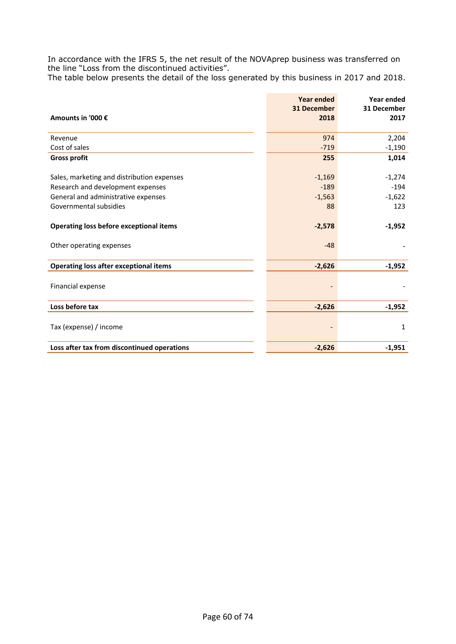In accordance with the IFRS 5, the net result of the NOVAprep business was transferred on the line "Loss from the discontinued activities".

The table below presents the detail of the loss generated by this business in 2017 and 2018.

|                                               | <b>Year ended</b><br><b>31 December</b> | Year ended<br>31 December |
|-----------------------------------------------|-----------------------------------------|---------------------------|
| Amounts in '000 €                             | 2018                                    | 2017                      |
| Revenue                                       | 974                                     | 2,204                     |
| Cost of sales                                 | $-719$                                  | $-1,190$                  |
| <b>Gross profit</b>                           | 255                                     | 1,014                     |
| Sales, marketing and distribution expenses    | $-1,169$                                | $-1,274$                  |
| Research and development expenses             | $-189$                                  | $-194$                    |
| General and administrative expenses           | $-1,563$                                | $-1,622$                  |
| Governmental subsidies                        | 88                                      | 123                       |
| Operating loss before exceptional items       | $-2,578$                                | $-1,952$                  |
| Other operating expenses                      | $-48$                                   |                           |
| <b>Operating loss after exceptional items</b> | $-2,626$                                | $-1,952$                  |
| Financial expense                             |                                         |                           |
| Loss before tax                               | $-2,626$                                | $-1,952$                  |
| Tax (expense) / income                        |                                         | 1                         |
| Loss after tax from discontinued operations   | $-2,626$                                | $-1,951$                  |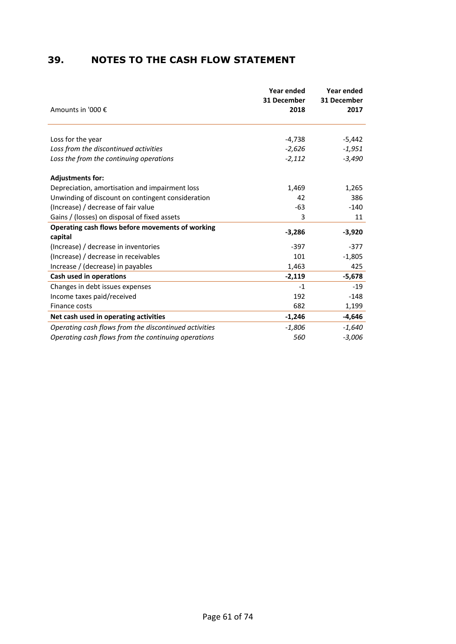## **39. NOTES TO THE CASH FLOW STATEMENT**

|                                                       | Year ended<br>31 December | Year ended<br>31 December |
|-------------------------------------------------------|---------------------------|---------------------------|
| Amounts in '000 €                                     | 2018                      | 2017                      |
| Loss for the year                                     | $-4,738$                  | $-5,442$                  |
| Loss from the discontinued activities                 | $-2,626$                  | $-1,951$                  |
| Loss the from the continuing operations               | $-2,112$                  | $-3,490$                  |
| <b>Adjustments for:</b>                               |                           |                           |
| Depreciation, amortisation and impairment loss        | 1,469                     | 1,265                     |
| Unwinding of discount on contingent consideration     | 42                        | 386                       |
| (Increase) / decrease of fair value                   | -63                       | $-140$                    |
| Gains / (losses) on disposal of fixed assets          | 3                         | 11                        |
| Operating cash flows before movements of working      | $-3,286$                  | $-3,920$                  |
| capital                                               |                           |                           |
| (Increase) / decrease in inventories                  | $-397$                    | $-377$                    |
| (Increase) / decrease in receivables                  | 101                       | $-1,805$                  |
| Increase / (decrease) in payables                     | 1,463                     | 425                       |
| Cash used in operations                               | $-2,119$                  | $-5,678$                  |
| Changes in debt issues expenses                       | $-1$                      | $-19$                     |
| Income taxes paid/received                            | 192                       | $-148$                    |
| Finance costs                                         | 682                       | 1,199                     |
| Net cash used in operating activities                 | $-1,246$                  | $-4,646$                  |
| Operating cash flows from the discontinued activities | $-1,806$                  | $-1,640$                  |
| Operating cash flows from the continuing operations   | 560                       | $-3,006$                  |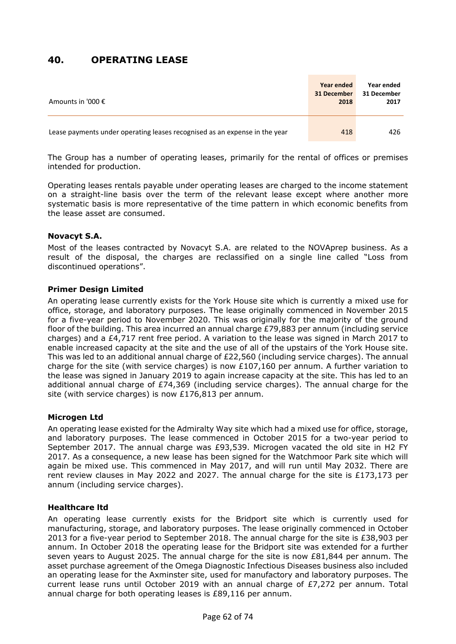## **40. OPERATING LEASE**

| Amounts in '000 $\epsilon$                                                 | Year ended<br>31 December<br>2018 | Year ended<br>31 December<br>2017 |
|----------------------------------------------------------------------------|-----------------------------------|-----------------------------------|
| Lease payments under operating leases recognised as an expense in the year | 418                               | 426                               |

The Group has a number of operating leases, primarily for the rental of offices or premises intended for production.

Operating leases rentals payable under operating leases are charged to the income statement on a straight-line basis over the term of the relevant lease except where another more systematic basis is more representative of the time pattern in which economic benefits from the lease asset are consumed.

### **Novacyt S.A.**

Most of the leases contracted by Novacyt S.A. are related to the NOVAprep business. As a result of the disposal, the charges are reclassified on a single line called "Loss from discontinued operations".

### **Primer Design Limited**

An operating lease currently exists for the York House site which is currently a mixed use for office, storage, and laboratory purposes. The lease originally commenced in November 2015 for a five-year period to November 2020. This was originally for the majority of the ground floor of the building. This area incurred an annual charge  $E79,883$  per annum (including service charges) and a £4,717 rent free period. A variation to the lease was signed in March 2017 to enable increased capacity at the site and the use of all of the upstairs of the York House site. This was led to an additional annual charge of £22,560 (including service charges). The annual charge for the site (with service charges) is now  $£107,160$  per annum. A further variation to the lease was signed in January 2019 to again increase capacity at the site. This has led to an additional annual charge of £74,369 (including service charges). The annual charge for the site (with service charges) is now £176,813 per annum.

### **Microgen Ltd**

An operating lease existed for the Admiralty Way site which had a mixed use for office, storage, and laboratory purposes. The lease commenced in October 2015 for a two-year period to September 2017. The annual charge was £93,539. Microgen vacated the old site in H2 FY 2017. As a consequence, a new lease has been signed for the Watchmoor Park site which will again be mixed use. This commenced in May 2017, and will run until May 2032. There are rent review clauses in May 2022 and 2027. The annual charge for the site is £173,173 per annum (including service charges).

### **Healthcare ltd**

An operating lease currently exists for the Bridport site which is currently used for manufacturing, storage, and laboratory purposes. The lease originally commenced in October 2013 for a five-year period to September 2018. The annual charge for the site is £38,903 per annum. In October 2018 the operating lease for the Bridport site was extended for a further seven years to August 2025. The annual charge for the site is now £81,844 per annum. The asset purchase agreement of the Omega Diagnostic Infectious Diseases business also included an operating lease for the Axminster site, used for manufactory and laboratory purposes. The current lease runs until October 2019 with an annual charge of £7,272 per annum. Total annual charge for both operating leases is £89,116 per annum.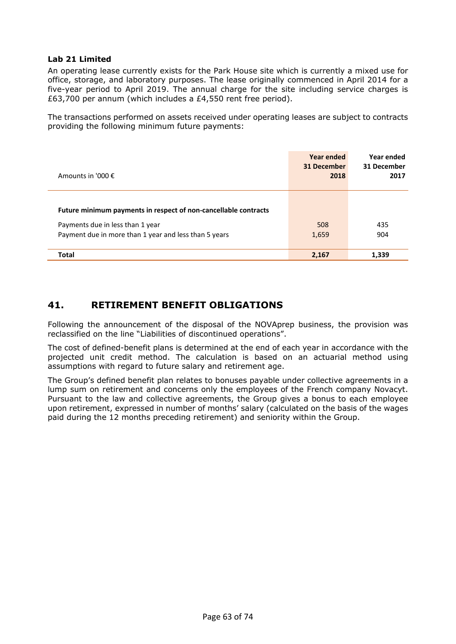## **Lab 21 Limited**

An operating lease currently exists for the Park House site which is currently a mixed use for office, storage, and laboratory purposes. The lease originally commenced in April 2014 for a five-year period to April 2019. The annual charge for the site including service charges is £63,700 per annum (which includes a £4,550 rent free period).

The transactions performed on assets received under operating leases are subject to contracts providing the following minimum future payments:

| Amounts in '000 $\epsilon$                                      | Year ended<br>31 December<br>2018 | Year ended<br>31 December<br>2017 |
|-----------------------------------------------------------------|-----------------------------------|-----------------------------------|
| Future minimum payments in respect of non-cancellable contracts |                                   |                                   |
| Payments due in less than 1 year                                | 508                               | 435                               |
| Payment due in more than 1 year and less than 5 years           | 1,659                             | 904                               |
| <b>Total</b>                                                    | 2,167                             | 1,339                             |

## **41. RETIREMENT BENEFIT OBLIGATIONS**

Following the announcement of the disposal of the NOVAprep business, the provision was reclassified on the line "Liabilities of discontinued operations".

The cost of defined-benefit plans is determined at the end of each year in accordance with the projected unit credit method. The calculation is based on an actuarial method using assumptions with regard to future salary and retirement age.

The Group's defined benefit plan relates to bonuses payable under collective agreements in a lump sum on retirement and concerns only the employees of the French company Novacyt. Pursuant to the law and collective agreements, the Group gives a bonus to each employee upon retirement, expressed in number of months' salary (calculated on the basis of the wages paid during the 12 months preceding retirement) and seniority within the Group.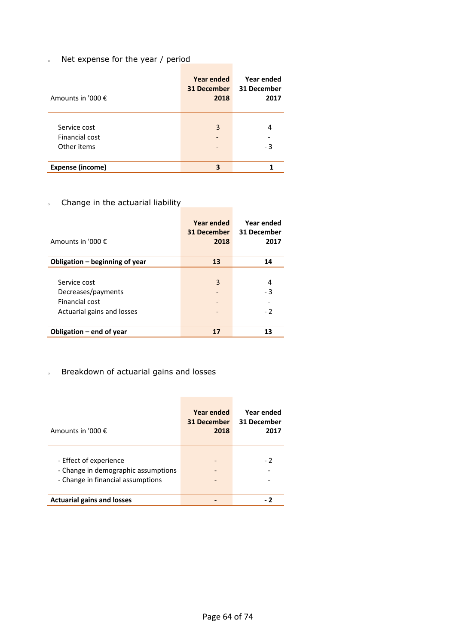## $\sim$  Net expense for the year / period

| Amounts in '000 €              | Year ended<br>31 December<br>2018 | Year ended<br>31 December<br>2017 |
|--------------------------------|-----------------------------------|-----------------------------------|
| Service cost<br>Financial cost | 3                                 | 4                                 |
| Other items                    |                                   | - 3                               |
| <b>Expense (income)</b>        | 3                                 |                                   |

# $\circ$  Change in the actuarial liability

| Amounts in '000 €                                                                  | Year ended<br>31 December<br>2018 | Year ended<br>31 December<br>2017 |
|------------------------------------------------------------------------------------|-----------------------------------|-----------------------------------|
| Obligation – beginning of year                                                     | 13                                | 14                                |
| Service cost<br>Decreases/payments<br>Financial cost<br>Actuarial gains and losses | 3                                 | 4<br>- 3<br>$-2$                  |
| Obligation – end of year                                                           | 17                                | 13                                |

## <sup>o</sup> Breakdown of actuarial gains and losses

| Amounts in '000 $\epsilon$          | Year ended<br>31 December<br>2018 | Year ended<br>31 December<br>2017 |
|-------------------------------------|-----------------------------------|-----------------------------------|
|                                     |                                   |                                   |
| - Effect of experience              |                                   | $-2$                              |
| - Change in demographic assumptions |                                   |                                   |
| - Change in financial assumptions   |                                   |                                   |
|                                     |                                   |                                   |
| <b>Actuarial gains and losses</b>   |                                   |                                   |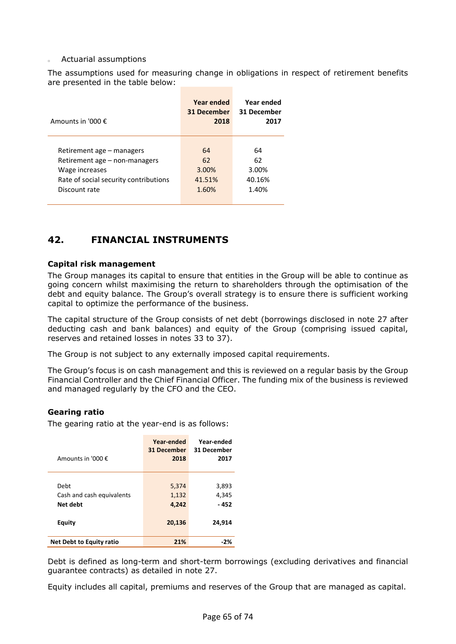### Actuarial assumptions

The assumptions used for measuring change in obligations in respect of retirement benefits are presented in the table below:

| Amounts in '000 $\epsilon$            | Year ended<br>31 December<br>2018 | Year ended<br>31 December<br>2017 |
|---------------------------------------|-----------------------------------|-----------------------------------|
|                                       |                                   |                                   |
| Retirement age – managers             | 64                                | 64                                |
| Retirement age – non-managers         | 62                                | 62                                |
| Wage increases                        | 3.00%                             | 3.00%                             |
| Rate of social security contributions | 41.51%                            | 40.16%                            |
| Discount rate                         | 1.60%                             | 1.40%                             |

## **42. FINANCIAL INSTRUMENTS**

### **Capital risk management**

The Group manages its capital to ensure that entities in the Group will be able to continue as going concern whilst maximising the return to shareholders through the optimisation of the debt and equity balance. The Group's overall strategy is to ensure there is sufficient working capital to optimize the performance of the business.

The capital structure of the Group consists of net debt (borrowings disclosed in note 27 after deducting cash and bank balances) and equity of the Group (comprising issued capital, reserves and retained losses in notes 33 to 37).

The Group is not subject to any externally imposed capital requirements.

The Group's focus is on cash management and this is reviewed on a regular basis by the Group Financial Controller and the Chief Financial Officer. The funding mix of the business is reviewed and managed regularly by the CFO and the CEO.

### **Gearing ratio**

The gearing ratio at the year-end is as follows:

| Amounts in '000 €                             | Year-ended<br><b>31 December</b><br>2018 | Year-ended<br>31 December<br>2017 |
|-----------------------------------------------|------------------------------------------|-----------------------------------|
| Debt<br>Cash and cash equivalents<br>Net debt | 5,374<br>1,132<br>4,242                  | 3,893<br>4,345<br>- 452           |
| <b>Equity</b>                                 | 20,136                                   | 24,914                            |
| <b>Net Debt to Equity ratio</b>               | 21%                                      | $-2%$                             |

Debt is defined as long-term and short-term borrowings (excluding derivatives and financial guarantee contracts) as detailed in note 27.

Equity includes all capital, premiums and reserves of the Group that are managed as capital.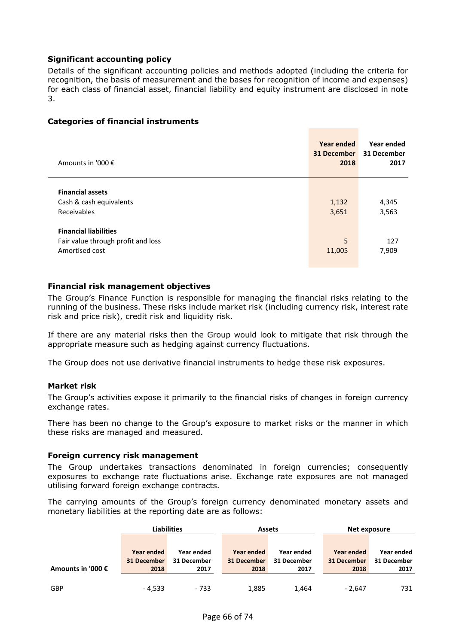## **Significant accounting policy**

Details of the significant accounting policies and methods adopted (including the criteria for recognition, the basis of measurement and the bases for recognition of income and expenses) for each class of financial asset, financial liability and equity instrument are disclosed in note 3.

### **Categories of financial instruments**

| Amounts in '000 €                                                                    | Year ended<br>31 December<br>2018 | Year ended<br>31 December<br>2017 |
|--------------------------------------------------------------------------------------|-----------------------------------|-----------------------------------|
| <b>Financial assets</b><br>Cash & cash equivalents<br>Receivables                    | 1,132<br>3,651                    | 4,345<br>3,563                    |
| <b>Financial liabilities</b><br>Fair value through profit and loss<br>Amortised cost | 5<br>11,005                       | 127<br>7,909                      |

### **Financial risk management objectives**

The Group's Finance Function is responsible for managing the financial risks relating to the running of the business. These risks include market risk (including currency risk, interest rate risk and price risk), credit risk and liquidity risk.

If there are any material risks then the Group would look to mitigate that risk through the appropriate measure such as hedging against currency fluctuations.

The Group does not use derivative financial instruments to hedge these risk exposures.

### **Market risk**

The Group's activities expose it primarily to the financial risks of changes in foreign currency exchange rates.

There has been no change to the Group's exposure to market risks or the manner in which these risks are managed and measured.

### **Foreign currency risk management**

The Group undertakes transactions denominated in foreign currencies; consequently exposures to exchange rate fluctuations arise. Exchange rate exposures are not managed utilising forward foreign exchange contracts.

The carrying amounts of the Group's foreign currency denominated monetary assets and monetary liabilities at the reporting date are as follows:

|                            | <b>Liabilities</b>                |                                   | <b>Assets</b>                     |                                   | Net exposure                             |                                   |
|----------------------------|-----------------------------------|-----------------------------------|-----------------------------------|-----------------------------------|------------------------------------------|-----------------------------------|
|                            |                                   |                                   |                                   |                                   |                                          |                                   |
| Amounts in '000 $\epsilon$ | Year ended<br>31 December<br>2018 | Year ended<br>31 December<br>2017 | Year ended<br>31 December<br>2018 | Year ended<br>31 December<br>2017 | <b>Year ended</b><br>31 December<br>2018 | Year ended<br>31 December<br>2017 |
| <b>GBP</b>                 | $-4,533$                          | - 733                             | 1,885                             | 1,464                             | $-2.647$                                 | 731                               |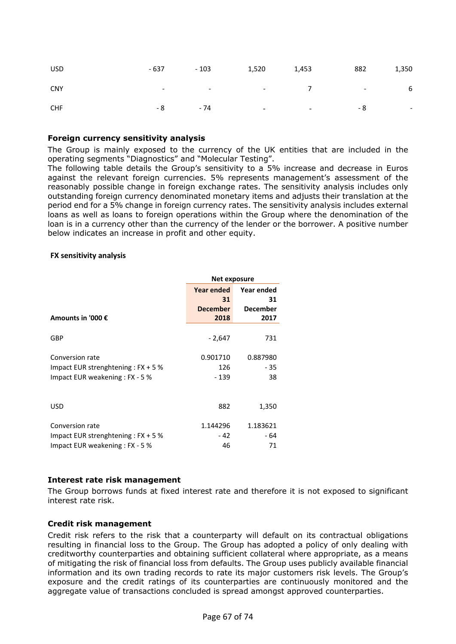| USD        |  |  | - 637 - 103 - 1,520 1,453 - 882 1,350 |  |
|------------|--|--|---------------------------------------|--|
| <b>CNY</b> |  |  |                                       |  |
| <b>CHF</b> |  |  | $-8$ $-74$ $-12$ $-8$ $-8$            |  |

### **Foreign currency sensitivity analysis**

The Group is mainly exposed to the currency of the UK entities that are included in the operating segments "Diagnostics" and "Molecular Testing".

The following table details the Group's sensitivity to a 5% increase and decrease in Euros against the relevant foreign currencies. 5% represents management's assessment of the reasonably possible change in foreign exchange rates. The sensitivity analysis includes only outstanding foreign currency denominated monetary items and adjusts their translation at the period end for a 5% change in foreign currency rates. The sensitivity analysis includes external loans as well as loans to foreign operations within the Group where the denomination of the loan is in a currency other than the currency of the lender or the borrower. A positive number below indicates an increase in profit and other equity.

### **FX sensitivity analysis**

|                                       | Net exposure    |                 |  |
|---------------------------------------|-----------------|-----------------|--|
|                                       | Year ended      | Year ended      |  |
|                                       | 31              | 31              |  |
|                                       | <b>December</b> | <b>December</b> |  |
| Amounts in '000 €                     | 2018            | 2017            |  |
|                                       |                 |                 |  |
| GBP                                   | $-2,647$        | 731             |  |
|                                       |                 |                 |  |
| Conversion rate                       | 0.901710        | 0.887980        |  |
| Impact EUR strenghtening : $FX + 5\%$ | 126             | - 35            |  |
| Impact EUR weakening : FX - 5 %       | - 139           | 38              |  |
|                                       |                 |                 |  |
|                                       |                 |                 |  |
| <b>USD</b>                            | 882             | 1,350           |  |
|                                       |                 |                 |  |
| Conversion rate                       | 1.144296        | 1.183621        |  |
| Impact EUR strenghtening : $FX + 5\%$ | - 42            | - 64            |  |
| Impact EUR weakening : $FX - 5\%$     | 46              | 71              |  |

### **Interest rate risk management**

The Group borrows funds at fixed interest rate and therefore it is not exposed to significant interest rate risk.

### **Credit risk management**

Credit risk refers to the risk that a counterparty will default on its contractual obligations resulting in financial loss to the Group. The Group has adopted a policy of only dealing with creditworthy counterparties and obtaining sufficient collateral where appropriate, as a means of mitigating the risk of financial loss from defaults. The Group uses publicly available financial information and its own trading records to rate its major customers risk levels. The Group's exposure and the credit ratings of its counterparties are continuously monitored and the aggregate value of transactions concluded is spread amongst approved counterparties.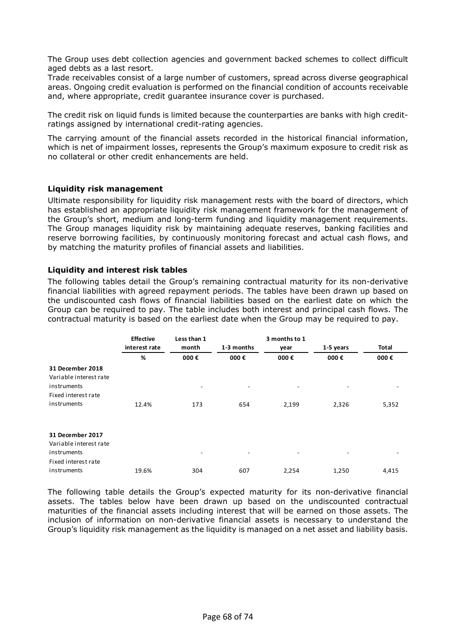The Group uses debt collection agencies and government backed schemes to collect difficult aged debts as a last resort.

Trade receivables consist of a large number of customers, spread across diverse geographical areas. Ongoing credit evaluation is performed on the financial condition of accounts receivable and, where appropriate, credit guarantee insurance cover is purchased.

The credit risk on liquid funds is limited because the counterparties are banks with high creditratings assigned by international credit-rating agencies.

The carrying amount of the financial assets recorded in the historical financial information, which is net of impairment losses, represents the Group's maximum exposure to credit risk as no collateral or other credit enhancements are held.

### **Liquidity risk management**

Ultimate responsibility for liquidity risk management rests with the board of directors, which has established an appropriate liquidity risk management framework for the management of the Group's short, medium and long-term funding and liquidity management requirements. The Group manages liquidity risk by maintaining adequate reserves, banking facilities and reserve borrowing facilities, by continuously monitoring forecast and actual cash flows, and by matching the maturity profiles of financial assets and liabilities.

### **Liquidity and interest risk tables**

The following tables detail the Group's remaining contractual maturity for its non-derivative financial liabilities with agreed repayment periods. The tables have been drawn up based on the undiscounted cash flows of financial liabilities based on the earliest date on which the Group can be required to pay. The table includes both interest and principal cash flows. The contractual maturity is based on the earliest date when the Group may be required to pay.

|                                                                                                 | <b>Effective</b><br>interest rate | Less than 1<br>month | 1-3 months               | 3 months to 1<br>vear | 1-5 years | Total          |
|-------------------------------------------------------------------------------------------------|-----------------------------------|----------------------|--------------------------|-----------------------|-----------|----------------|
|                                                                                                 | %                                 | 000€                 | 000€                     | 000€                  | 000€      | 000€           |
| 31 December 2018<br>Variable interest rate<br>instruments<br>Fixed interest rate<br>instruments | 12.4%                             | 173                  | 654                      | 2,199                 | 2,326     | 5,352          |
| 31 December 2017<br>Variable interest rate<br>instruments<br>Fixed interest rate                |                                   | ۰                    | $\overline{\phantom{a}}$ | ٠                     | -         | $\blacksquare$ |
| instruments                                                                                     | 19.6%                             | 304                  | 607                      | 2,254                 | 1,250     | 4,415          |

The following table details the Group's expected maturity for its non-derivative financial assets. The tables below have been drawn up based on the undiscounted contractual maturities of the financial assets including interest that will be earned on those assets. The inclusion of information on non-derivative financial assets is necessary to understand the Group's liquidity risk management as the liquidity is managed on a net asset and liability basis.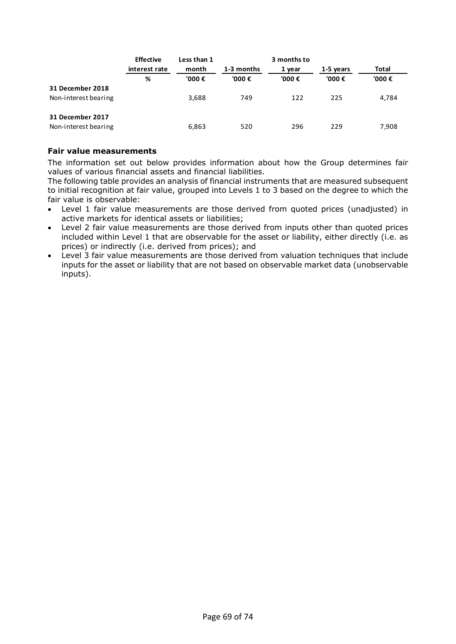|                         | <b>Effective</b> | Less than 1     |            | 3 months to |           |        |
|-------------------------|------------------|-----------------|------------|-------------|-----------|--------|
|                         | interest rate    | month           | 1-3 months | 1 year      | 1-5 years | Total  |
|                         | %                | '000 $\epsilon$ | '000 €     | '000 €      | '000 €    | '000 € |
| <b>31 December 2018</b> |                  |                 |            |             |           |        |
| Non-interest bearing    |                  | 3,688           | 749        | 122         | 225       | 4,784  |
| 31 December 2017        |                  |                 |            |             |           |        |
| Non-interest bearing    |                  | 6,863           | 520        | 296         | 229       | 7,908  |

### **Fair value measurements**

The information set out below provides information about how the Group determines fair values of various financial assets and financial liabilities.

The following table provides an analysis of financial instruments that are measured subsequent to initial recognition at fair value, grouped into Levels 1 to 3 based on the degree to which the fair value is observable:

- Level 1 fair value measurements are those derived from quoted prices (unadjusted) in active markets for identical assets or liabilities;
- Level 2 fair value measurements are those derived from inputs other than quoted prices included within Level 1 that are observable for the asset or liability, either directly (i.e. as prices) or indirectly (i.e. derived from prices); and
- Level 3 fair value measurements are those derived from valuation techniques that include inputs for the asset or liability that are not based on observable market data (unobservable inputs).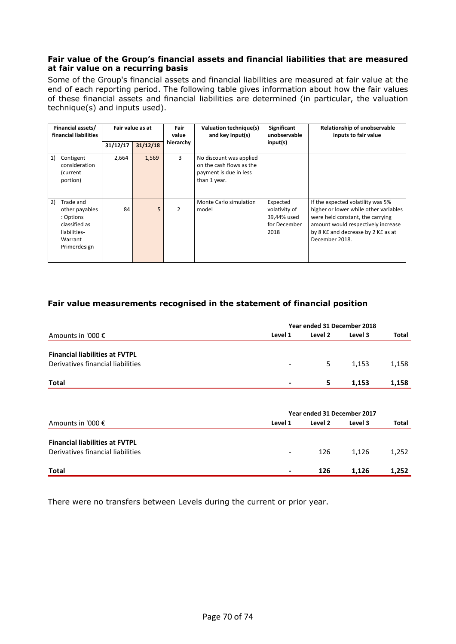## **Fair value of the Group's financial assets and financial liabilities that are measured at fair value on a recurring basis**

Some of the Group's financial assets and financial liabilities are measured at fair value at the end of each reporting period. The following table gives information about how the fair values of these financial assets and financial liabilities are determined (in particular, the valuation technique(s) and inputs used).

| Financial assets/<br>financial liabilities                                                                 | Fair value as at |          | Fair<br>value  | Valuation technique(s)<br>and key input(s)                                                    | Significant<br>unobservable                                      | Relationship of unobservable<br>inputs to fair value                                                                                                                                                         |
|------------------------------------------------------------------------------------------------------------|------------------|----------|----------------|-----------------------------------------------------------------------------------------------|------------------------------------------------------------------|--------------------------------------------------------------------------------------------------------------------------------------------------------------------------------------------------------------|
|                                                                                                            | 31/12/17         | 31/12/18 | hierarchy      |                                                                                               | input(s)                                                         |                                                                                                                                                                                                              |
| 1)<br>Contigent<br>consideration<br>(current<br>portion)                                                   | 2,664            | 1,569    | 3              | No discount was applied<br>on the cash flows as the<br>payment is due in less<br>than 1 year. |                                                                  |                                                                                                                                                                                                              |
| 2)<br>Trade and<br>other payables<br>: Options<br>classified as<br>liabilities-<br>Warrant<br>Primerdesign | 84               | 5        | $\overline{2}$ | Monte Carlo simulation<br>model                                                               | Expected<br>volativity of<br>39,44% used<br>for December<br>2018 | If the expected volatility was 5%<br>higher or lower while other variables<br>were held constant, the carrying<br>amount would respectively increase<br>by 8 KE and decrease by 2 KE as at<br>December 2018. |

## **Fair value measurements recognised in the statement of financial position**

| Amounts in '000 €                     |                          | Year ended 31 December 2018 |         |       |  |  |
|---------------------------------------|--------------------------|-----------------------------|---------|-------|--|--|
|                                       | Level 1                  | Level 2                     | Level 3 | Total |  |  |
| <b>Financial liabilities at FVTPL</b> |                          |                             |         |       |  |  |
| Derivatives financial liabilities     | $\overline{\phantom{a}}$ | 5                           | 1.153   | 1,158 |  |  |
| <b>Total</b>                          |                          | 5                           | 1,153   | 1,158 |  |  |

|                                       | Year ended 31 December 2017 |         |         |       |  |
|---------------------------------------|-----------------------------|---------|---------|-------|--|
| Amounts in '000 €                     | Level 1                     | Level 2 | Level 3 | Total |  |
| <b>Financial liabilities at FVTPL</b> |                             |         |         |       |  |
| Derivatives financial liabilities     | $\overline{\phantom{a}}$    | 126     | 1.126   | 1,252 |  |
| <b>Total</b>                          | -                           | 126     | 1.126   | 1,252 |  |

There were no transfers between Levels during the current or prior year.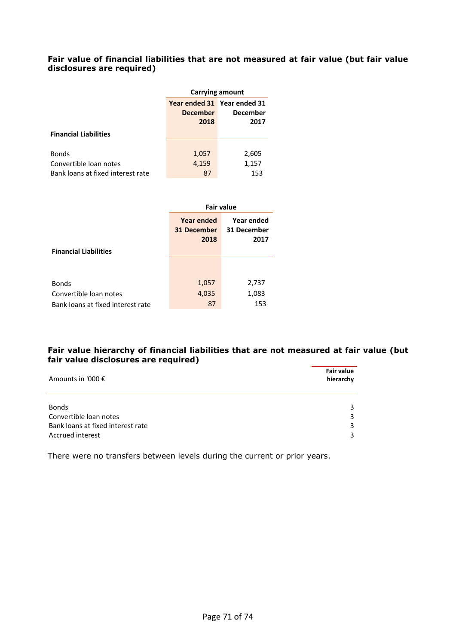### **Fair value of financial liabilities that are not measured at fair value (but fair value disclosures are required)**

|                                   | <b>Carrying amount</b>      |                 |  |
|-----------------------------------|-----------------------------|-----------------|--|
|                                   | Year ended 31 Year ended 31 |                 |  |
|                                   | <b>December</b>             | <b>December</b> |  |
|                                   | 2018                        | 2017            |  |
| <b>Financial Liabilities</b>      |                             |                 |  |
|                                   |                             |                 |  |
| <b>Bonds</b>                      | 1,057                       | 2,605           |  |
| Convertible loan notes            | 4,159                       | 1,157           |  |
| Bank loans at fixed interest rate | 87                          | 153             |  |

|                                   | <b>Fair value</b>                 |                                   |  |  |
|-----------------------------------|-----------------------------------|-----------------------------------|--|--|
|                                   | Year ended<br>31 December<br>2018 | Year ended<br>31 December<br>2017 |  |  |
| <b>Financial Liabilities</b>      |                                   |                                   |  |  |
|                                   |                                   |                                   |  |  |
|                                   |                                   |                                   |  |  |
| <b>Bonds</b>                      | 1,057                             | 2,737                             |  |  |
| Convertible loan notes            | 4,035                             | 1,083                             |  |  |
| Bank loans at fixed interest rate | 87                                | 153                               |  |  |

## **Fair value hierarchy of financial liabilities that are not measured at fair value (but fair value disclosures are required)**

| Amounts in '000 €                                     | <b>Fair value</b><br>hierarchy |
|-------------------------------------------------------|--------------------------------|
| <b>Bonds</b><br>Convertible loan notes                |                                |
| Bank loans at fixed interest rate<br>Accrued interest |                                |

There were no transfers between levels during the current or prior years.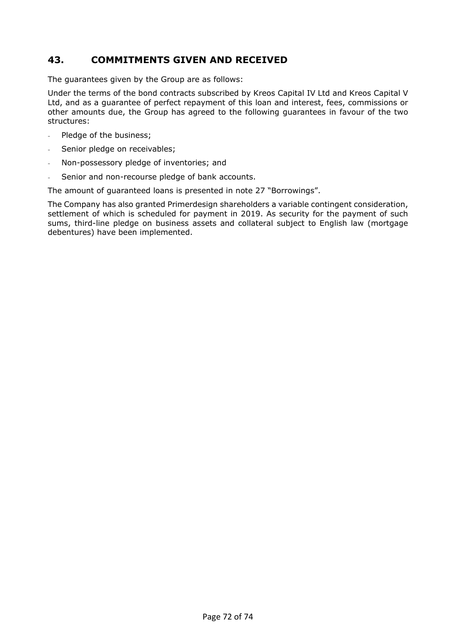## **43. COMMITMENTS GIVEN AND RECEIVED**

The guarantees given by the Group are as follows:

Under the terms of the bond contracts subscribed by Kreos Capital IV Ltd and Kreos Capital V Ltd, and as a guarantee of perfect repayment of this loan and interest, fees, commissions or other amounts due, the Group has agreed to the following guarantees in favour of the two structures:

- Pledge of the business;
- Senior pledge on receivables;
- Non-possessory pledge of inventories; and
- Senior and non-recourse pledge of bank accounts.

The amount of guaranteed loans is presented in note 27 "Borrowings".

The Company has also granted Primerdesign shareholders a variable contingent consideration, settlement of which is scheduled for payment in 2019. As security for the payment of such sums, third-line pledge on business assets and collateral subject to English law (mortgage debentures) have been implemented.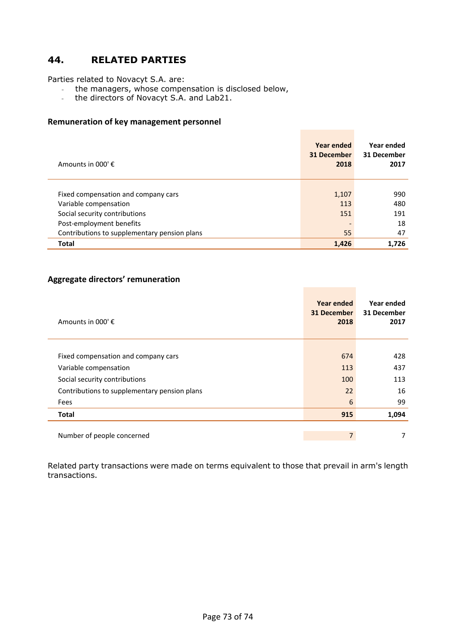# **44. RELATED PARTIES**

Parties related to Novacyt S.A. are:

- the managers, whose compensation is disclosed below,
- the directors of Novacyt S.A. and Lab21.

#### **Remuneration of key management personnel**

| Amounts in 000' $\epsilon$                   | Year ended<br><b>31 December</b><br>2018 | Year ended<br>31 December<br>2017 |
|----------------------------------------------|------------------------------------------|-----------------------------------|
|                                              |                                          |                                   |
| Fixed compensation and company cars          | 1,107                                    | 990                               |
| Variable compensation                        | 113                                      | 480                               |
| Social security contributions                | 151                                      | 191                               |
| Post-employment benefits                     |                                          | 18                                |
| Contributions to supplementary pension plans | 55                                       | 47                                |
| <b>Total</b>                                 | 1,426                                    | 1,726                             |

#### **Aggregate directors' remuneration**

| Amounts in 000' $\epsilon$                   | Year ended<br>31 December<br>2018 | Year ended<br>31 December<br>2017 |
|----------------------------------------------|-----------------------------------|-----------------------------------|
|                                              |                                   |                                   |
| Fixed compensation and company cars          | 674                               | 428                               |
| Variable compensation                        | 113                               | 437                               |
| Social security contributions                | 100                               | 113                               |
| Contributions to supplementary pension plans | 22                                | 16                                |
| Fees                                         | 6                                 | 99                                |
| <b>Total</b>                                 | 915                               | 1,094                             |
|                                              |                                   |                                   |
| Number of people concerned                   | $\overline{7}$                    | 7                                 |

Related party transactions were made on terms equivalent to those that prevail in arm's length transactions.